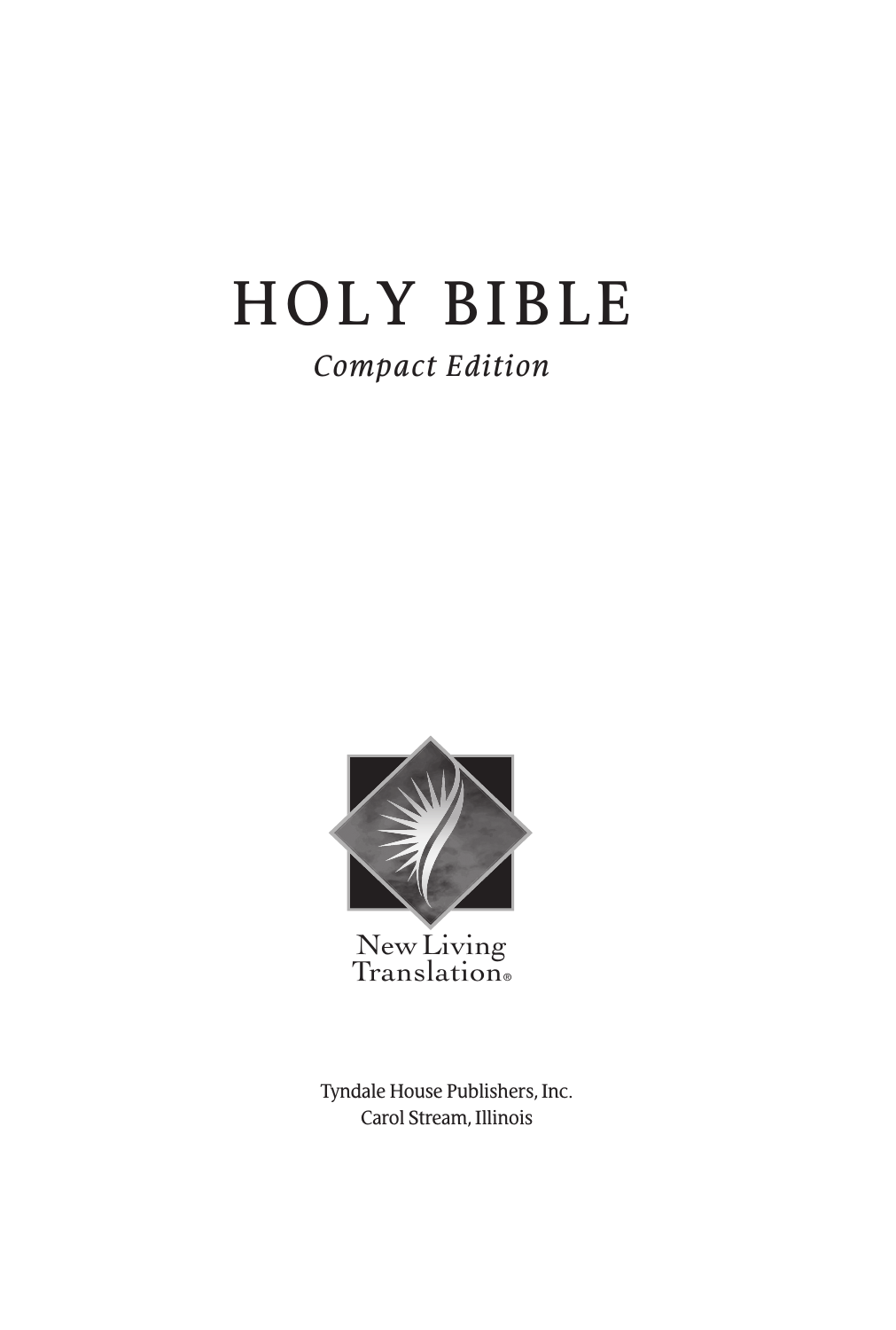# HOLY BIBLE

# *Compact Edition*



NewLiving Translation®

Tyndale House Publishers, Inc. Carol Stream, Illinois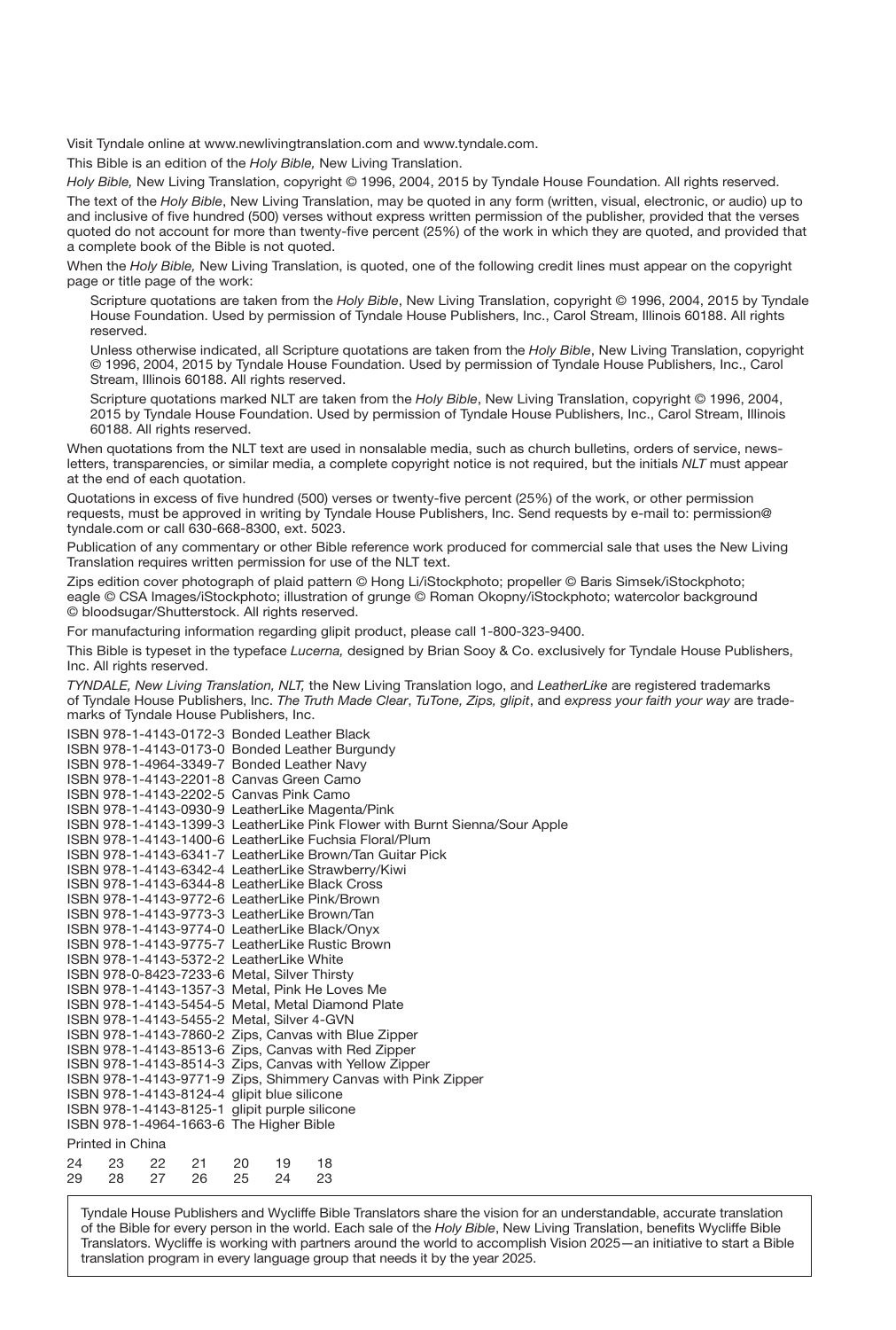Visit Tyndale online at www.newlivingtranslation.com and www.tyndale.com.

This Bible is an edition of the *Holy Bible,* New Living Translation.

*Holy Bible,* New Living Translation, copyright © 1996, 2004, 2015 by Tyndale House Foundation. All rights reserved. The text of the *Holy Bible*, New Living Translation, may be quoted in any form (written, visual, electronic, or audio) up to and inclusive of five hundred (500) verses without express written permission of the publisher, provided that the verses quoted do not account for more than twenty-five percent (25%) of the work in which they are quoted, and provided that a complete book of the Bible is not quoted.

When the *Holy Bible,* New Living Translation, is quoted, one of the following credit lines must appear on the copyright page or title page of the work:

Scripture quotations are taken from the *Holy Bible*, New Living Translation, copyright © 1996, 2004, 2015 by Tyndale House Foundation. Used by permission of Tyndale House Publishers, Inc., Carol Stream, Illinois 60188. All rights reserved.

Unless otherwise indicated, all Scripture quotations are taken from the *Holy Bible*, New Living Translation, copyright © 1996, 2004, 2015 by Tyndale House Foundation. Used by permission of Tyndale House Publishers, Inc., Carol Stream, Illinois 60188. All rights reserved.

Scripture quotations marked NLT are taken from the *Holy Bible*, New Living Translation, copyright © 1996, 2004, 2015 by Tyndale House Foundation. Used by permission of Tyndale House Publishers, Inc., Carol Stream, Illinois 60188. All rights reserved.

When quotations from the NLT text are used in nonsalable media, such as church bulletins, orders of service, newsletters, transparencies, or similar media, a complete copyright notice is not required, but the initials *NLT* must appear at the end of each quotation.

Quotations in excess of five hundred (500) verses or twenty-five percent (25%) of the work, or other permission requests, must be approved in writing by Tyndale House Publishers, Inc. Send requests by e-mail to: permission@ tyndale.com or call 630-668-8300, ext. 5023.

Publication of any commentary or other Bible reference work produced for commercial sale that uses the New Living Translation requires written permission for use of the NLT text.

Zips edition cover photograph of plaid pattern © Hong Li/iStockphoto; propeller © Baris Simsek/iStockphoto; eagle © CSA Images/iStockphoto; illustration of grunge © Roman Okopny/iStockphoto; watercolor background © bloodsugar/Shutterstock. All rights reserved.

For manufacturing information regarding glipit product, please call 1-800-323-9400.

This Bible is typeset in the typeface *Lucerna,* designed by Brian Sooy & Co. exclusively for Tyndale House Publishers, Inc. All rights reserved.

*TYNDALE, New Living Translation, NLT,* the New Living Translation logo, and *LeatherLike* are registered trademarks of Tyndale House Publishers, Inc. *The Truth Made Clear*, *TuTone, Zips, glipit*, and *express your faith your way* are trademarks of Tyndale House Publishers, Inc.

|    |                                               |    |    |    |    | ISBN 978-1-4143-0172-3 Bonded Leather Black                                 |
|----|-----------------------------------------------|----|----|----|----|-----------------------------------------------------------------------------|
|    |                                               |    |    |    |    | ISBN 978-1-4143-0173-0 Bonded Leather Burgundy                              |
|    |                                               |    |    |    |    | ISBN 978-1-4964-3349-7 Bonded Leather Navy                                  |
|    |                                               |    |    |    |    | ISBN 978-1-4143-2201-8 Canvas Green Camo                                    |
|    | ISBN 978-1-4143-2202-5 Canvas Pink Camo       |    |    |    |    |                                                                             |
|    |                                               |    |    |    |    | ISBN 978-1-4143-0930-9 LeatherLike Magenta/Pink                             |
|    |                                               |    |    |    |    | ISBN 978-1-4143-1399-3 LeatherLike Pink Flower with Burnt Sienna/Sour Apple |
|    |                                               |    |    |    |    | ISBN 978-1-4143-1400-6 LeatherLike Fuchsia Floral/Plum                      |
|    |                                               |    |    |    |    | ISBN 978-1-4143-6341-7 LeatherLike Brown/Tan Guitar Pick                    |
|    |                                               |    |    |    |    | ISBN 978-1-4143-6342-4 LeatherLike Strawberry/Kiwi                          |
|    |                                               |    |    |    |    | ISBN 978-1-4143-6344-8 LeatherLike Black Cross                              |
|    |                                               |    |    |    |    | ISBN 978-1-4143-9772-6 Leatherl ike Pink/Brown                              |
|    |                                               |    |    |    |    | ISBN 978-1-4143-9773-3 LeatherLike Brown/Tan                                |
|    |                                               |    |    |    |    | ISBN 978-1-4143-9774-0 LeatherLike Black/Onvx                               |
|    |                                               |    |    |    |    | ISBN 978-1-4143-9775-7 Leatherl ike Rustic Brown                            |
|    | ISBN 978-1-4143-5372-2 LeatherLike White      |    |    |    |    |                                                                             |
|    | ISBN 978-0-8423-7233-6 Metal, Silver Thirsty  |    |    |    |    |                                                                             |
|    |                                               |    |    |    |    | ISBN 978-1-4143-1357-3 Metal, Pink He Loves Me                              |
|    |                                               |    |    |    |    | ISBN 978-1-4143-5454-5 Metal, Metal Diamond Plate                           |
|    | ISBN 978-1-4143-5455-2 Metal, Silver 4-GVN    |    |    |    |    |                                                                             |
|    |                                               |    |    |    |    | ISBN 978-1-4143-7860-2 Zips, Canvas with Blue Zipper                        |
|    |                                               |    |    |    |    | ISBN 978-1-4143-8513-6 Zips, Canvas with Red Zipper                         |
|    |                                               |    |    |    |    | ISBN 978-1-4143-8514-3 Zips, Canvas with Yellow Zipper                      |
|    |                                               |    |    |    |    | ISBN 978-1-4143-9771-9 Zips, Shimmery Canvas with Pink Zipper               |
|    | ISBN 978-1-4143-8124-4 glipit blue silicone   |    |    |    |    |                                                                             |
|    | ISBN 978-1-4143-8125-1 glipit purple silicone |    |    |    |    |                                                                             |
|    | ISBN 978-1-4964-1663-6 The Higher Bible       |    |    |    |    |                                                                             |
|    | Printed in China                              |    |    |    |    |                                                                             |
| 24 | 23                                            | 22 | 21 | 20 | 19 | 18                                                                          |
| 29 | 28                                            | 27 | 26 | 25 | 24 | 23                                                                          |

Tyndale House Publishers and Wycliffe Bible Translators share the vision for an understandable, accurate translation of the Bible for every person in the world. Each sale of the *Holy Bible*, New Living Translation, benefits Wycliffe Bible Translators. Wycliffe is working with partners around the world to accomplish Vision 2025—an initiative to start a Bible translation program in every language group that needs it by the year 2025.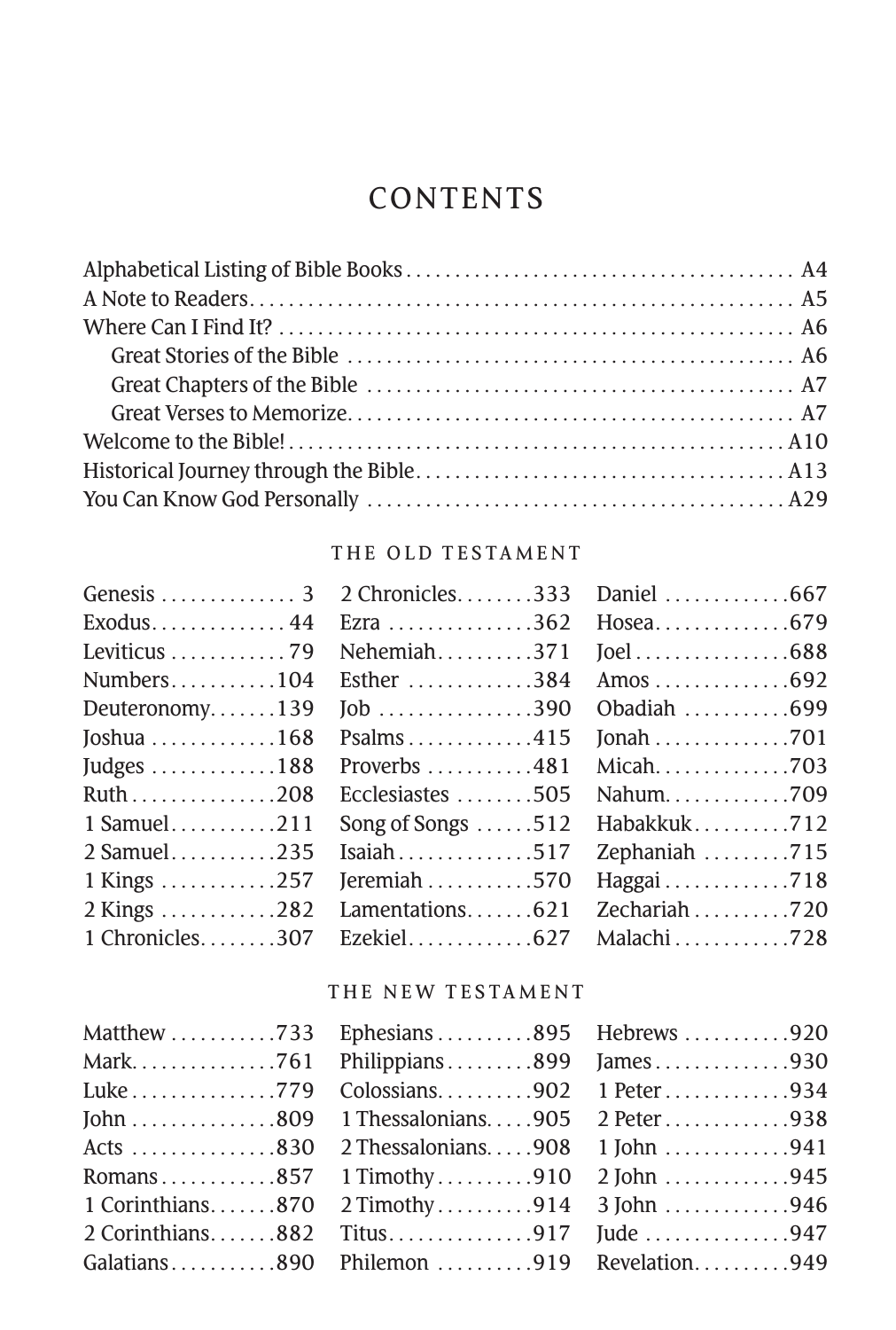# CONTENTS

## THE OLD TESTAMENT

| Genesis  3                          |
|-------------------------------------|
|                                     |
| Leviticus 79                        |
| $Numbers. \ldots \ldots \ldots 104$ |
| Deuteronomy139                      |
| Joshua 168                          |
| Judges 188                          |
| Ruth 208                            |
| $1$ Samuel211                       |
| 2 Samuel235                         |
| 1 Kings 257                         |
| 2 Kings 282                         |
| 1 Chronicles307                     |

| 2 Chronicles333                     |
|-------------------------------------|
| Ezra 362                            |
| Nehemiah371                         |
| Esther 384                          |
| $Job \dots 390$                     |
| Psalms415                           |
| Proverbs $\dots\dots\dots481$       |
| Ecclesiastes 505                    |
| Song of Songs $\dots$ . 512         |
| Isaiah517                           |
| Jeremiah $\ldots \ldots \ldots 570$ |
| Lamentations621                     |
| Ezekiel627                          |

| Daniel 667    |
|---------------|
| Hosea679      |
| Joel 688      |
| Amos 692      |
| Obadiah 699   |
| Jonah 701     |
| Micah703      |
| Nahum709      |
| Habakkuk712   |
| Zephaniah 715 |
| Haggai 718    |
| Zechariah 720 |
| Malachi728    |

## THE NEW TESTAMENT

| Matthew 733      |  |
|------------------|--|
| Mark761          |  |
| Luke 779         |  |
| John 809         |  |
| Acts 830         |  |
| Romans857        |  |
| 1 Corinthians870 |  |
| 2 Corinthians882 |  |
| Galatians890     |  |

| Ephesians $\dots\dots\dots 895$ |
|---------------------------------|
|                                 |
| Philippians899                  |
| Colossians902                   |
| 1 Thessalonians905              |
| 2 Thessalonians908              |
| 1 Timothy 910                   |
| 2 Timothy914                    |
| Titus. 917                      |
| Philemon 919                    |

| Hebrews 920   |
|---------------|
| James930      |
| 1 Peter934    |
| 2 Peter 938   |
| $1$ John 941  |
| 2 John 945    |
| 3 John 946    |
| Jude 947      |
| Revelation949 |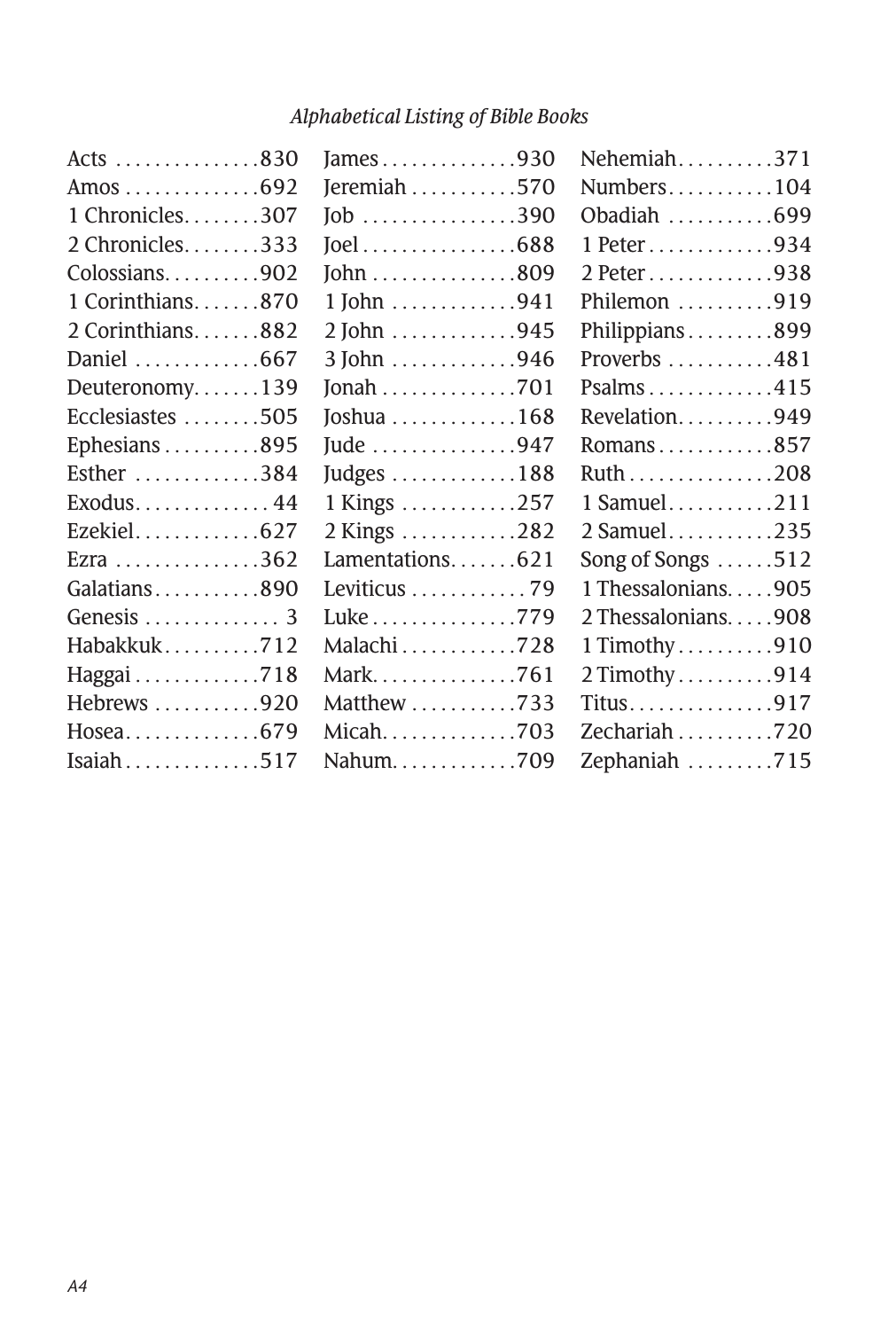## *Alphabetical Listing of Bible Books*

| Acts 830         |
|------------------|
| Amos 692         |
| 1 Chronicles307  |
| 2 Chronicles333  |
| Colossians902    |
| 1 Corinthians870 |
| 2 Corinthians882 |
| Daniel 667       |
| Deuteronomy139   |
| Ecclesiastes 505 |
| Ephesians 895    |
| Esther 384       |
| Exodus. 44       |
| Ezekiel627       |
| Ezra 362         |
| Galatians890     |
| Genesis  3       |
| Habakkuk712      |
| Haggai718        |
| Hebrews 920      |
| Hosea679         |
| Isaiah517        |

| James930        |
|-----------------|
| Jeremiah 570    |
| $Job \dots 390$ |
| Joel688         |
| John 809        |
| 1 John 941      |
| 2 John 945      |
| 3 John 946      |
| Jonah 701       |
| Joshua 168      |
| Jude 947        |
| Judges 188      |
| 1 Kings 257     |
| 2 Kings 282     |
| Lamentations621 |
| Leviticus 79    |
| Luke779         |
| Malachi728      |
| Mark761         |
| Matthew 733     |
| Micah703        |
| Nahum709        |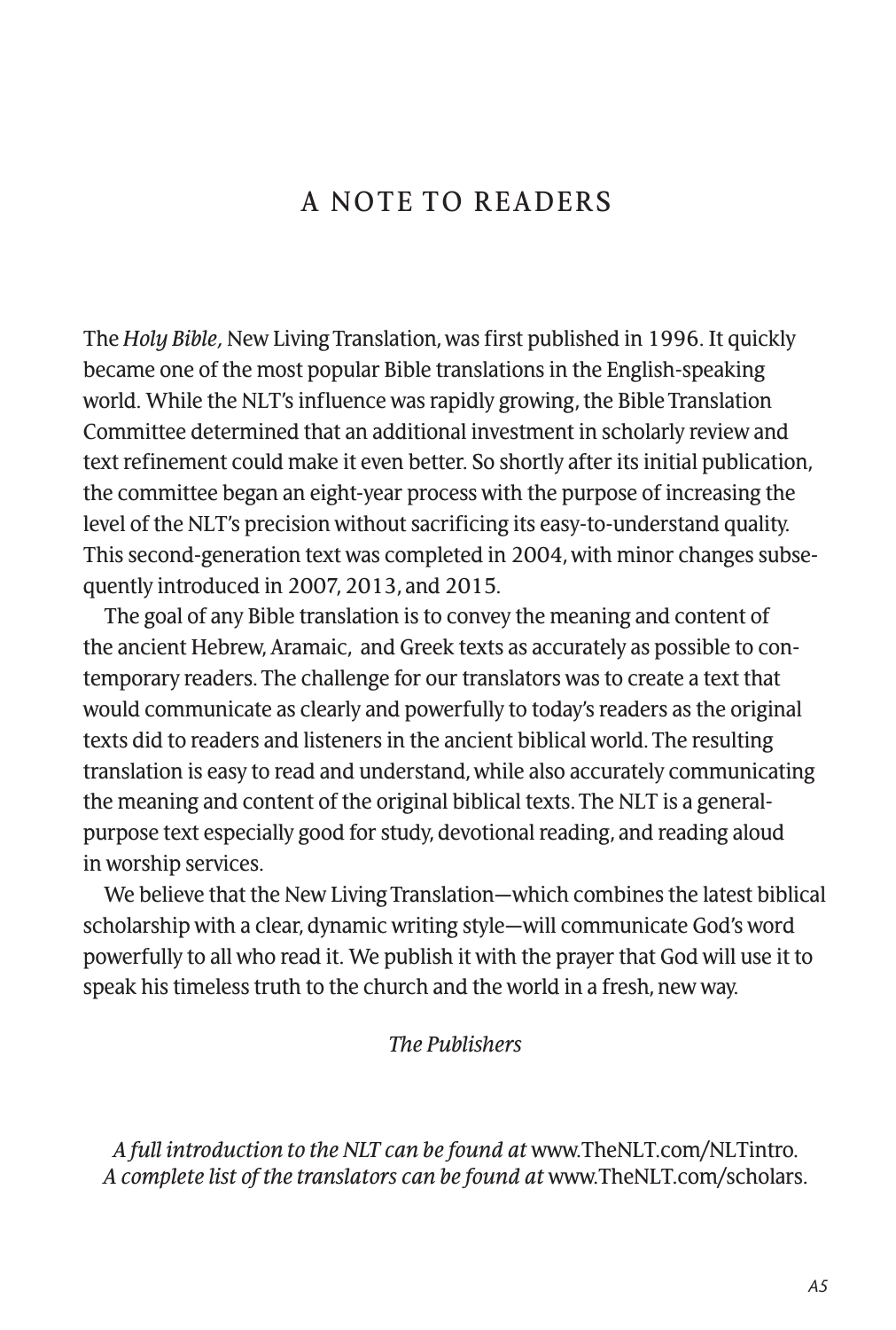## A NOTE TO READERS

The *Holy Bible,* New Living Translation, was first published in 1996. It quickly became one of the most popular Bible translations in the English-speaking world. While the NLT's influence was rapidly growing, the Bible Translation Committee determined that an additional investment in scholarly review and text refinement could make it even better. So shortly after its initial publication, the committee began an eight-year process with the purpose of increasing the level of the NLT's precision without sacrificing its easy-to-understand quality. This second-generation text was completed in 2004, with minor changes subsequently introduced in 2007, 2013, and 2015.

The goal of any Bible translation is to convey the meaning and content of the ancient Hebrew, Aramaic, and Greek texts as accurately as possible to contemporary readers. The challenge for our translators was to create a text that would communicate as clearly and powerfully to today's readers as the original texts did to readers and listeners in the ancient biblical world. The resulting translation is easy to read and understand, while also accurately communicating the meaning and content of the original biblical texts. The NLT is a generalpurpose text especially good for study, devotional reading, and reading aloud in worship services.

We believe that the New Living Translation—which combines the latest biblical scholarship with a clear, dynamic writing style—will communicate God's word powerfully to all who read it. We publish it with the prayer that God will use it to speak his timeless truth to the church and the world in a fresh, new way.

## *The Publishers*

*A full introduction to the NLT can be found at* www.TheNLT.com/NLTintro. *A complete list of the translators can be found at* www.TheNLT.com/scholars.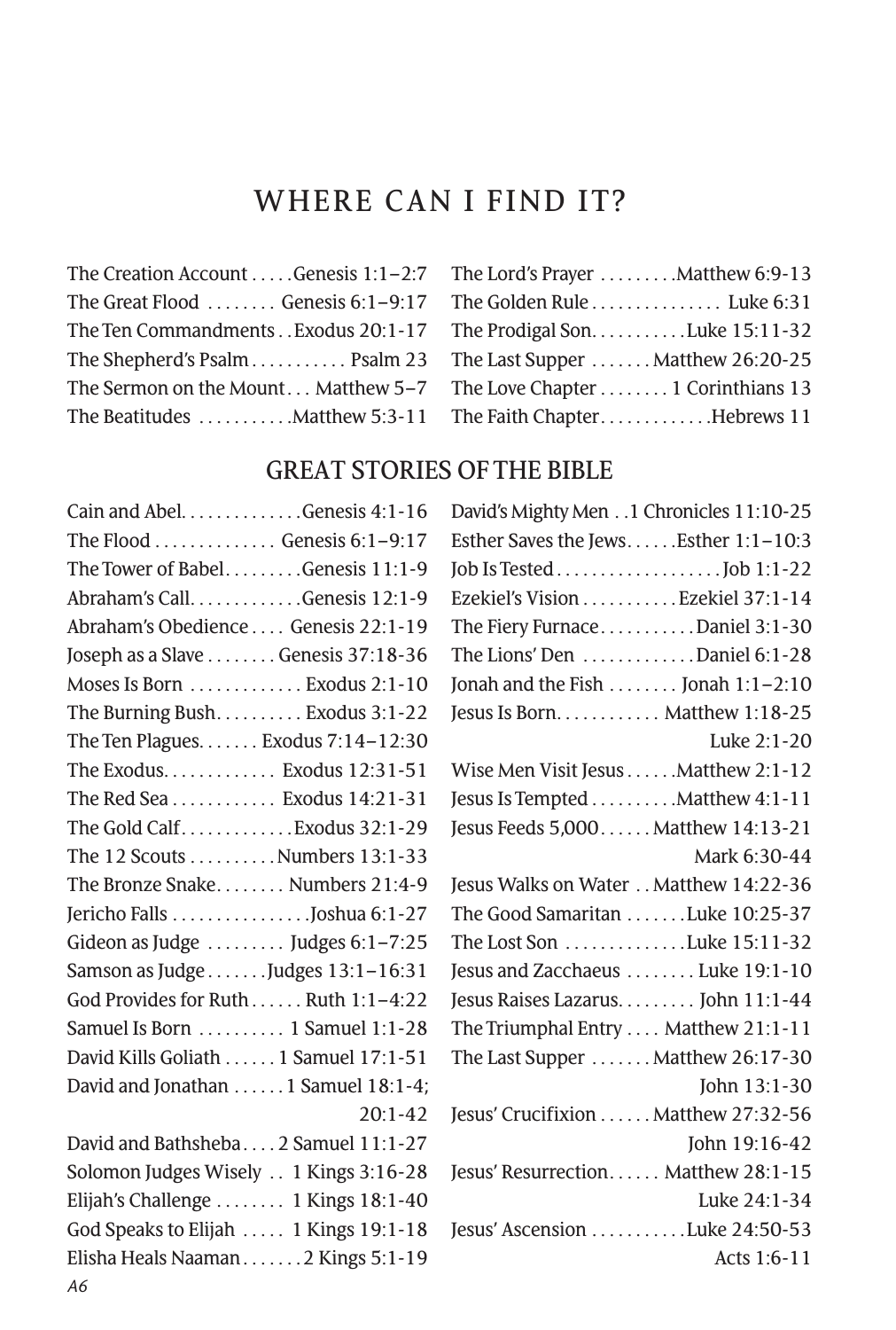# WHERE CAN I FIND IT?

| The Creation Account  Genesis $1:1-2:7$ The Lord's Prayer  Matthew 6:9-13 |  |
|---------------------------------------------------------------------------|--|
| The Great Flood  Genesis 6:1-9:17 The Golden Rule  Luke 6:31              |  |
| The Ten CommandmentsExodus $20:1-17$ The Prodigal SonLuke 15:11-32        |  |
| The Shepherd's Psalm Psalm 23 The Last Supper Matthew 26:20-25            |  |
| The Sermon on the Mount Matthew 5-7 The Love Chapter 1 Corinthians 13     |  |
| The Beatitudes Matthew 5:3-11 The Faith ChapterHebrews 11                 |  |

## GREAT STORIES OF THE BIBLE

| Cain and AbelGenesis 4:1-16                   | David's Mighty Men 1 Chronicles 11:10-25 |
|-----------------------------------------------|------------------------------------------|
| The Flood Genesis 6:1-9:17                    | Esther Saves the JewsEsther 1:1-10:3     |
| The Tower of BabelGenesis 11:1-9              |                                          |
| Abraham's Call. Genesis 12:1-9                | Ezekiel's Vision Ezekiel 37:1-14         |
| Abraham's Obedience Genesis 22:1-19           | The Fiery FurnaceDaniel 3:1-30           |
| Joseph as a Slave Genesis 37:18-36            | The Lions' Den Daniel 6:1-28             |
| Moses Is Born  Exodus 2:1-10                  | Jonah and the Fish Jonah 1:1-2:10        |
| The Burning Bush Exodus 3:1-22                | Jesus Is Born. Matthew 1:18-25           |
| The Ten Plagues. Exodus 7:14-12:30            | Luke 2:1-20                              |
| The Exodus. Exodus 12:31-51                   | Wise Men Visit Jesus Matthew 2:1-12      |
| The Red Sea Exodus 14:21-31                   | Jesus Is Tempted Matthew 4:1-11          |
|                                               | Jesus Feeds 5,000Matthew 14:13-21        |
| The 12 Scouts Numbers 13:1-33                 | Mark 6:30-44                             |
| The Bronze Snake Numbers 21:4-9               | Tesus Walks on Water  Matthew 14:22-36   |
| Jericho Falls Joshua 6:1-27                   | The Good Samaritan Luke 10:25-37         |
| Gideon as Judge $\dots \dots$ Judges 6:1-7:25 | The Lost Son Luke 15:11-32               |
| Samson as Judge Judges 13:1-16:31             | Jesus and Zacchaeus Luke 19:1-10         |
| God Provides for Ruth Ruth 1:1-4:22           | Jesus Raises Lazarus John 11:1-44        |
| Samuel Is Born  1 Samuel 1:1-28               | The Triumphal Entry Matthew 21:1-11      |
| David Kills Goliath 1 Samuel 17:1-51          | The Last Supper Matthew 26:17-30         |
| David and Jonathan  1 Samuel 18:1-4;          | John 13:1-30                             |
| $20:1-42$                                     | Jesus' Crucifixion Matthew 27:32-56      |
| David and Bathsheba 2 Samuel 11:1-27          | John 19:16-42                            |
| Solomon Judges Wisely 1 Kings 3:16-28         | Jesus' Resurrection. Matthew 28:1-15     |
| Elijah's Challenge  1 Kings 18:1-40           | Luke 24:1-34                             |
| God Speaks to Elijah  1 Kings 19:1-18         | Jesus' Ascension Luke 24:50-53           |
| Elisha Heals Naaman2 Kings 5:1-19             | Acts 1:6-11                              |
| A6                                            |                                          |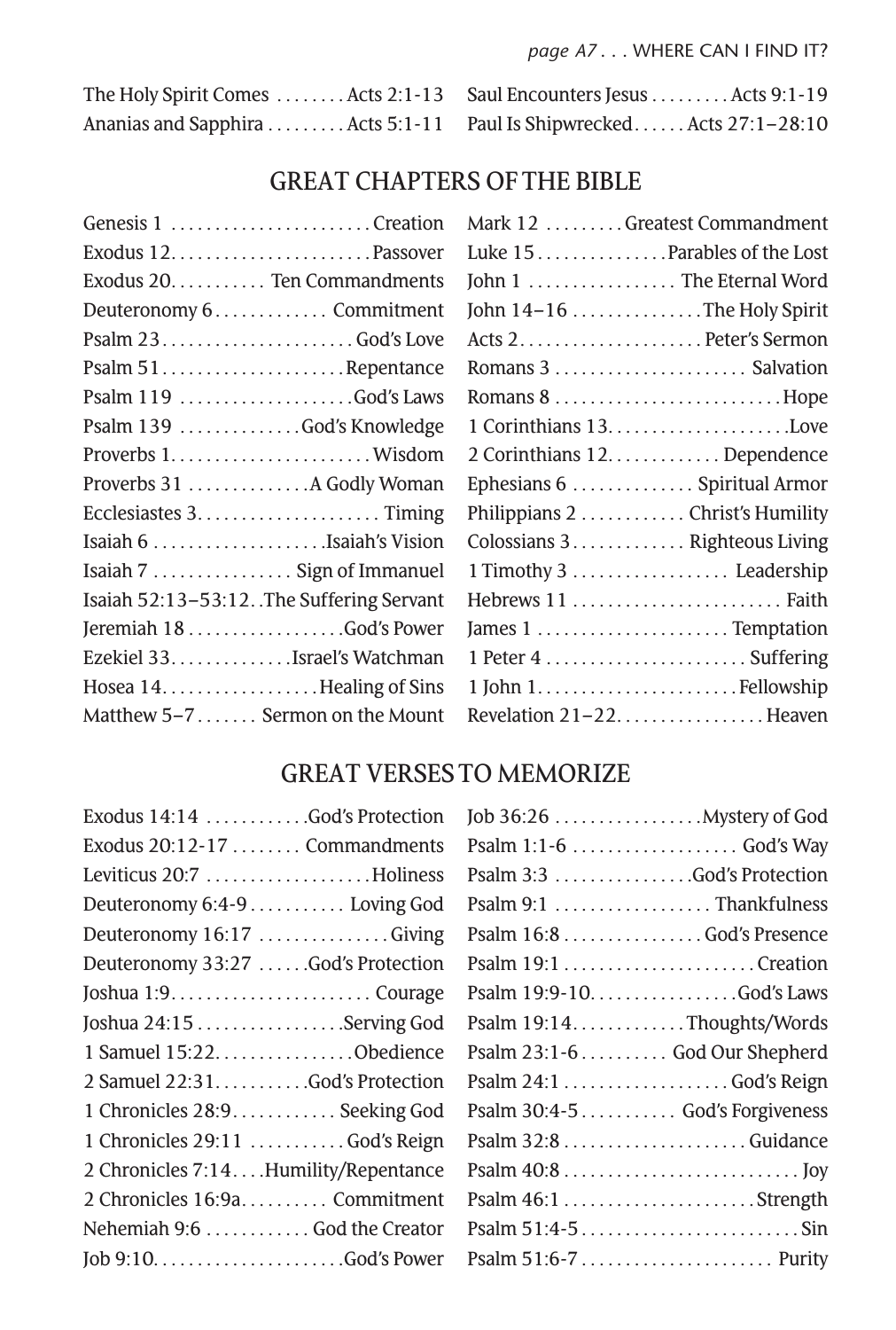| The Holy Spirit Comes Acts 2:1-13 Saul Encounters Jesus Acts 9:1-19 |                                                                      |
|---------------------------------------------------------------------|----------------------------------------------------------------------|
|                                                                     | Ananias and Sapphira Acts 5:1-11 Paul Is Shipwrecked Acts 27:1-28:10 |

## GREAT CHAPTERS OF THE BIBLE

| Genesis 1 Creation                        |  |
|-------------------------------------------|--|
|                                           |  |
| Exodus 20. Ten Commandments               |  |
| Deuteronomy 6. Commitment                 |  |
|                                           |  |
|                                           |  |
| Psalm 119 God's Laws                      |  |
| Psalm 139 God's Knowledge                 |  |
|                                           |  |
| Proverbs 31 A Godly Woman                 |  |
|                                           |  |
| Isaiah 6 Isaiah's Vision                  |  |
| Isaiah 7  Sign of Immanuel                |  |
| Isaiah 52:13-53:12. The Suffering Servant |  |
|                                           |  |
| Ezekiel 33. Israel's Watchman             |  |
| Hosea 14. Healing of Sins                 |  |
| Matthew 5-7 Sermon on the Mount           |  |

| Mark 12 Greatest Commandment     |
|----------------------------------|
| Luke 15Parables of the Lost      |
| John 1  The Eternal Word         |
| John 14–16 The Holy Spirit       |
|                                  |
|                                  |
|                                  |
|                                  |
| 2 Corinthians 12. Dependence     |
| Ephesians 6  Spiritual Armor     |
| Philippians 2  Christ's Humility |
| Colossians 3. Righteous Living   |
| 1 Timothy 3 Leadership           |
|                                  |
|                                  |
| 1 Peter 4  Suffering             |
|                                  |
| Revelation 21-22. Heaven         |

## GREAT VERSES TO MEMORIZE

| Exodus 14:14 God's Protection        |
|--------------------------------------|
| Exodus 20:12-17  Commandments        |
| Leviticus 20:7 Holiness              |
| Deuteronomy 6:4-9 Loving God         |
| Deuteronomy 16:17 Giving             |
| Deuteronomy 33:27 God's Protection   |
|                                      |
| Joshua 24:15 Serving God             |
| 1 Samuel 15:22. Obedience            |
| 2 Samuel 22:31God's Protection       |
| 1 Chronicles 28:9 Seeking God        |
| 1 Chronicles 29:11 God's Reign       |
| 2 Chronicles 7:14Humility/Repentance |
| 2 Chronicles 16:9a Commitment        |
| Nehemiah 9:6 God the Creator         |
|                                      |

| Psalm 9:1  Thankfulness        |  |
|--------------------------------|--|
| Psalm 16:8 God's Presence      |  |
|                                |  |
|                                |  |
| Psalm 19:14. Thoughts/Words    |  |
| Psalm 23:1-6 God Our Shepherd  |  |
| Psalm 24:1  God's Reign        |  |
| Psalm 30:4-5 God's Forgiveness |  |
|                                |  |
|                                |  |
|                                |  |
|                                |  |
| Psalm 51:6-7  Purity           |  |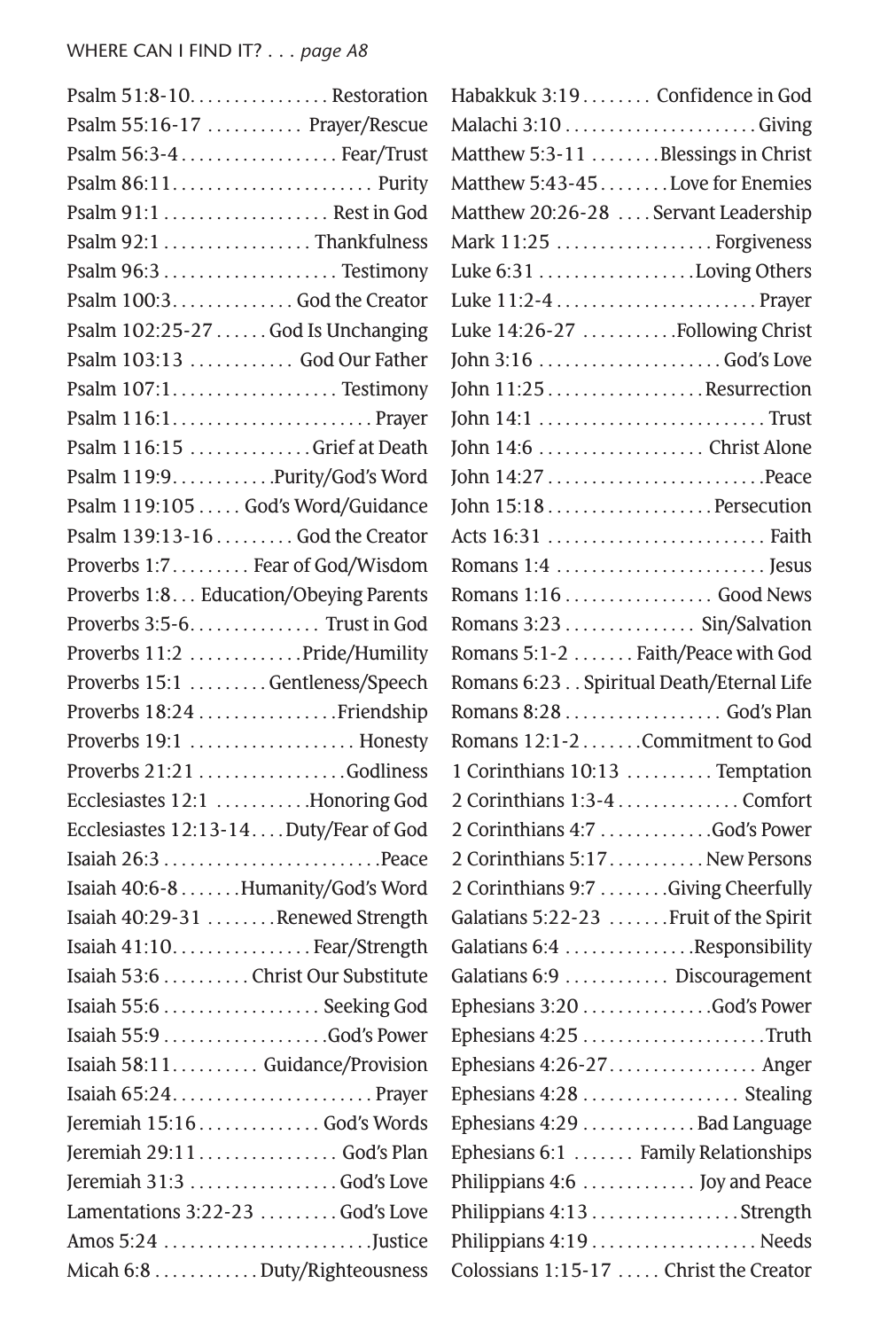| Psalm 51:8-10. Restoration             |
|----------------------------------------|
| Psalm 55:16-17  Prayer/Rescue          |
| Psalm 56:3-4 Fear/Trust                |
|                                        |
| Psalm 91:1  Rest in God                |
| Psalm 92:1  Thankfulness               |
| Psalm 96:3  Testimony                  |
| Psalm 100:3God the Creator             |
| Psalm 102:25-27 God Is Unchanging      |
| Psalm 103:13  God Our Father           |
| Psalm 107:1Testimony                   |
| Psalm 116:1 Prayer                     |
| Psalm 116:15 Grief at Death            |
| Psalm 119:9. Purity/God's Word         |
| Psalm 119:105  God's Word/Guidance     |
| Psalm 139:13-16 God the Creator        |
| Proverbs 1:7 Fear of God/Wisdom        |
| Proverbs 1:8 Education/Obeying Parents |
| Proverbs 3:5-6 Trust in God            |
| Proverbs 11:2 Pride/Humility           |
| Proverbs 15:1 Gentleness/Speech        |
| Proverbs 18:24 Friendship              |
| Proverbs 19:1  Honesty                 |
| Proverbs 21:21 Godliness               |
| Ecclesiastes 12:1 Honoring God         |
| Ecclesiastes 12:13-14Duty/Fear of God  |
|                                        |
| Isaiah 40:6-8 Humanity/God's Word      |
| Isaiah 40:29-31 Renewed Strength       |
| Isaiah 41:10. Fear/Strength            |
| Isaiah 53:6 Christ Our Substitute      |
| Isaiah 55:6  Seeking God               |
| Isaiah 55:9 God's Power                |
| Isaiah 58:11 Guidance/Provision        |
|                                        |
| Jeremiah 15:16 God's Words             |
| Jeremiah 29:11  God's Plan             |
| Jeremiah 31:3 God's Love               |
| Lamentations 3:22-23 God's Love        |
| Amos 5:24 Justice                      |
| Micah 6:8 Duty/Righteousness           |

| Habakkuk 3:19 Confidence in God          | oration       |
|------------------------------------------|---------------|
| Malachi 3:10 Giving                      | Rescue        |
| Matthew 5:3-11 Blessings in Christ       | r/Trust       |
| Matthew 5:43-45 Love for Enemies         | Purity        |
| Matthew 20:26-28  Servant Leadership     | in God        |
| Mark 11:25  Forgiveness                  | fulness       |
| Luke 6:31 Loving Others                  | timony        |
|                                          | Creator       |
| Luke 14:26-27 Following Christ           | anging        |
|                                          | Father        |
| John 11:25 Resurrection                  | timony        |
| John 14:1 Trust                          | Prayer        |
| John 14:6  Christ Alone                  | Death         |
| John 14:27 Peace                         | s Word        |
|                                          | idance        |
| Acts 16:31  Faith                        | Creator       |
| Romans 1:4  Jesus                        | /isdom        |
| Romans 1:16  Good News                   | Parents       |
| Romans 3:23  Sin/Salvation               | in God        |
| Romans 5:1-2  Faith/Peace with God       | umility       |
| Romans 6:23 Spiritual Death/Eternal Life | Speech        |
| Romans 8:28 God's Plan                   | ndship        |
| Romans 12:1-2Commitment to God           | ionesty       |
| 1 Corinthians 10:13  Temptation          | dliness       |
| 2 Corinthians 1:3-4 Comfort              | ng God        |
| 2 Corinthians 4:7 God's Power            | of God        |
| 2 Corinthians 5:17. New Persons          | .Peace        |
| 2 Corinthians 9:7 Giving Cheerfully      | s Word        |
| Galatians 5:22-23  Fruit of the Spirit   | <b>rength</b> |
| Galatians 6:4 Responsibility             | rength        |
| Galatians 6:9  Discouragement            | ostitute      |
| Ephesians 3:20 God's Power               | ng God        |
| Ephesians 4:25 Truth                     | Power         |
|                                          | ovision       |
| Ephesians 4:28  Stealing                 | Prayer        |
| Ephesians 4:29 Bad Language              | Words         |
| Ephesians 6:1  Family Relationships      | l's Plan      |
| Philippians 4:6 Joy and Peace            | l's Love      |
| Philippians 4:13 Strength                | l's Love      |
| Philippians 4:19  Needs                  | Justice       |
| Colossians 1:15-17  Christ the Creator   | usness        |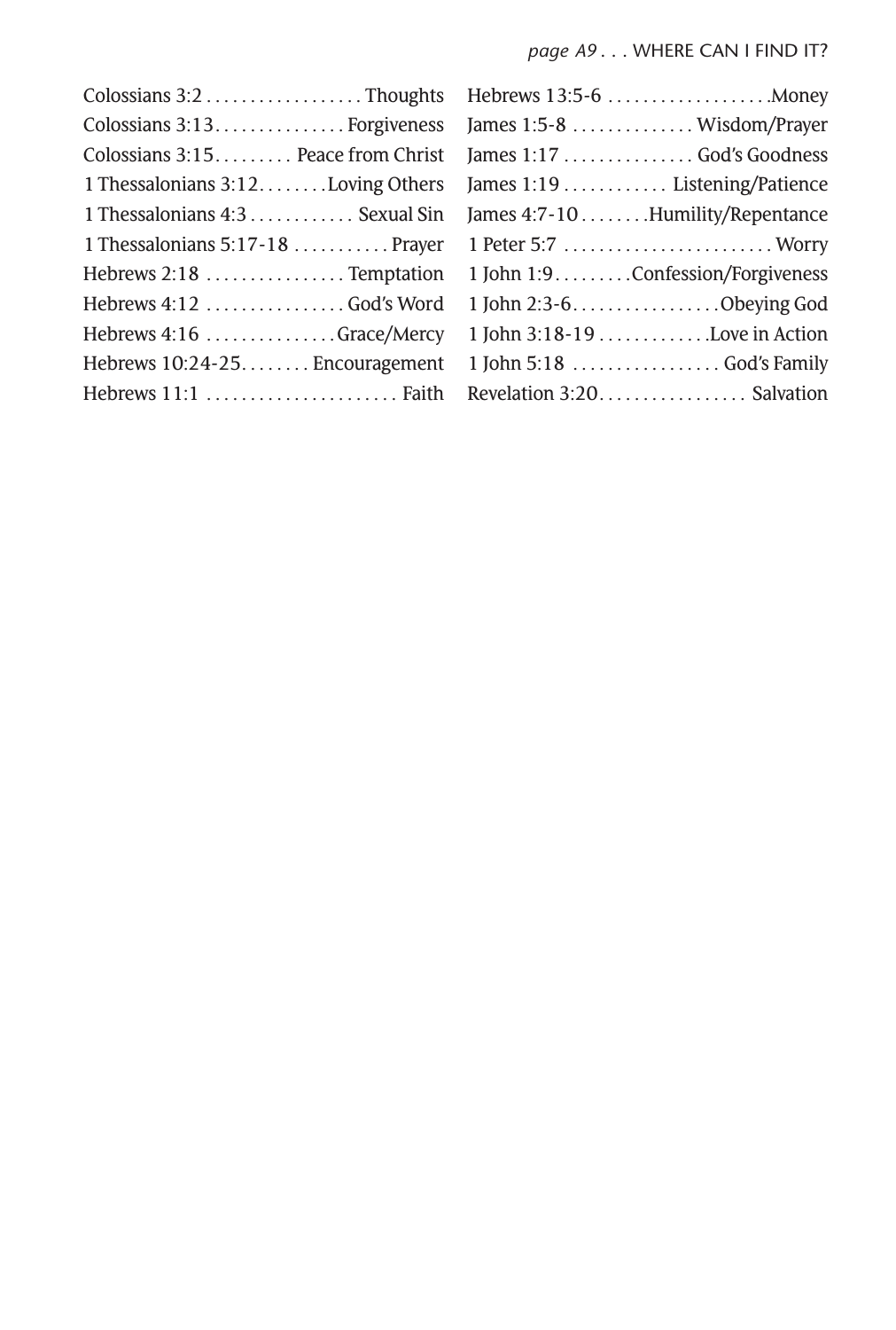| Colossians 3:2 Thoughts           |  |
|-----------------------------------|--|
| Colossians 3:13 Forgiveness       |  |
| Colossians 3:15 Peace from Christ |  |
| 1 Thessalonians 3:12Loving Others |  |
| 1 Thessalonians 4:3 Sexual Sin    |  |
| 1 Thessalonians 5:17-18  Prayer   |  |
| Hebrews 2:18  Temptation          |  |
| Hebrews 4:12 God's Word           |  |
| Hebrews 4:16 Grace/Mercy          |  |
| Hebrews 10:24-25 Encouragement    |  |
| Hebrews 11:1  Faith               |  |
|                                   |  |

| Hebrews 13:5-6 Money             |
|----------------------------------|
| James 1:5-8 Wisdom/Prayer        |
| James 1:17 God's Goodness        |
| James 1:19  Listening/Patience   |
| James 4:7-10Humility/Repentance  |
|                                  |
| 1 John 1:9Confession/Forgiveness |
| 1 John 2:3-6. Obeying God        |
| 1 John 3:18-19 Love in Action    |
| 1 John 5:18  God's Family        |
| Revelation 3:20 Salvation        |
|                                  |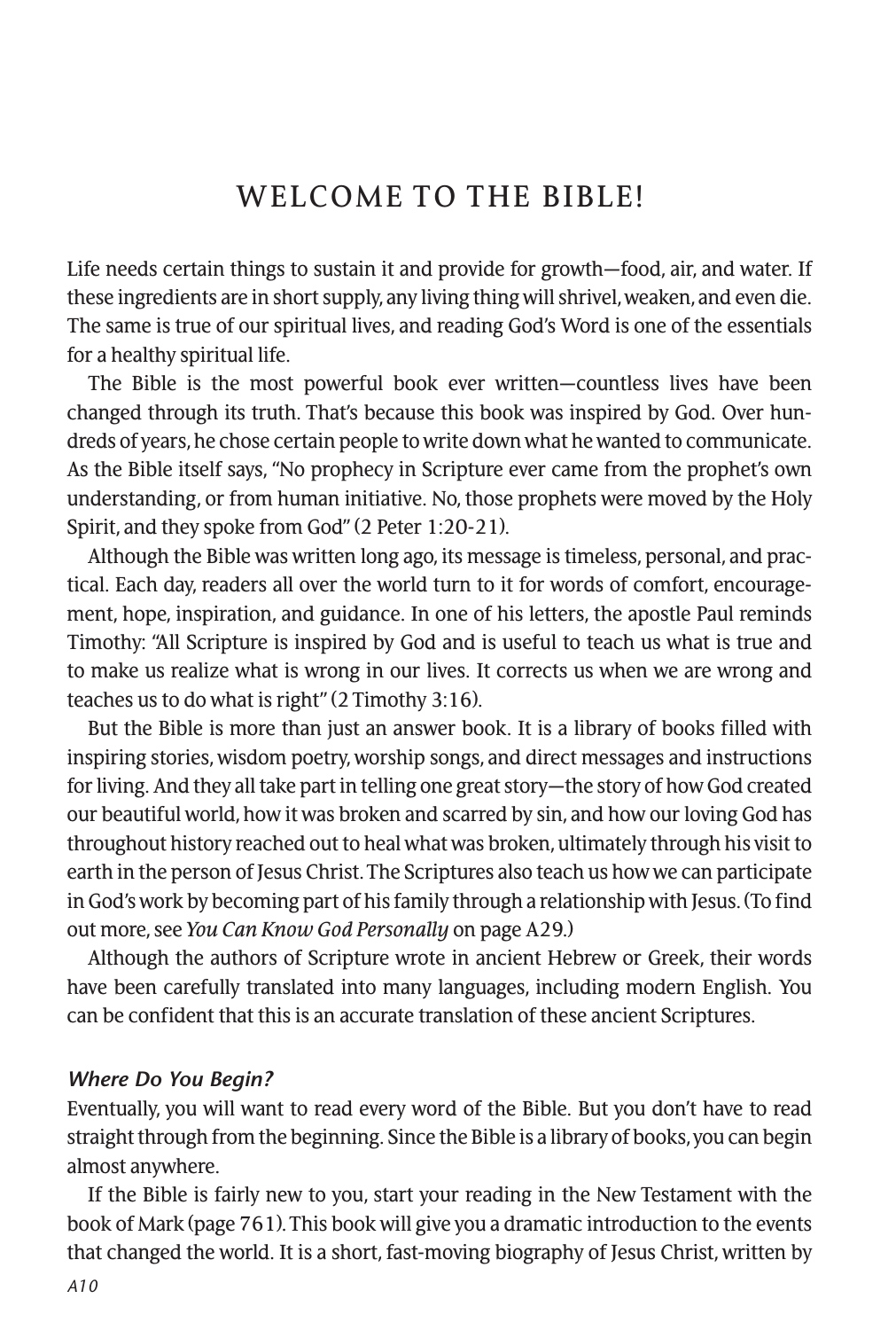## WELCOME TO THE BIBLE!

Life needs certain things to sustain it and provide for growth—food, air, and water. If these ingredients are in short supply, any living thing will shrivel, weaken, and even die. The same is true of our spiritual lives, and reading God's Word is one of the essentials for a healthy spiritual life.

The Bible is the most powerful book ever written—countless lives have been changed through its truth. That's because this book was inspired by God. Over hundreds of years, he chose certain people to write down what he wanted to communicate. As the Bible itself says, "No prophecy in Scripture ever came from the prophet's own understanding, or from human initiative. No, those prophets were moved by the Holy Spirit, and they spoke from God" (2 Peter 1:20-21).

Although the Bible was written long ago, its message is timeless, personal, and practical. Each day, readers all over the world turn to it for words of comfort, encouragement, hope, inspiration, and guidance. In one of his letters, the apostle Paul reminds Timothy: "All Scripture is inspired by God and is useful to teach us what is true and to make us realize what is wrong in our lives. It corrects us when we are wrong and teaches us to do what is right" (2 Timothy 3:16).

But the Bible is more than just an answer book. It is a library of books filled with inspiring stories, wisdom poetry, worship songs, and direct messages and instructions for living. And they all take part in telling one great story—the story of how God created our beautiful world, how it was broken and scarred by sin, and how our loving God has throughout history reached out to heal what was broken, ultimately through his visit to earth in the person of Jesus Christ. The Scriptures also teach us how we can participate in God's work by becoming part of his family through a relationship with Jesus. (To find out more, see *You Can Know God Personally* on page A29.)

Although the authors of Scripture wrote in ancient Hebrew or Greek, their words have been carefully translated into many languages, including modern English. You can be confident that this is an accurate translation of these ancient Scriptures.

## *Where Do You Begin?*

Eventually, you will want to read every word of the Bible. But you don't have to read straight through from the beginning. Since the Bible is a library of books, you can begin almost anywhere.

If the Bible is fairly new to you, start your reading in the New Testament with the book of Mark (page 761). This book will give you a dramatic introduction to the events that changed the world. It is a short, fast-moving biography of Jesus Christ, written by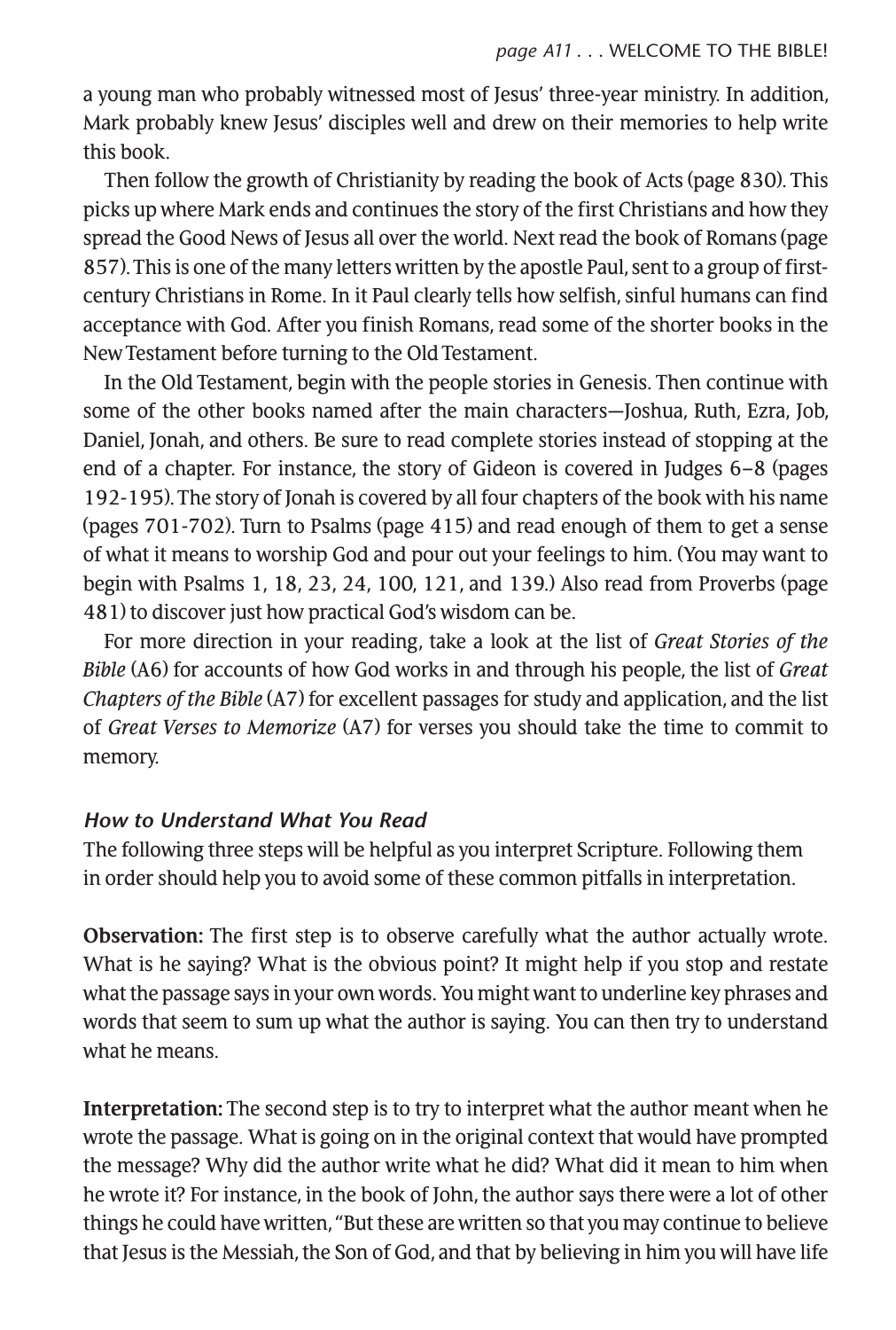a young man who probably witnessed most of Jesus' three-year ministry. In addition, Mark probably knew Jesus' disciples well and drew on their memories to help write this book.

Then follow the growth of Christianity by reading the book of Acts (page 830). This picks up where Mark ends and continues the story of the first Christians and how they spread the Good News of Jesus all over the world. Next read the book of Romans (page 857). This is one of the many letters written by the apostle Paul, sent to a group of firstcentury Christians in Rome. In it Paul clearly tells how selfish, sinful humans can find acceptance with God. After you finish Romans, read some of the shorter books in the New Testament before turning to the Old Testament.

In the Old Testament, begin with the people stories in Genesis. Then continue with some of the other books named after the main characters—Joshua, Ruth, Ezra, Job, Daniel, Jonah, and others. Be sure to read complete stories instead of stopping at the end of a chapter. For instance, the story of Gideon is covered in Judges 6–8 (pages 192-195). The story of Jonah is covered by all four chapters of the book with his name (pages 701-702). Turn to Psalms (page 415) and read enough of them to get a sense of what it means to worship God and pour out your feelings to him. (You may want to begin with Psalms 1, 18, 23, 24, 100, 121, and 139.) Also read from Proverbs (page 481) to discover just how practical God's wisdom can be.

For more direction in your reading, take a look at the list of *Great Stories of the Bible* (A6) for accounts of how God works in and through his people, the list of *Great Chapters of the Bible* (A7) for excellent passages for study and application, and the list of *Great Verses to Memorize* (A7) for verses you should take the time to commit to memory.

## *How to Understand What You Read*

The following three steps will be helpful as you interpret Scripture. Following them in order should help you to avoid some of these common pitfalls in interpretation.

**Observation:** The first step is to observe carefully what the author actually wrote. What is he saying? What is the obvious point? It might help if you stop and restate what the passage says in your own words. You might want to underline key phrases and words that seem to sum up what the author is saying. You can then try to understand what he means.

**Interpretation:** The second step is to try to interpret what the author meant when he wrote the passage. What is going on in the original context that would have prompted the message? Why did the author write what he did? What did it mean to him when he wrote it? For instance, in the book of John, the author says there were a lot of other things he could have written, "But these are written so that you may continue to believe that Jesus is the Messiah, the Son of God, and that by believing in him you will have life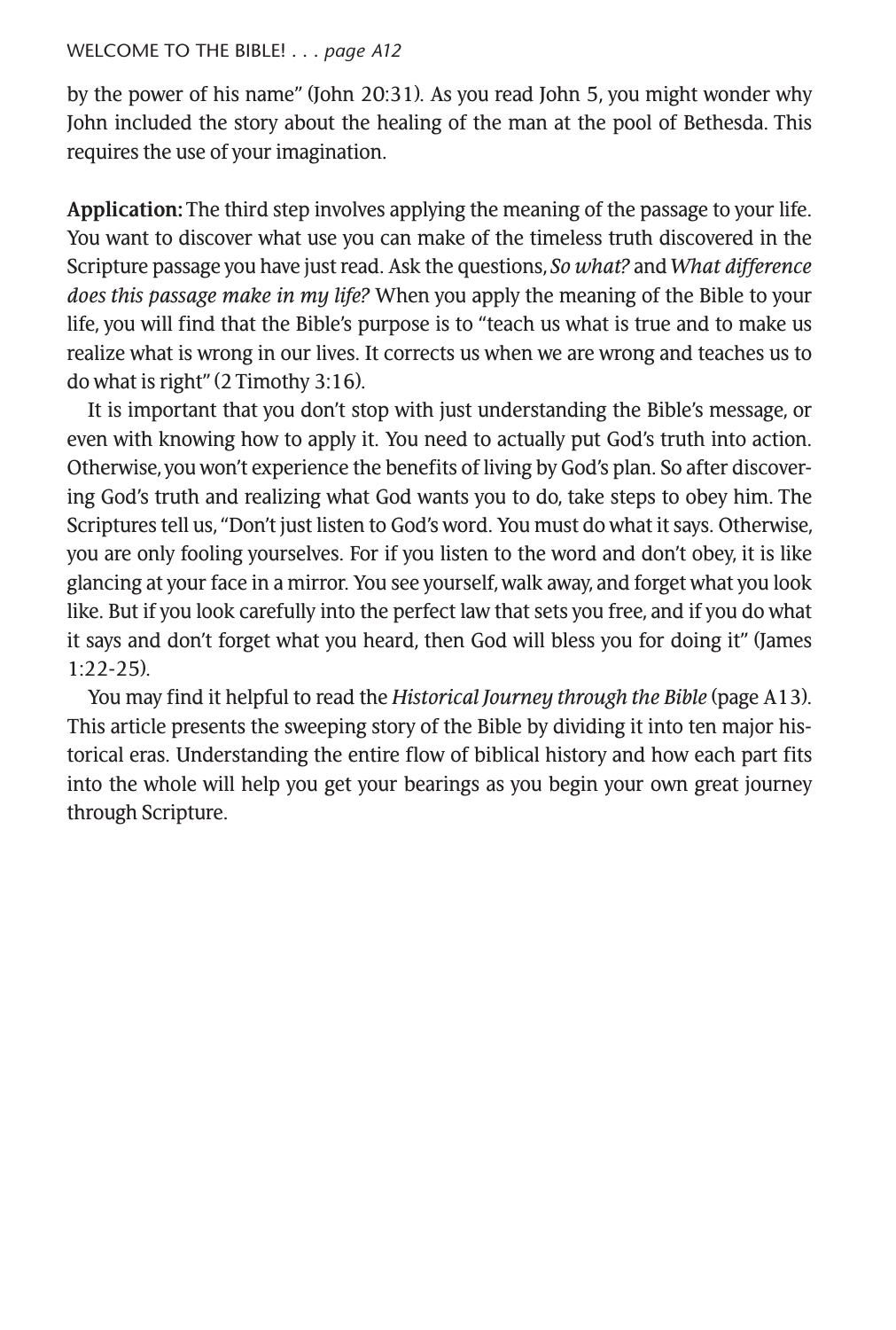WELCOME TO THE BIBLE! . . . *page A12*

by the power of his name" (John 20:31). As you read John 5, you might wonder why John included the story about the healing of the man at the pool of Bethesda. This requires the use of your imagination.

**Application:** The third step involves applying the meaning of the passage to your life. You want to discover what use you can make of the timeless truth discovered in the Scripture passage you have just read. Ask the questions, *So what?* and *What difference does this passage make in my life?* When you apply the meaning of the Bible to your life, you will find that the Bible's purpose is to "teach us what is true and to make us realize what is wrong in our lives. It corrects us when we are wrong and teaches us to do what is right" (2 Timothy 3:16).

It is important that you don't stop with just understanding the Bible's message, or even with knowing how to apply it. You need to actually put God's truth into action. Otherwise, you won't experience the benefits of living by God's plan. So after discovering God's truth and realizing what God wants you to do, take steps to obey him. The Scriptures tell us, "Don't just listen to God's word. You must do what it says. Otherwise, you are only fooling yourselves. For if you listen to the word and don't obey, it is like glancing at your face in a mirror. You see yourself, walk away, and forget what you look like. But if you look carefully into the perfect law that sets you free, and if you do what it says and don't forget what you heard, then God will bless you for doing it" (James  $1:22-25$ 

You may find it helpful to read the *Historical Journey through the Bible* (page A13). This article presents the sweeping story of the Bible by dividing it into ten major historical eras. Understanding the entire flow of biblical history and how each part fits into the whole will help you get your bearings as you begin your own great journey through Scripture.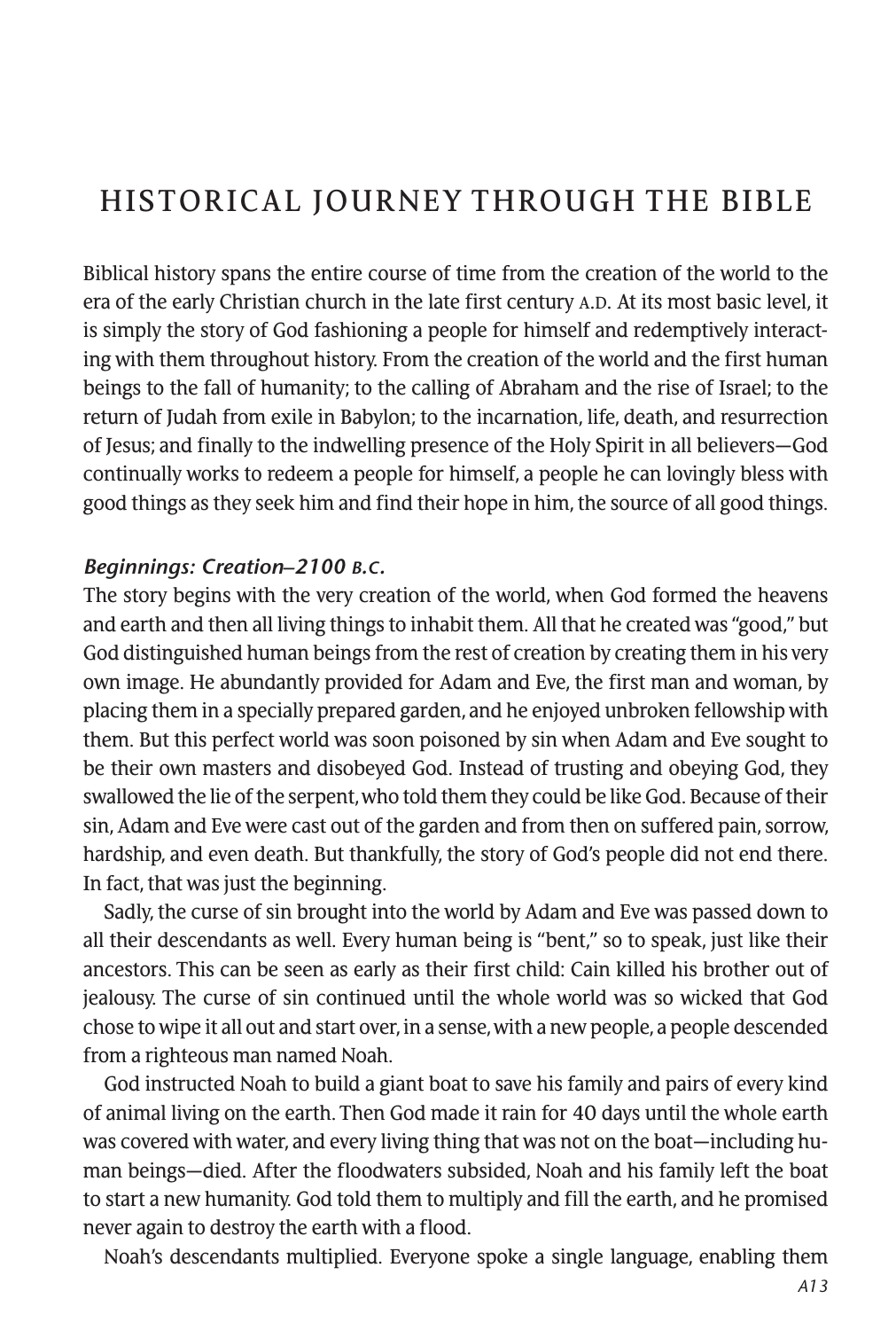## HISTORICAL JOURNEY THROUGH THE BIBLE

Biblical history spans the entire course of time from the creation of the world to the era of the early Christian church in the late first century A.D. At its most basic level, it is simply the story of God fashioning a people for himself and redemptively interacting with them throughout history. From the creation of the world and the first human beings to the fall of humanity; to the calling of Abraham and the rise of Israel; to the return of Judah from exile in Babylon; to the incarnation, life, death, and resurrection of Jesus; and finally to the indwelling presence of the Holy Spirit in all believers—God continually works to redeem a people for himself, a people he can lovingly bless with good things as they seek him and find their hope in him, the source of all good things.

## *Beginnings: Creation–2100 B.C.*

The story begins with the very creation of the world, when God formed the heavens and earth and then all living things to inhabit them. All that he created was "good," but God distinguished human beings from the rest of creation by creating them in his very own image. He abundantly provided for Adam and Eve, the first man and woman, by placing them in a specially prepared garden, and he enjoyed unbroken fellowship with them. But this perfect world was soon poisoned by sin when Adam and Eve sought to be their own masters and disobeyed God. Instead of trusting and obeying God, they swallowed the lie of the serpent, who told them they could be like God. Because of their sin, Adam and Eve were cast out of the garden and from then on suffered pain, sorrow, hardship, and even death. But thankfully, the story of God's people did not end there. In fact, that was just the beginning.

Sadly, the curse of sin brought into the world by Adam and Eve was passed down to all their descendants as well. Every human being is "bent," so to speak, just like their ancestors. This can be seen as early as their first child: Cain killed his brother out of jealousy. The curse of sin continued until the whole world was so wicked that God chose to wipe it all out and start over, in a sense, with a new people, a people descended from a righteous man named Noah.

God instructed Noah to build a giant boat to save his family and pairs of every kind of animal living on the earth. Then God made it rain for 40 days until the whole earth was covered with water, and every living thing that was not on the boat—including human beings—died. After the floodwaters subsided, Noah and his family left the boat to start a new humanity. God told them to multiply and fill the earth, and he promised never again to destroy the earth with a flood.

Noah's descendants multiplied. Everyone spoke a single language, enabling them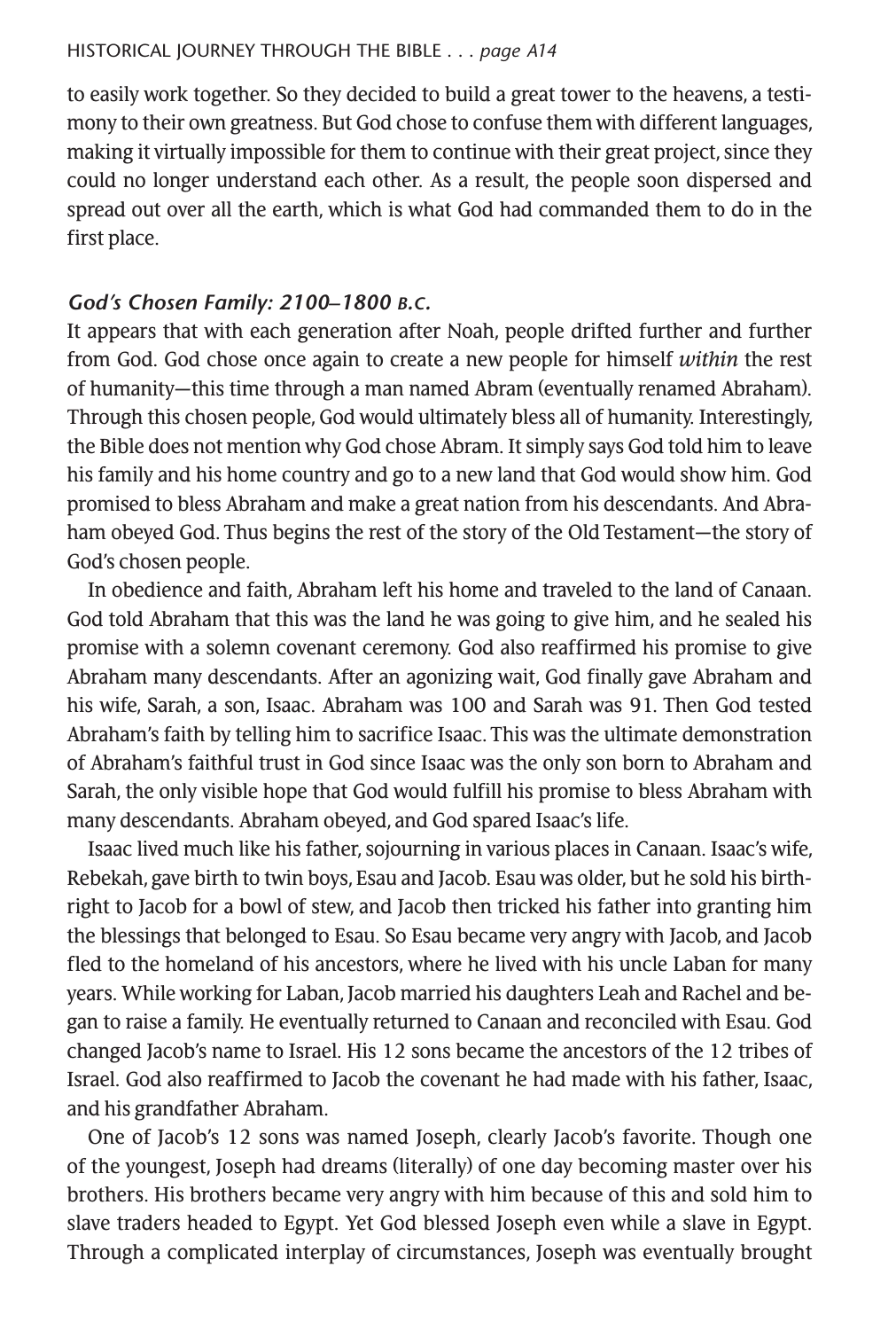to easily work together. So they decided to build a great tower to the heavens, a testimony to their own greatness. But God chose to confuse them with different languages, making it virtually impossible for them to continue with their great project, since they could no longer understand each other. As a result, the people soon dispersed and spread out over all the earth, which is what God had commanded them to do in the first place.

## *God's Chosen Family: 2100–1800 B.C.*

It appears that with each generation after Noah, people drifted further and further from God. God chose once again to create a new people for himself *within* the rest of humanity—this time through a man named Abram (eventually renamed Abraham). Through this chosen people, God would ultimately bless all of humanity. Interestingly, the Bible does not mention why God chose Abram. It simply says God told him to leave his family and his home country and go to a new land that God would show him. God promised to bless Abraham and make a great nation from his descendants. And Abraham obeyed God. Thus begins the rest of the story of the Old Testament—the story of God's chosen people.

In obedience and faith, Abraham left his home and traveled to the land of Canaan. God told Abraham that this was the land he was going to give him, and he sealed his promise with a solemn covenant ceremony. God also reaffirmed his promise to give Abraham many descendants. After an agonizing wait, God finally gave Abraham and his wife, Sarah, a son, Isaac. Abraham was 100 and Sarah was 91. Then God tested Abraham's faith by telling him to sacrifice Isaac. This was the ultimate demonstration of Abraham's faithful trust in God since Isaac was the only son born to Abraham and Sarah, the only visible hope that God would fulfill his promise to bless Abraham with many descendants. Abraham obeyed, and God spared Isaac's life.

Isaac lived much like his father, sojourning in various places in Canaan. Isaac's wife, Rebekah, gave birth to twin boys, Esau and Jacob. Esau was older, but he sold his birthright to Jacob for a bowl of stew, and Jacob then tricked his father into granting him the blessings that belonged to Esau. So Esau became very angry with Jacob, and Jacob fled to the homeland of his ancestors, where he lived with his uncle Laban for many years. While working for Laban, Jacob married his daughters Leah and Rachel and began to raise a family. He eventually returned to Canaan and reconciled with Esau. God changed Jacob's name to Israel. His 12 sons became the ancestors of the 12 tribes of Israel. God also reaffirmed to Jacob the covenant he had made with his father, Isaac, and his grandfather Abraham.

One of Jacob's 12 sons was named Joseph, clearly Jacob's favorite. Though one of the youngest, Joseph had dreams (literally) of one day becoming master over his brothers. His brothers became very angry with him because of this and sold him to slave traders headed to Egypt. Yet God blessed Joseph even while a slave in Egypt. Through a complicated interplay of circumstances, Joseph was eventually brought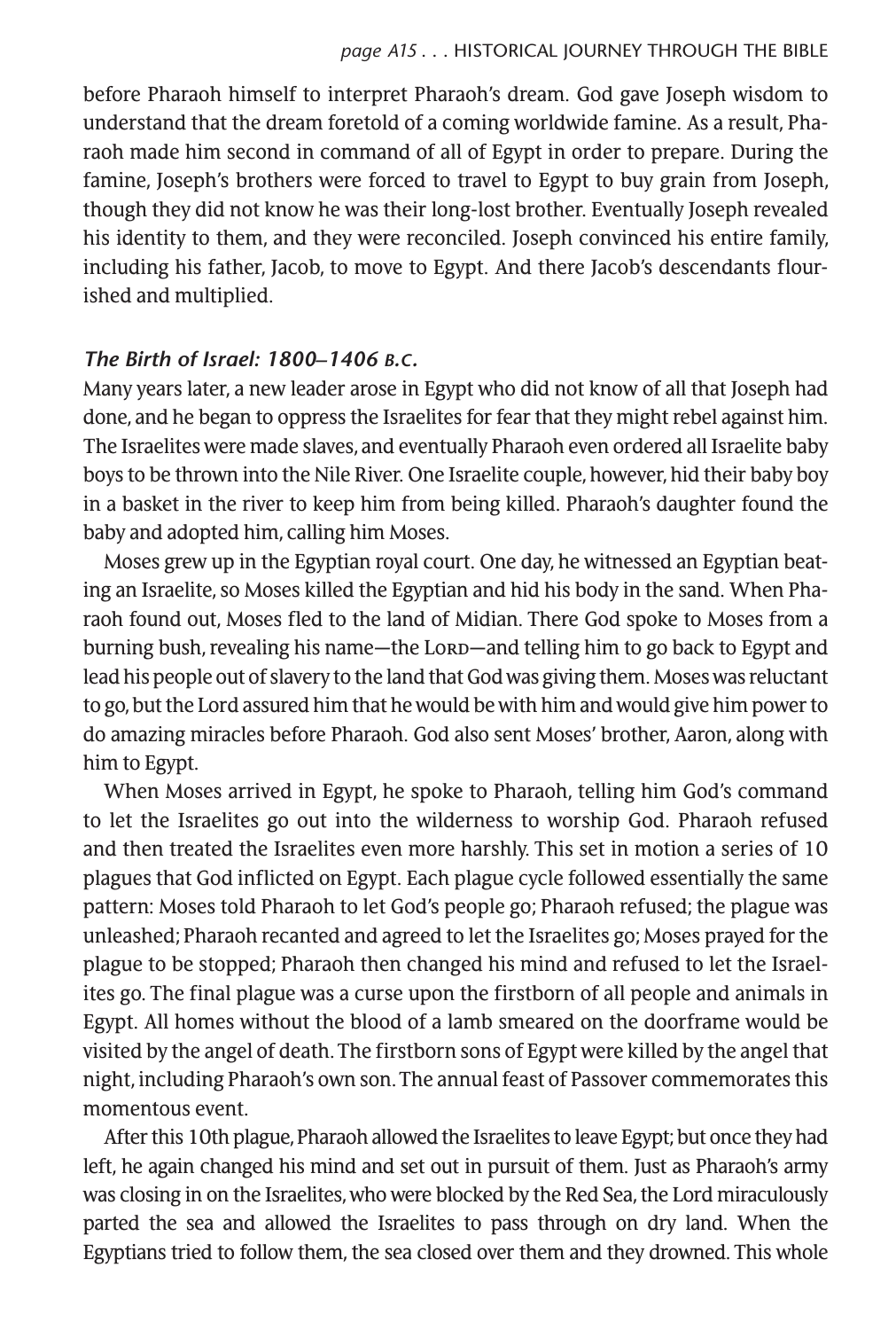before Pharaoh himself to interpret Pharaoh's dream. God gave Joseph wisdom to understand that the dream foretold of a coming worldwide famine. As a result, Pharaoh made him second in command of all of Egypt in order to prepare. During the famine, Joseph's brothers were forced to travel to Egypt to buy grain from Joseph, though they did not know he was their long-lost brother. Eventually Joseph revealed his identity to them, and they were reconciled. Joseph convinced his entire family, including his father, Jacob, to move to Egypt. And there Jacob's descendants flourished and multiplied.

## *The Birth of Israel: 1800–1406 B.C.*

Many years later, a new leader arose in Egypt who did not know of all that Joseph had done, and he began to oppress the Israelites for fear that they might rebel against him. The Israelites were made slaves, and eventually Pharaoh even ordered all Israelite baby boys to be thrown into the Nile River. One Israelite couple, however, hid their baby boy in a basket in the river to keep him from being killed. Pharaoh's daughter found the baby and adopted him, calling him Moses.

Moses grew up in the Egyptian royal court. One day, he witnessed an Egyptian beating an Israelite, so Moses killed the Egyptian and hid his body in the sand. When Pharaoh found out, Moses fled to the land of Midian. There God spoke to Moses from a burning bush, revealing his name—the Lord—and telling him to go back to Egypt and lead his people out of slavery to the land that God was giving them. Moses was reluctant to go, but the Lord assured him that he would be with him and would give him power to do amazing miracles before Pharaoh. God also sent Moses' brother, Aaron, along with him to Egypt.

When Moses arrived in Egypt, he spoke to Pharaoh, telling him God's command to let the Israelites go out into the wilderness to worship God. Pharaoh refused and then treated the Israelites even more harshly. This set in motion a series of 10 plagues that God inflicted on Egypt. Each plague cycle followed essentially the same pattern: Moses told Pharaoh to let God's people go; Pharaoh refused; the plague was unleashed; Pharaoh recanted and agreed to let the Israelites go; Moses prayed for the plague to be stopped; Pharaoh then changed his mind and refused to let the Israelites go. The final plague was a curse upon the firstborn of all people and animals in Egypt. All homes without the blood of a lamb smeared on the doorframe would be visited by the angel of death. The firstborn sons of Egypt were killed by the angel that night, including Pharaoh's own son. The annual feast of Passover commemorates this momentous event.

After this 10th plague, Pharaoh allowed the Israelites to leave Egypt; but once they had left, he again changed his mind and set out in pursuit of them. Just as Pharaoh's army was closing in on the Israelites, who were blocked by the Red Sea, the Lord miraculously parted the sea and allowed the Israelites to pass through on dry land. When the Egyptians tried to follow them, the sea closed over them and they drowned. This whole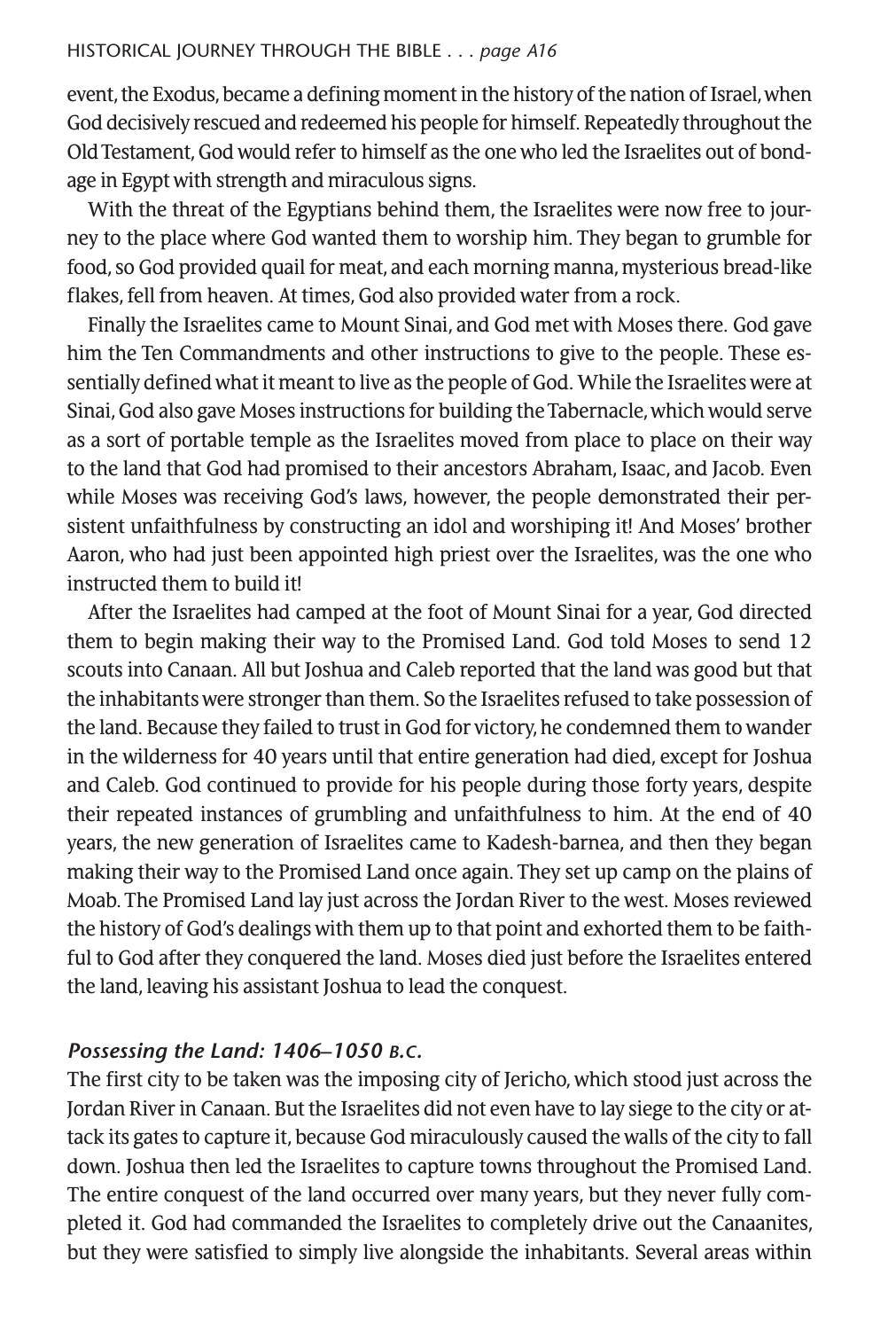event, the Exodus, became a defining moment in the history of the nation of Israel, when God decisively rescued and redeemed his people for himself. Repeatedly throughout the Old Testament, God would refer to himself as the one who led the Israelites out of bondage in Egypt with strength and miraculous signs.

With the threat of the Egyptians behind them, the Israelites were now free to journey to the place where God wanted them to worship him. They began to grumble for food, so God provided quail for meat, and each morning manna, mysterious bread-like flakes, fell from heaven. At times, God also provided water from a rock.

Finally the Israelites came to Mount Sinai, and God met with Moses there. God gave him the Ten Commandments and other instructions to give to the people. These essentially defined what it meant to live as the people of God. While the Israelites were at Sinai, God also gave Moses instructions for building the Tabernacle, which would serve as a sort of portable temple as the Israelites moved from place to place on their way to the land that God had promised to their ancestors Abraham, Isaac, and Jacob. Even while Moses was receiving God's laws, however, the people demonstrated their persistent unfaithfulness by constructing an idol and worshiping it! And Moses' brother Aaron, who had just been appointed high priest over the Israelites, was the one who instructed them to build it!

After the Israelites had camped at the foot of Mount Sinai for a year, God directed them to begin making their way to the Promised Land. God told Moses to send 12 scouts into Canaan. All but Joshua and Caleb reported that the land was good but that the inhabitants were stronger than them. So the Israelites refused to take possession of the land. Because they failed to trust in God for victory, he condemned them to wander in the wilderness for 40 years until that entire generation had died, except for Joshua and Caleb. God continued to provide for his people during those forty years, despite their repeated instances of grumbling and unfaithfulness to him. At the end of 40 years, the new generation of Israelites came to Kadesh-barnea, and then they began making their way to the Promised Land once again. They set up camp on the plains of Moab. The Promised Land lay just across the Jordan River to the west. Moses reviewed the history of God's dealings with them up to that point and exhorted them to be faithful to God after they conquered the land. Moses died just before the Israelites entered the land, leaving his assistant Joshua to lead the conquest.

## *Possessing the Land: 1406–1050 B.C.*

The first city to be taken was the imposing city of Jericho, which stood just across the Jordan River in Canaan. But the Israelites did not even have to lay siege to the city or attack its gates to capture it, because God miraculously caused the walls of the city to fall down. Joshua then led the Israelites to capture towns throughout the Promised Land. The entire conquest of the land occurred over many years, but they never fully completed it. God had commanded the Israelites to completely drive out the Canaanites, but they were satisfied to simply live alongside the inhabitants. Several areas within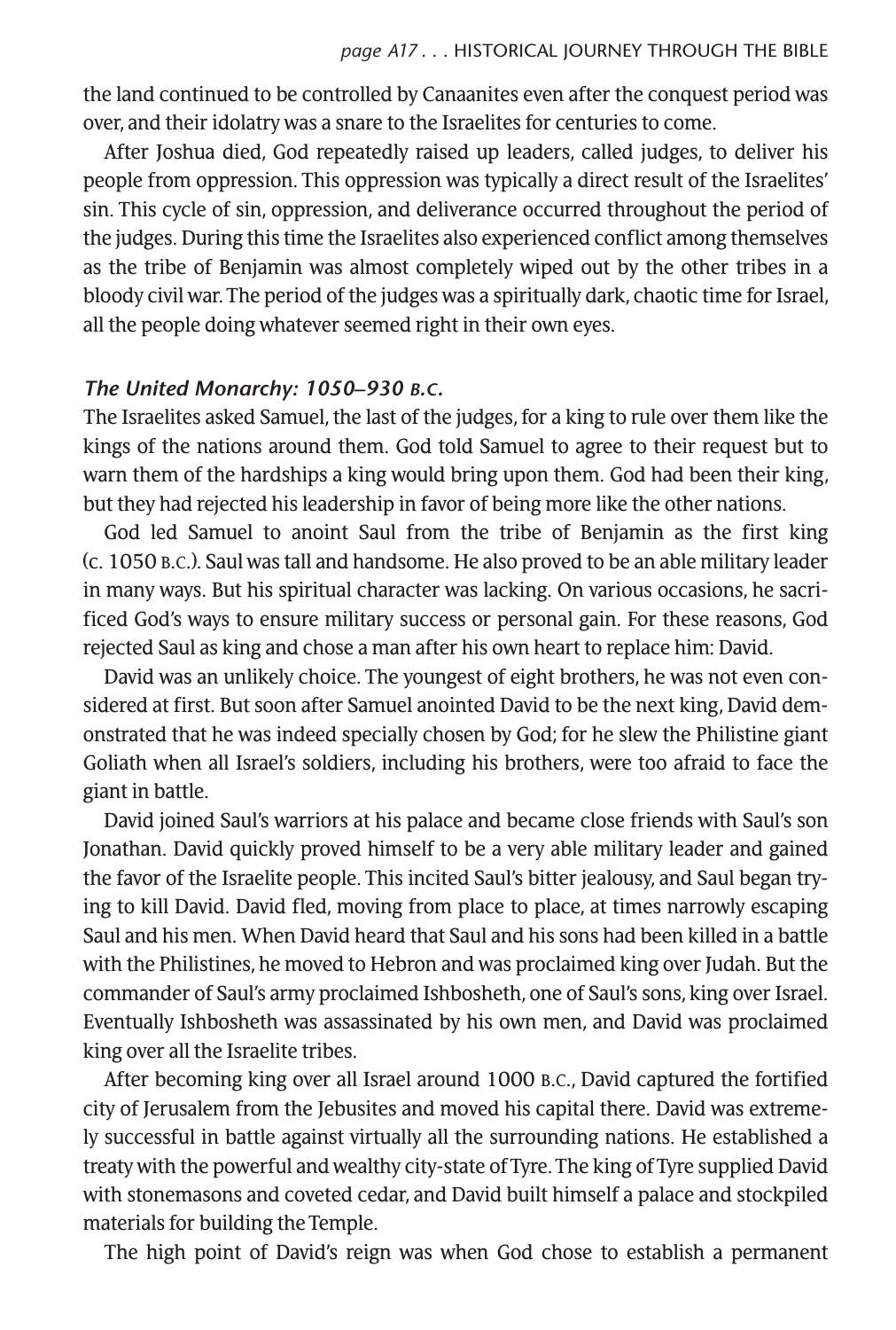the land continued to be controlled by Canaanites even after the conquest period was over, and their idolatry was a snare to the Israelites for centuries to come.

After Joshua died, God repeatedly raised up leaders, called judges, to deliver his people from oppression. This oppression was typically a direct result of the Israelites' sin. This cycle of sin, oppression, and deliverance occurred throughout the period of the judges. During this time the Israelites also experienced conflict among themselves as the tribe of Benjamin was almost completely wiped out by the other tribes in a bloody civil war. The period of the judges was a spiritually dark, chaotic time for Israel, all the people doing whatever seemed right in their own eyes.

## *The United Monarchy: 1050–930 B.C.*

The Israelites asked Samuel, the last of the judges, for a king to rule over them like the kings of the nations around them. God told Samuel to agree to their request but to warn them of the hardships a king would bring upon them. God had been their king, but they had rejected his leadership in favor of being more like the other nations.

God led Samuel to anoint Saul from the tribe of Benjamin as the first king (c. 1050 B.C.). Saul was tall and handsome. He also proved to be an able military leader in many ways. But his spiritual character was lacking. On various occasions, he sacrificed God's ways to ensure military success or personal gain. For these reasons, God rejected Saul as king and chose a man after his own heart to replace him: David.

David was an unlikely choice. The youngest of eight brothers, he was not even considered at first. But soon after Samuel anointed David to be the next king, David demonstrated that he was indeed specially chosen by God; for he slew the Philistine giant Goliath when all Israel's soldiers, including his brothers, were too afraid to face the giant in battle.

David joined Saul's warriors at his palace and became close friends with Saul's son Jonathan. David quickly proved himself to be a very able military leader and gained the favor of the Israelite people. This incited Saul's bitter jealousy, and Saul began trying to kill David. David fled, moving from place to place, at times narrowly escaping Saul and his men. When David heard that Saul and his sons had been killed in a battle with the Philistines, he moved to Hebron and was proclaimed king over Judah. But the commander of Saul's army proclaimed Ishbosheth, one of Saul's sons, king over Israel. Eventually Ishbosheth was assassinated by his own men, and David was proclaimed king over all the Israelite tribes.

After becoming king over all Israel around 1000 B.C., David captured the fortified city of Jerusalem from the Jebusites and moved his capital there. David was extremely successful in battle against virtually all the surrounding nations. He established a treaty with the powerful and wealthy city-state of Tyre. The king of Tyre supplied David with stonemasons and coveted cedar, and David built himself a palace and stockpiled materials for building the Temple.

The high point of David's reign was when God chose to establish a permanent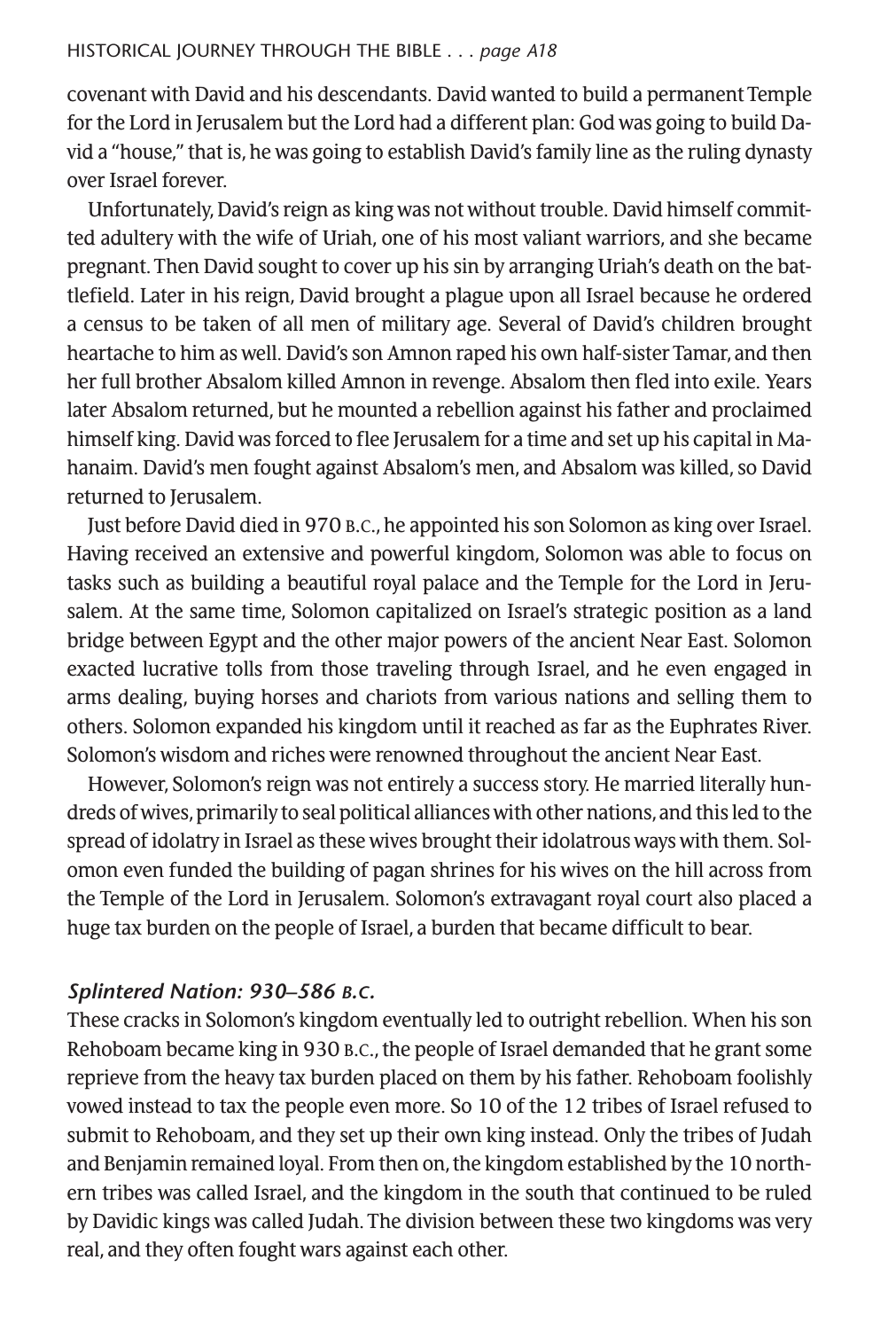covenant with David and his descendants. David wanted to build a permanent Temple for the Lord in Jerusalem but the Lord had a different plan: God was going to build David a "house," that is, he was going to establish David's family line as the ruling dynasty over Israel forever.

Unfortunately, David's reign as king was not without trouble. David himself committed adultery with the wife of Uriah, one of his most valiant warriors, and she became pregnant. Then David sought to cover up his sin by arranging Uriah's death on the battlefield. Later in his reign, David brought a plague upon all Israel because he ordered a census to be taken of all men of military age. Several of David's children brought heartache to him as well. David's son Amnon raped his own half-sister Tamar, and then her full brother Absalom killed Amnon in revenge. Absalom then fled into exile. Years later Absalom returned, but he mounted a rebellion against his father and proclaimed himself king. David was forced to flee Jerusalem for a time and set up his capital in Mahanaim. David's men fought against Absalom's men, and Absalom was killed, so David returned to Jerusalem.

Just before David died in 970 B.C., he appointed his son Solomon as king over Israel. Having received an extensive and powerful kingdom, Solomon was able to focus on tasks such as building a beautiful royal palace and the Temple for the Lord in Jerusalem. At the same time, Solomon capitalized on Israel's strategic position as a land bridge between Egypt and the other major powers of the ancient Near East. Solomon exacted lucrative tolls from those traveling through Israel, and he even engaged in arms dealing, buying horses and chariots from various nations and selling them to others. Solomon expanded his kingdom until it reached as far as the Euphrates River. Solomon's wisdom and riches were renowned throughout the ancient Near East.

However, Solomon's reign was not entirely a success story. He married literally hundreds of wives, primarily to seal political alliances with other nations, and this led to the spread of idolatry in Israel as these wives brought their idolatrous ways with them. Solomon even funded the building of pagan shrines for his wives on the hill across from the Temple of the Lord in Jerusalem. Solomon's extravagant royal court also placed a huge tax burden on the people of Israel, a burden that became difficult to bear.

## *Splintered Nation: 930–586 B.C.*

These cracks in Solomon's kingdom eventually led to outright rebellion. When his son Rehoboam became king in 930 B.C., the people of Israel demanded that he grant some reprieve from the heavy tax burden placed on them by his father. Rehoboam foolishly vowed instead to tax the people even more. So 10 of the 12 tribes of Israel refused to submit to Rehoboam, and they set up their own king instead. Only the tribes of Judah and Benjamin remained loyal. From then on, the kingdom established by the 10 northern tribes was called Israel, and the kingdom in the south that continued to be ruled by Davidic kings was called Judah. The division between these two kingdoms was very real, and they often fought wars against each other.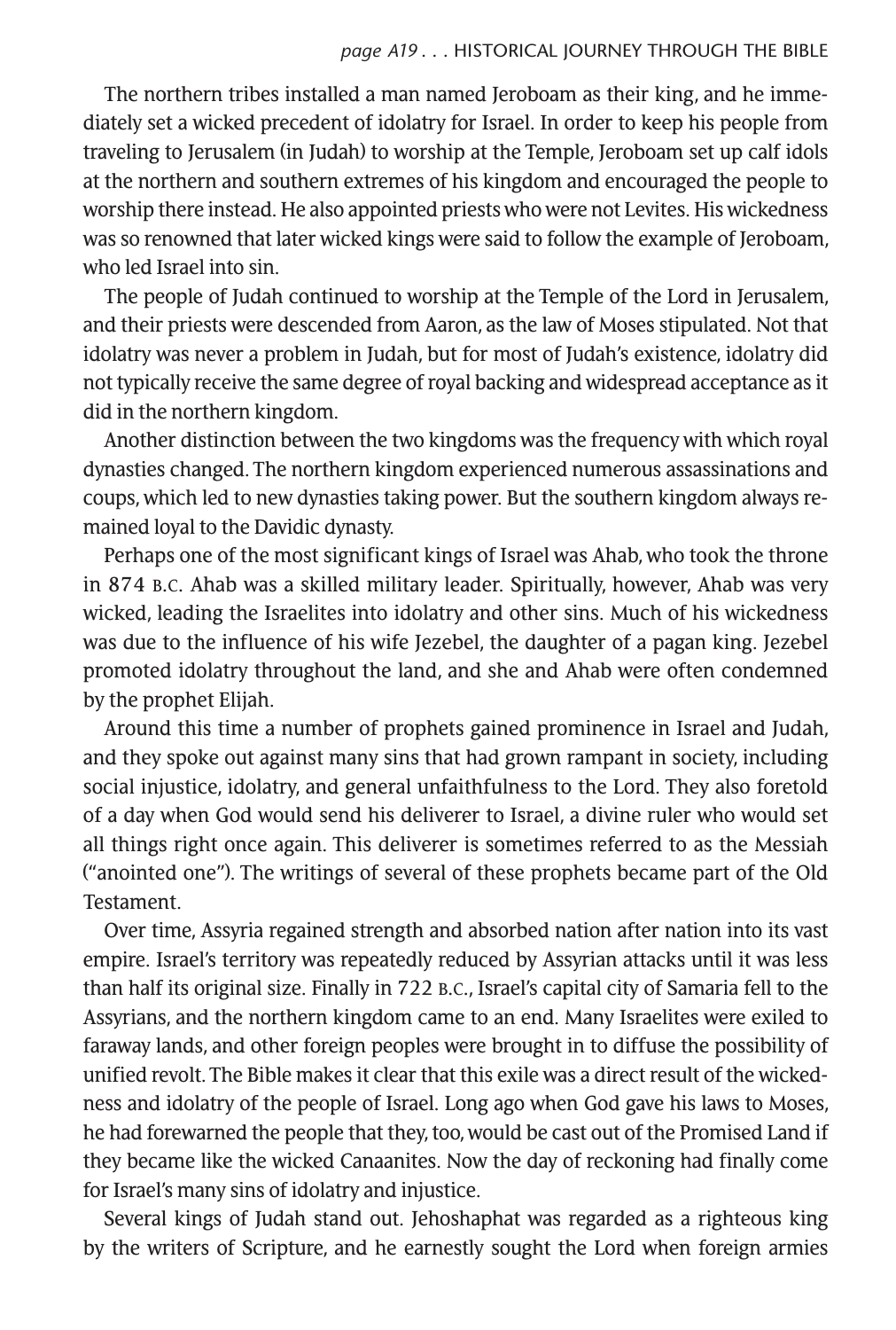The northern tribes installed a man named Jeroboam as their king, and he immediately set a wicked precedent of idolatry for Israel. In order to keep his people from traveling to Jerusalem (in Judah) to worship at the Temple, Jeroboam set up calf idols at the northern and southern extremes of his kingdom and encouraged the people to worship there instead. He also appointed priests who were not Levites. His wickedness was so renowned that later wicked kings were said to follow the example of Jeroboam, who led Israel into sin.

The people of Judah continued to worship at the Temple of the Lord in Jerusalem, and their priests were descended from Aaron, as the law of Moses stipulated. Not that idolatry was never a problem in Judah, but for most of Judah's existence, idolatry did not typically receive the same degree of royal backing and widespread acceptance as it did in the northern kingdom.

Another distinction between the two kingdoms was the frequency with which royal dynasties changed. The northern kingdom experienced numerous assassinations and coups, which led to new dynasties taking power. But the southern kingdom always remained loyal to the Davidic dynasty.

Perhaps one of the most significant kings of Israel was Ahab, who took the throne in 874 B.C. Ahab was a skilled military leader. Spiritually, however, Ahab was very wicked, leading the Israelites into idolatry and other sins. Much of his wickedness was due to the influence of his wife Jezebel, the daughter of a pagan king. Jezebel promoted idolatry throughout the land, and she and Ahab were often condemned by the prophet Elijah.

Around this time a number of prophets gained prominence in Israel and Judah, and they spoke out against many sins that had grown rampant in society, including social injustice, idolatry, and general unfaithfulness to the Lord. They also foretold of a day when God would send his deliverer to Israel, a divine ruler who would set all things right once again. This deliverer is sometimes referred to as the Messiah ("anointed one"). The writings of several of these prophets became part of the Old **Testament** 

Over time, Assyria regained strength and absorbed nation after nation into its vast empire. Israel's territory was repeatedly reduced by Assyrian attacks until it was less than half its original size. Finally in 722 B.C., Israel's capital city of Samaria fell to the Assyrians, and the northern kingdom came to an end. Many Israelites were exiled to faraway lands, and other foreign peoples were brought in to diffuse the possibility of unified revolt. The Bible makes it clear that this exile was a direct result of the wickedness and idolatry of the people of Israel. Long ago when God gave his laws to Moses, he had forewarned the people that they, too, would be cast out of the Promised Land if they became like the wicked Canaanites. Now the day of reckoning had finally come for Israel's many sins of idolatry and injustice.

Several kings of Judah stand out. Jehoshaphat was regarded as a righteous king by the writers of Scripture, and he earnestly sought the Lord when foreign armies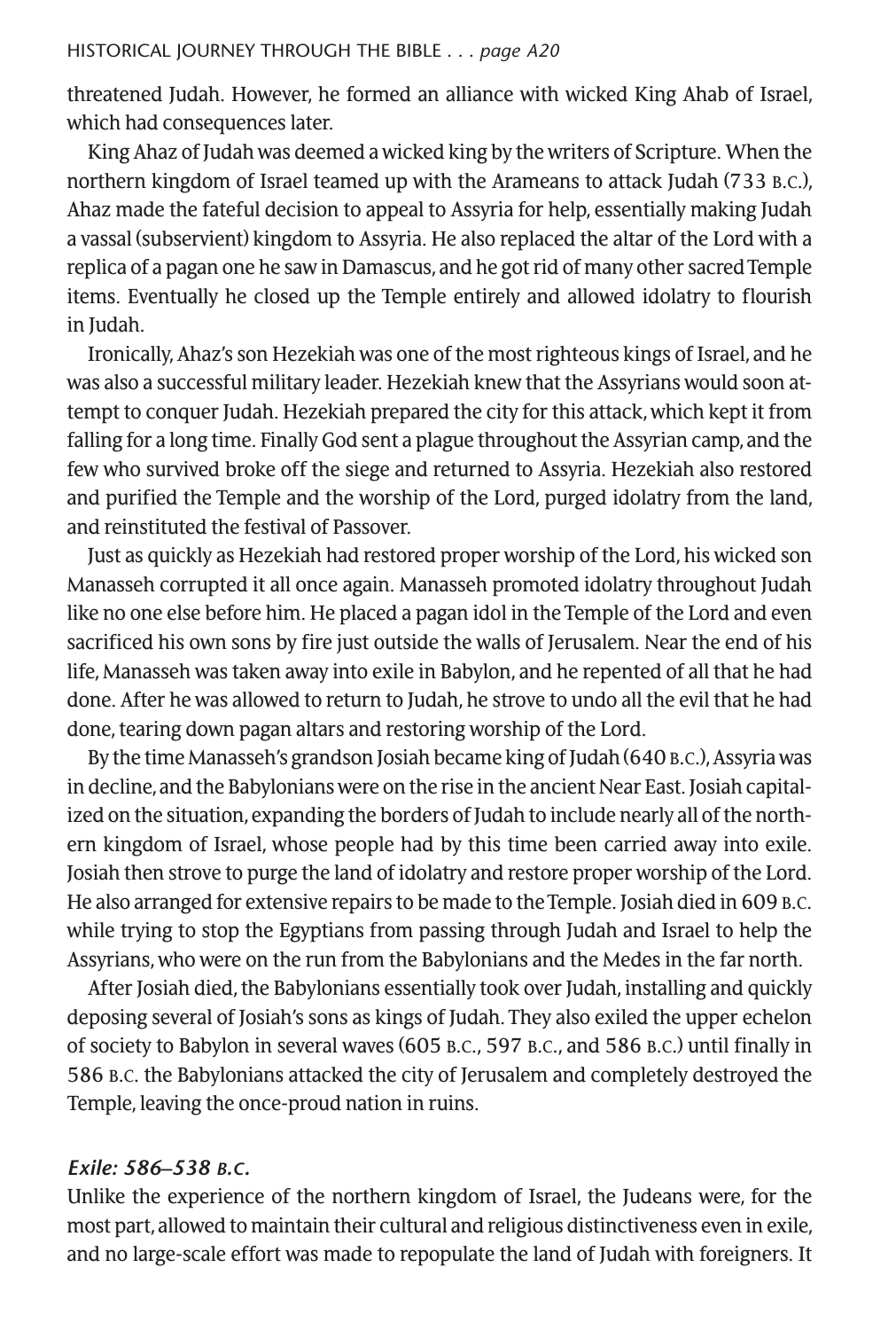threatened Judah. However, he formed an alliance with wicked King Ahab of Israel, which had consequences later.

King Ahaz of Judah was deemed a wicked king by the writers of Scripture. When the northern kingdom of Israel teamed up with the Arameans to attack Judah (733 B.C.), Ahaz made the fateful decision to appeal to Assyria for help, essentially making Judah a vassal (subservient) kingdom to Assyria. He also replaced the altar of the Lord with a replica of a pagan one he saw in Damascus, and he got rid of many other sacred Temple items. Eventually he closed up the Temple entirely and allowed idolatry to flourish in Judah.

Ironically, Ahaz's son Hezekiah was one of the most righteous kings of Israel, and he was also a successful military leader. Hezekiah knew that the Assyrians would soon attempt to conquer Judah. Hezekiah prepared the city for this attack, which kept it from falling for a long time. Finally God sent a plague throughout the Assyrian camp, and the few who survived broke off the siege and returned to Assyria. Hezekiah also restored and purified the Temple and the worship of the Lord, purged idolatry from the land, and reinstituted the festival of Passover.

Just as quickly as Hezekiah had restored proper worship of the Lord, his wicked son Manasseh corrupted it all once again. Manasseh promoted idolatry throughout Judah like no one else before him. He placed a pagan idol in the Temple of the Lord and even sacrificed his own sons by fire just outside the walls of Jerusalem. Near the end of his life, Manasseh was taken away into exile in Babylon, and he repented of all that he had done. After he was allowed to return to Judah, he strove to undo all the evil that he had done, tearing down pagan altars and restoring worship of the Lord.

By the time Manasseh's grandson Josiah became king of Judah (640 B.C.), Assyria was in decline, and the Babylonians were on the rise in the ancient Near East. Josiah capitalized on the situation, expanding the borders of Judah to include nearly all of the northern kingdom of Israel, whose people had by this time been carried away into exile. Josiah then strove to purge the land of idolatry and restore proper worship of the Lord. He also arranged for extensive repairs to be made to the Temple. Josiah died in 609 B.C. while trying to stop the Egyptians from passing through Judah and Israel to help the Assyrians, who were on the run from the Babylonians and the Medes in the far north.

After Josiah died, the Babylonians essentially took over Judah, installing and quickly deposing several of Josiah's sons as kings of Judah. They also exiled the upper echelon of society to Babylon in several waves (605 B.C., 597 B.C., and 586 B.C.) until finally in 586 B.C. the Babylonians attacked the city of Jerusalem and completely destroyed the Temple, leaving the once-proud nation in ruins.

## *Exile: 586–538 B.C.*

Unlike the experience of the northern kingdom of Israel, the Judeans were, for the most part, allowed to maintain their cultural and religious distinctiveness even in exile, and no large-scale effort was made to repopulate the land of Judah with foreigners. It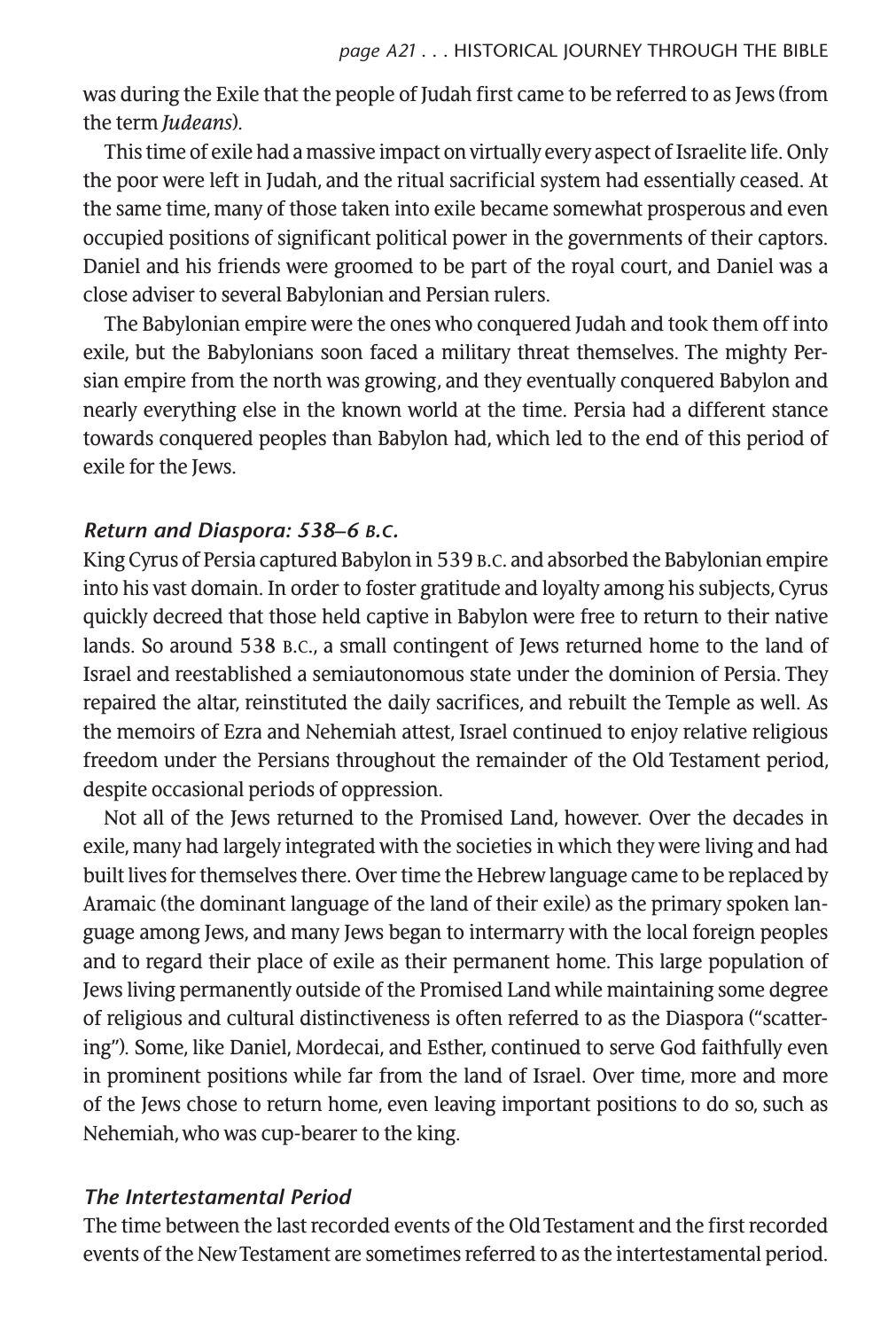was during the Exile that the people of Judah first came to be referred to as Jews (from the term *Judeans*).

This time of exile had a massive impact on virtually every aspect of Israelite life. Only the poor were left in Judah, and the ritual sacrificial system had essentially ceased. At the same time, many of those taken into exile became somewhat prosperous and even occupied positions of significant political power in the governments of their captors. Daniel and his friends were groomed to be part of the royal court, and Daniel was a close adviser to several Babylonian and Persian rulers.

The Babylonian empire were the ones who conquered Judah and took them off into exile, but the Babylonians soon faced a military threat themselves. The mighty Persian empire from the north was growing, and they eventually conquered Babylon and nearly everything else in the known world at the time. Persia had a different stance towards conquered peoples than Babylon had, which led to the end of this period of exile for the Jews.

## *Return and Diaspora: 538–6 B.C.*

King Cyrus of Persia captured Babylon in 539 B.C. and absorbed the Babylonian empire into his vast domain. In order to foster gratitude and loyalty among his subjects, Cyrus quickly decreed that those held captive in Babylon were free to return to their native lands. So around 538 B.C., a small contingent of Jews returned home to the land of Israel and reestablished a semiautonomous state under the dominion of Persia. They repaired the altar, reinstituted the daily sacrifices, and rebuilt the Temple as well. As the memoirs of Ezra and Nehemiah attest, Israel continued to enjoy relative religious freedom under the Persians throughout the remainder of the Old Testament period, despite occasional periods of oppression.

Not all of the Jews returned to the Promised Land, however. Over the decades in exile, many had largely integrated with the societies in which they were living and had built lives for themselves there. Over time the Hebrew language came to be replaced by Aramaic (the dominant language of the land of their exile) as the primary spoken language among Jews, and many Jews began to intermarry with the local foreign peoples and to regard their place of exile as their permanent home. This large population of Jews living permanently outside of the Promised Land while maintaining some degree of religious and cultural distinctiveness is often referred to as the Diaspora ("scattering"). Some, like Daniel, Mordecai, and Esther, continued to serve God faithfully even in prominent positions while far from the land of Israel. Over time, more and more of the Jews chose to return home, even leaving important positions to do so, such as Nehemiah, who was cup-bearer to the king.

## *The Intertestamental Period*

The time between the last recorded events of the Old Testament and the first recorded events of the New Testament are sometimes referred to as the intertestamental period.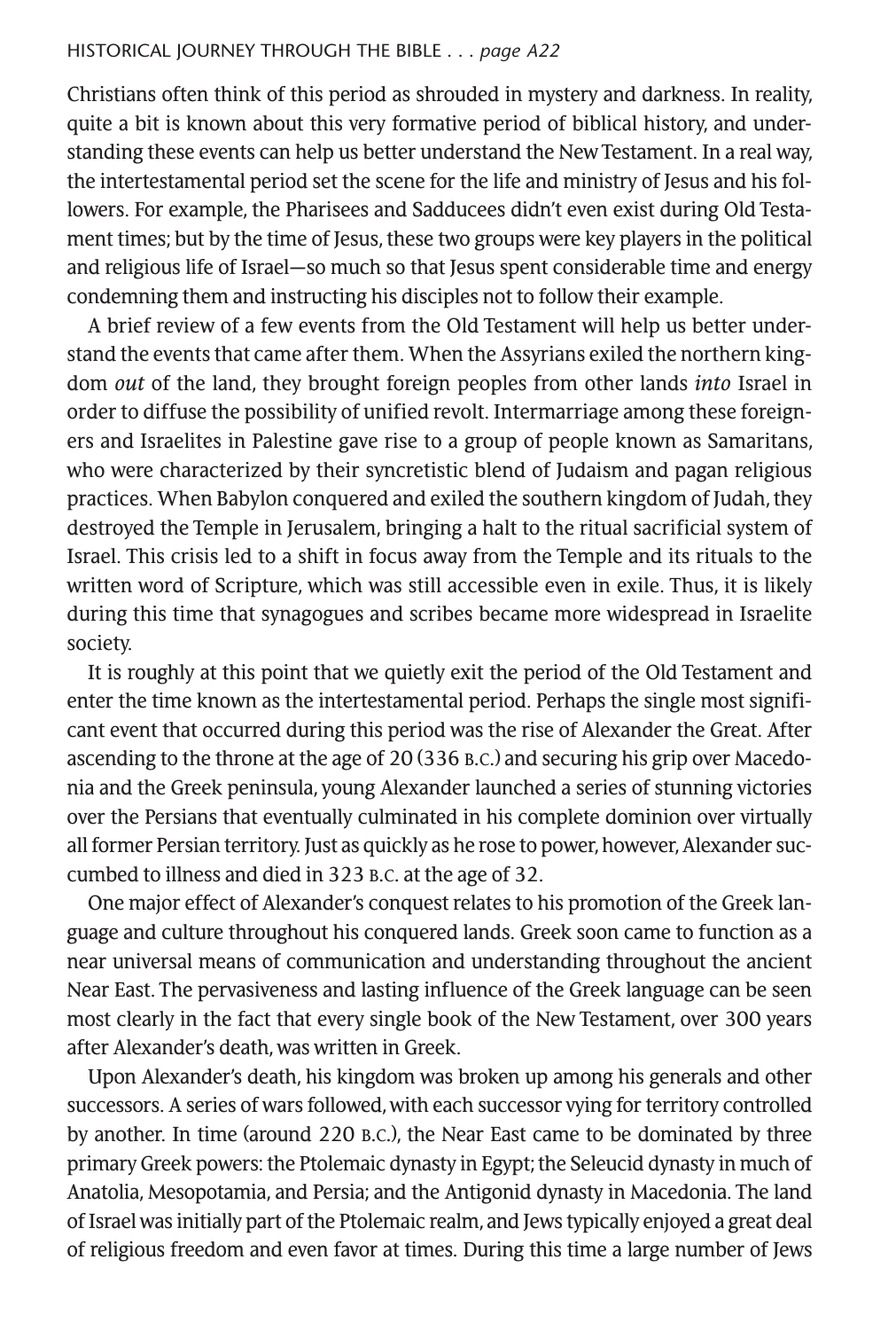#### HISTORICAL JOURNEY THROUGH THE BIBLE . . . *page A22*

Christians often think of this period as shrouded in mystery and darkness. In reality, quite a bit is known about this very formative period of biblical history, and understanding these events can help us better understand the New Testament. In a real way, the intertestamental period set the scene for the life and ministry of Jesus and his followers. For example, the Pharisees and Sadducees didn't even exist during Old Testament times; but by the time of Jesus, these two groups were key players in the political and religious life of Israel—so much so that Jesus spent considerable time and energy condemning them and instructing his disciples not to follow their example.

A brief review of a few events from the Old Testament will help us better understand the events that came after them. When the Assyrians exiled the northern kingdom *out* of the land, they brought foreign peoples from other lands *into* Israel in order to diffuse the possibility of unified revolt. Intermarriage among these foreigners and Israelites in Palestine gave rise to a group of people known as Samaritans, who were characterized by their syncretistic blend of Judaism and pagan religious practices. When Babylon conquered and exiled the southern kingdom of Judah, they destroyed the Temple in Jerusalem, bringing a halt to the ritual sacrificial system of Israel. This crisis led to a shift in focus away from the Temple and its rituals to the written word of Scripture, which was still accessible even in exile. Thus, it is likely during this time that synagogues and scribes became more widespread in Israelite society.

It is roughly at this point that we quietly exit the period of the Old Testament and enter the time known as the intertestamental period. Perhaps the single most significant event that occurred during this period was the rise of Alexander the Great. After ascending to the throne at the age of 20 (336 B.C.) and securing his grip over Macedonia and the Greek peninsula, young Alexander launched a series of stunning victories over the Persians that eventually culminated in his complete dominion over virtually all former Persian territory. Just as quickly as he rose to power, however, Alexander succumbed to illness and died in 323 B.C. at the age of 32.

One major effect of Alexander's conquest relates to his promotion of the Greek language and culture throughout his conquered lands. Greek soon came to function as a near universal means of communication and understanding throughout the ancient Near East. The pervasiveness and lasting influence of the Greek language can be seen most clearly in the fact that every single book of the New Testament, over 300 years after Alexander's death, was written in Greek.

Upon Alexander's death, his kingdom was broken up among his generals and other successors. A series of wars followed, with each successor vying for territory controlled by another. In time (around 220 B.C.), the Near East came to be dominated by three primary Greek powers: the Ptolemaic dynasty in Egypt; the Seleucid dynasty in much of Anatolia, Mesopotamia, and Persia; and the Antigonid dynasty in Macedonia. The land of Israel was initially part of the Ptolemaic realm, and Jews typically enjoyed a great deal of religious freedom and even favor at times. During this time a large number of Jews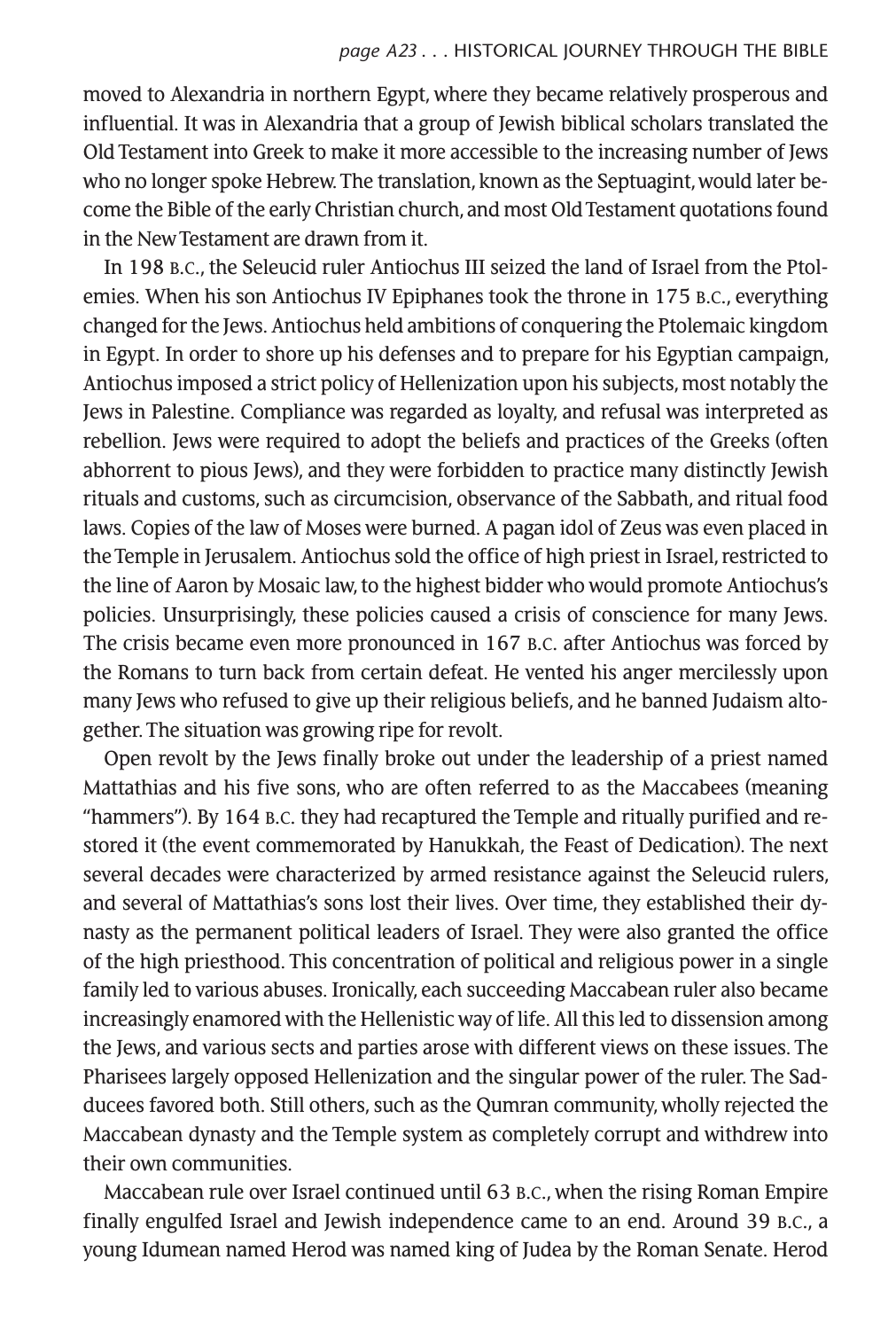moved to Alexandria in northern Egypt, where they became relatively prosperous and influential. It was in Alexandria that a group of Jewish biblical scholars translated the Old Testament into Greek to make it more accessible to the increasing number of Jews who no longer spoke Hebrew. The translation, known as the Septuagint, would later become the Bible of the early Christian church, and most Old Testament quotations found in the New Testament are drawn from it.

In 198 B.C., the Seleucid ruler Antiochus III seized the land of Israel from the Ptolemies. When his son Antiochus IV Epiphanes took the throne in 175 B.C., everything changed for the Jews. Antiochus held ambitions of conquering the Ptolemaic kingdom in Egypt. In order to shore up his defenses and to prepare for his Egyptian campaign, Antiochus imposed a strict policy of Hellenization upon his subjects, most notably the Jews in Palestine. Compliance was regarded as loyalty, and refusal was interpreted as rebellion. Jews were required to adopt the beliefs and practices of the Greeks (often abhorrent to pious Jews), and they were forbidden to practice many distinctly Jewish rituals and customs, such as circumcision, observance of the Sabbath, and ritual food laws. Copies of the law of Moses were burned. A pagan idol of Zeus was even placed in the Temple in Jerusalem. Antiochus sold the office of high priest in Israel, restricted to the line of Aaron by Mosaic law, to the highest bidder who would promote Antiochus's policies. Unsurprisingly, these policies caused a crisis of conscience for many Jews. The crisis became even more pronounced in 167 B.C. after Antiochus was forced by the Romans to turn back from certain defeat. He vented his anger mercilessly upon many Jews who refused to give up their religious beliefs, and he banned Judaism altogether. The situation was growing ripe for revolt.

Open revolt by the Jews finally broke out under the leadership of a priest named Mattathias and his five sons, who are often referred to as the Maccabees (meaning "hammers"). By 164 B.C. they had recaptured the Temple and ritually purified and restored it (the event commemorated by Hanukkah, the Feast of Dedication). The next several decades were characterized by armed resistance against the Seleucid rulers, and several of Mattathias's sons lost their lives. Over time, they established their dynasty as the permanent political leaders of Israel. They were also granted the office of the high priesthood. This concentration of political and religious power in a single family led to various abuses. Ironically, each succeeding Maccabean ruler also became increasingly enamored with the Hellenistic way of life. All this led to dissension among the Jews, and various sects and parties arose with different views on these issues. The Pharisees largely opposed Hellenization and the singular power of the ruler. The Sadducees favored both. Still others, such as the Qumran community, wholly rejected the Maccabean dynasty and the Temple system as completely corrupt and withdrew into their own communities.

Maccabean rule over Israel continued until 63 B.C., when the rising Roman Empire finally engulfed Israel and Jewish independence came to an end. Around 39 B.C., a young Idumean named Herod was named king of Judea by the Roman Senate. Herod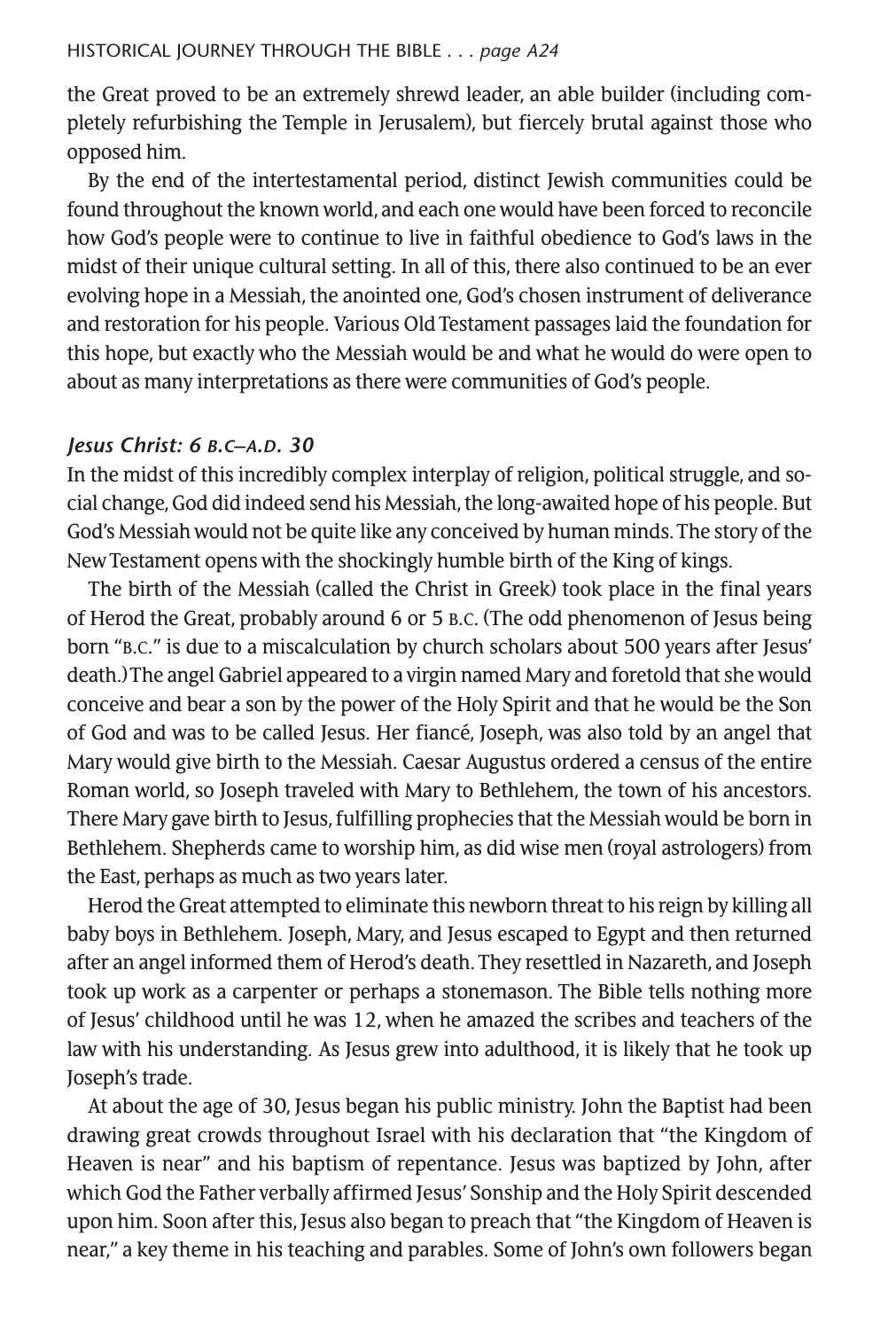the Great proved to be an extremely shrewd leader, an able builder (including completely refurbishing the Temple in Jerusalem), but fiercely brutal against those who opposed him.

By the end of the intertestamental period, distinct Jewish communities could be found throughout the known world, and each one would have been forced to reconcile how God's people were to continue to live in faithful obedience to God's laws in the midst of their unique cultural setting. In all of this, there also continued to be an ever evolving hope in a Messiah, the anointed one, God's chosen instrument of deliverance and restoration for his people. Various Old Testament passages laid the foundation for this hope, but exactly who the Messiah would be and what he would do were open to about as many interpretations as there were communities of God's people.

### *Jesus Christ: 6 B.C–A.D. 30*

In the midst of this incredibly complex interplay of religion, political struggle, and social change, God did indeed send his Messiah, the long-awaited hope of his people. But God's Messiah would not be quite like any conceived by human minds. The story of the New Testament opens with the shockingly humble birth of the King of kings.

The birth of the Messiah (called the Christ in Greek) took place in the final years of Herod the Great, probably around 6 or 5 B.C. (The odd phenomenon of Jesus being born "B.C." is due to a miscalculation by church scholars about 500 years after Jesus' death.) The angel Gabriel appeared to a virgin named Mary and foretold that she would conceive and bear a son by the power of the Holy Spirit and that he would be the Son of God and was to be called Jesus. Her fiancé, Joseph, was also told by an angel that Mary would give birth to the Messiah. Caesar Augustus ordered a census of the entire Roman world, so Joseph traveled with Mary to Bethlehem, the town of his ancestors. There Mary gave birth to Jesus, fulfilling prophecies that the Messiah would be born in Bethlehem. Shepherds came to worship him, as did wise men (royal astrologers) from the East, perhaps as much as two years later.

Herod the Great attempted to eliminate this newborn threat to his reign by killing all baby boys in Bethlehem. Joseph, Mary, and Jesus escaped to Egypt and then returned after an angel informed them of Herod's death. They resettled in Nazareth, and Joseph took up work as a carpenter or perhaps a stonemason. The Bible tells nothing more of Jesus' childhood until he was 12, when he amazed the scribes and teachers of the law with his understanding. As Jesus grew into adulthood, it is likely that he took up Joseph's trade.

At about the age of 30, Jesus began his public ministry. John the Baptist had been drawing great crowds throughout Israel with his declaration that "the Kingdom of Heaven is near" and his baptism of repentance. Jesus was baptized by John, after which God the Father verbally affirmed Jesus' Sonship and the Holy Spirit descended upon him. Soon after this, Jesus also began to preach that "the Kingdom of Heaven is near," a key theme in his teaching and parables. Some of John's own followers began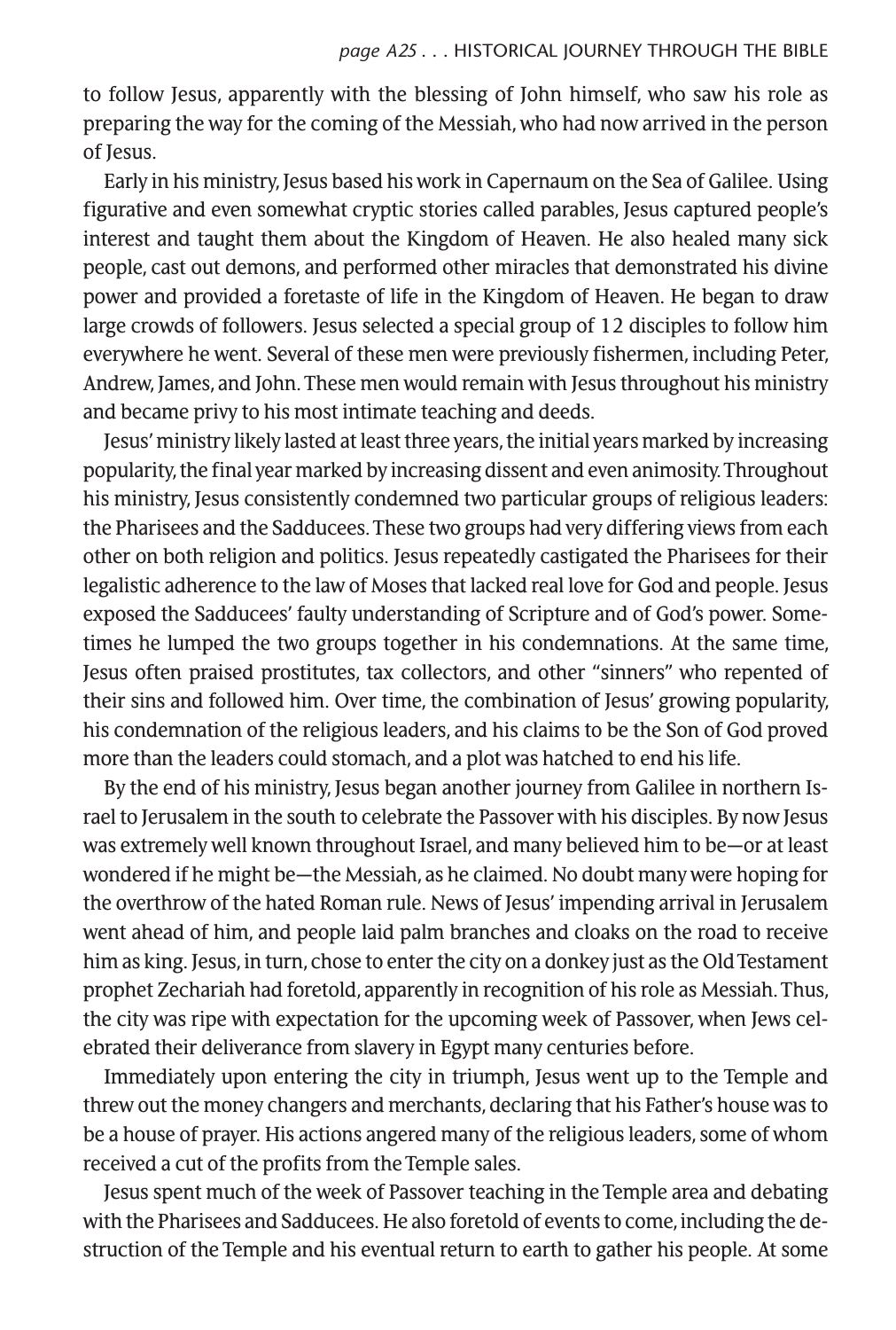to follow Jesus, apparently with the blessing of John himself, who saw his role as preparing the way for the coming of the Messiah, who had now arrived in the person of Jesus.

Early in his ministry, Jesus based his work in Capernaum on the Sea of Galilee. Using figurative and even somewhat cryptic stories called parables, Jesus captured people's interest and taught them about the Kingdom of Heaven. He also healed many sick people, cast out demons, and performed other miracles that demonstrated his divine power and provided a foretaste of life in the Kingdom of Heaven. He began to draw large crowds of followers. Jesus selected a special group of 12 disciples to follow him everywhere he went. Several of these men were previously fishermen, including Peter, Andrew, James, and John. These men would remain with Jesus throughout his ministry and became privy to his most intimate teaching and deeds.

Jesus' ministry likely lasted at least three years, the initial years marked by increasing popularity, the final year marked by increasing dissent and even animosity. Throughout his ministry, Jesus consistently condemned two particular groups of religious leaders: the Pharisees and the Sadducees. These two groups had very differing views from each other on both religion and politics. Jesus repeatedly castigated the Pharisees for their legalistic adherence to the law of Moses that lacked real love for God and people. Jesus exposed the Sadducees' faulty understanding of Scripture and of God's power. Sometimes he lumped the two groups together in his condemnations. At the same time, Jesus often praised prostitutes, tax collectors, and other "sinners" who repented of their sins and followed him. Over time, the combination of Jesus' growing popularity, his condemnation of the religious leaders, and his claims to be the Son of God proved more than the leaders could stomach, and a plot was hatched to end his life.

By the end of his ministry, Jesus began another journey from Galilee in northern Israel to Jerusalem in the south to celebrate the Passover with his disciples. By now Jesus was extremely well known throughout Israel, and many believed him to be—or at least wondered if he might be—the Messiah, as he claimed. No doubt many were hoping for the overthrow of the hated Roman rule. News of Jesus' impending arrival in Jerusalem went ahead of him, and people laid palm branches and cloaks on the road to receive him as king. Jesus, in turn, chose to enter the city on a donkey just as the Old Testament prophet Zechariah had foretold, apparently in recognition of his role as Messiah. Thus, the city was ripe with expectation for the upcoming week of Passover, when Jews celebrated their deliverance from slavery in Egypt many centuries before.

Immediately upon entering the city in triumph, Jesus went up to the Temple and threw out the money changers and merchants, declaring that his Father's house was to be a house of prayer. His actions angered many of the religious leaders, some of whom received a cut of the profits from the Temple sales.

Jesus spent much of the week of Passover teaching in the Temple area and debating with the Pharisees and Sadducees. He also foretold of events to come, including the destruction of the Temple and his eventual return to earth to gather his people. At some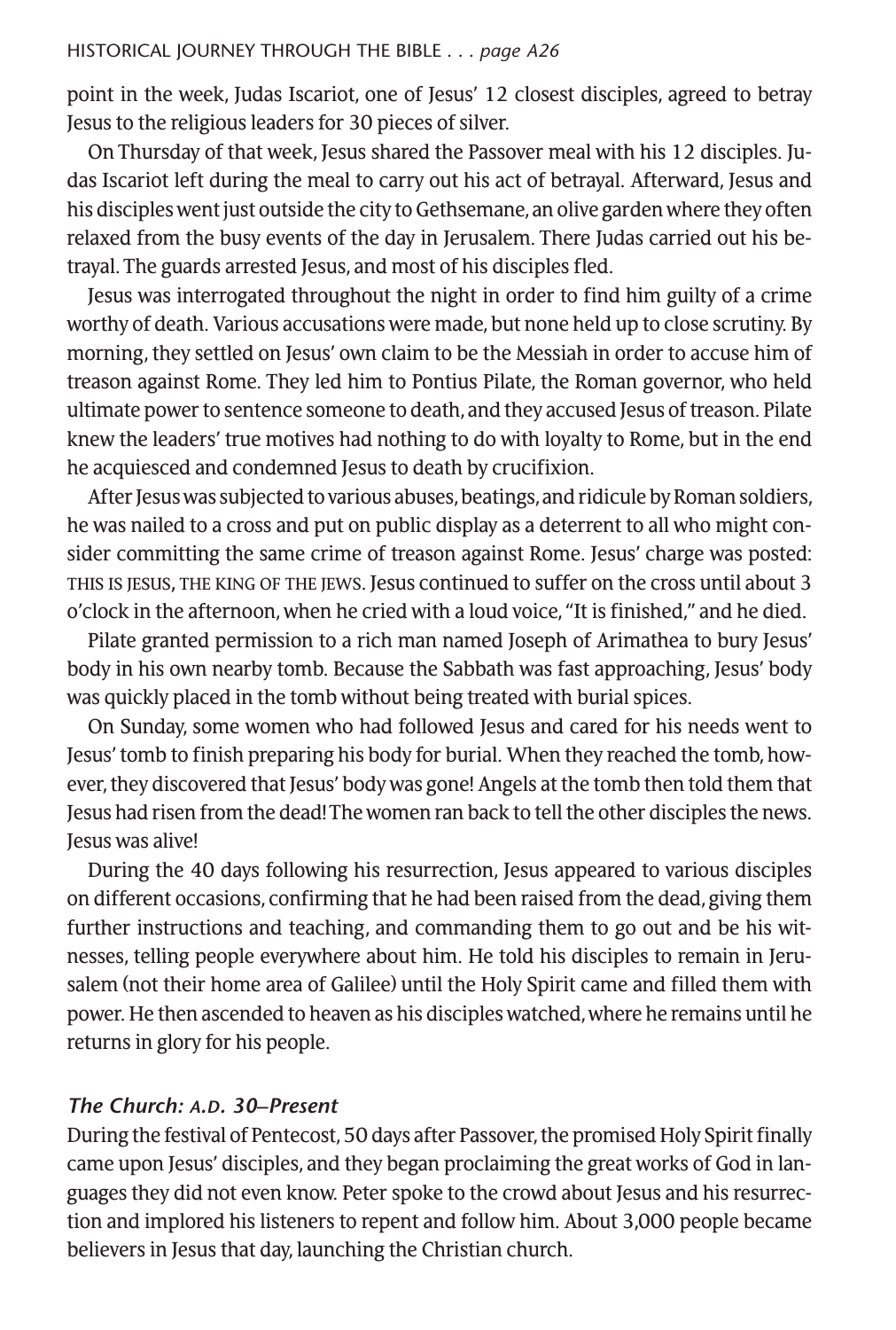#### HISTORICAL JOURNEY THROUGH THE BIBLE . . . *page A26*

point in the week, Judas Iscariot, one of Jesus' 12 closest disciples, agreed to betray Jesus to the religious leaders for 30 pieces of silver.

On Thursday of that week, Jesus shared the Passover meal with his 12 disciples. Judas Iscariot left during the meal to carry out his act of betrayal. Afterward, Jesus and his disciples went just outside the city to Gethsemane, an olive garden where they often relaxed from the busy events of the day in Jerusalem. There Judas carried out his betrayal. The guards arrested Jesus, and most of his disciples fled.

Jesus was interrogated throughout the night in order to find him guilty of a crime worthy of death. Various accusations were made, but none held up to close scrutiny. By morning, they settled on Jesus' own claim to be the Messiah in order to accuse him of treason against Rome. They led him to Pontius Pilate, the Roman governor, who held ultimate power to sentence someone to death, and they accused Jesus of treason. Pilate knew the leaders' true motives had nothing to do with loyalty to Rome, but in the end he acquiesced and condemned Jesus to death by crucifixion.

After Jesus was subjected to various abuses, beatings, and ridicule by Roman soldiers, he was nailed to a cross and put on public display as a deterrent to all who might consider committing the same crime of treason against Rome. Jesus' charge was posted: THIS IS JESUS. THE KING OF THE JEWS. Jesus continued to suffer on the cross until about 3 o'clock in the afternoon, when he cried with a loud voice, "It is finished," and he died.

Pilate granted permission to a rich man named Joseph of Arimathea to bury Jesus' body in his own nearby tomb. Because the Sabbath was fast approaching, Jesus' body was quickly placed in the tomb without being treated with burial spices.

On Sunday, some women who had followed Jesus and cared for his needs went to Jesus' tomb to finish preparing his body for burial. When they reached the tomb, however, they discovered that Jesus' body was gone! Angels at the tomb then told them that Jesus had risen from the dead! The women ran back to tell the other disciples the news. Jesus was alive!

During the 40 days following his resurrection, Jesus appeared to various disciples on different occasions, confirming that he had been raised from the dead, giving them further instructions and teaching, and commanding them to go out and be his witnesses, telling people everywhere about him. He told his disciples to remain in Jerusalem (not their home area of Galilee) until the Holy Spirit came and filled them with power. He then ascended to heaven as his disciples watched, where he remains until he returns in glory for his people.

## *The Church: A.D. 30–Present*

During the festival of Pentecost, 50 days after Passover, the promised Holy Spirit finally came upon Jesus' disciples, and they began proclaiming the great works of God in languages they did not even know. Peter spoke to the crowd about Jesus and his resurrection and implored his listeners to repent and follow him. About 3,000 people became believers in Jesus that day, launching the Christian church.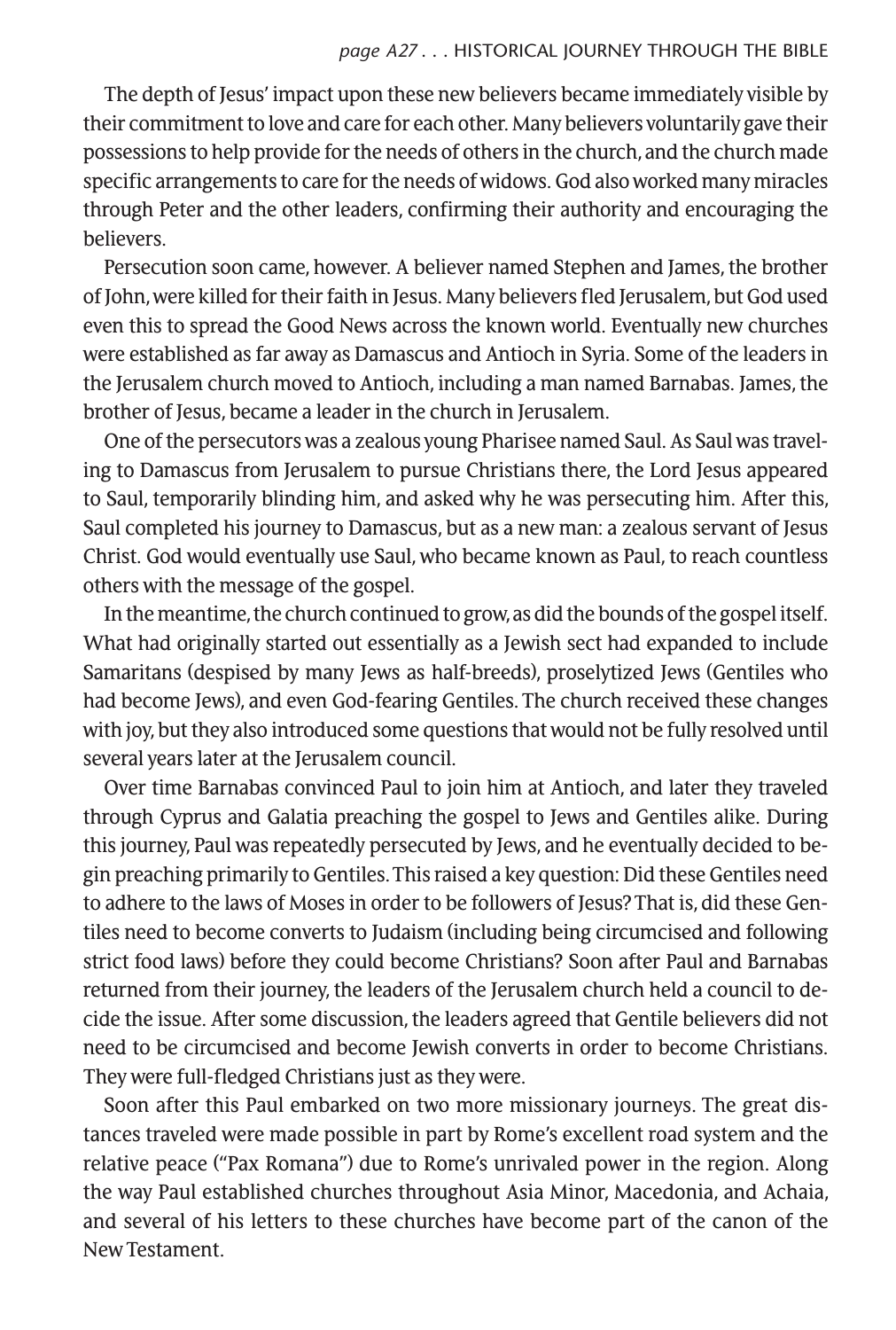The depth of Jesus' impact upon these new believers became immediately visible by their commitment to love and care for each other. Many believers voluntarily gave their possessions to help provide for the needs of others in the church, and the church made specific arrangements to care for the needs of widows. God also worked many miracles through Peter and the other leaders, confirming their authority and encouraging the believers.

Persecution soon came, however. A believer named Stephen and James, the brother of John, were killed for their faith in Jesus. Many believers fled Jerusalem, but God used even this to spread the Good News across the known world. Eventually new churches were established as far away as Damascus and Antioch in Syria. Some of the leaders in the Jerusalem church moved to Antioch, including a man named Barnabas. James, the brother of Jesus, became a leader in the church in Jerusalem.

One of the persecutors was a zealous young Pharisee named Saul. As Saul was traveling to Damascus from Jerusalem to pursue Christians there, the Lord Jesus appeared to Saul, temporarily blinding him, and asked why he was persecuting him. After this, Saul completed his journey to Damascus, but as a new man: a zealous servant of Jesus Christ. God would eventually use Saul, who became known as Paul, to reach countless others with the message of the gospel.

In the meantime, the church continued to grow, as did the bounds of the gospel itself. What had originally started out essentially as a Jewish sect had expanded to include Samaritans (despised by many Jews as half-breeds), proselytized Jews (Gentiles who had become Jews), and even God-fearing Gentiles. The church received these changes with joy, but they also introduced some questions that would not be fully resolved until several years later at the Jerusalem council.

Over time Barnabas convinced Paul to join him at Antioch, and later they traveled through Cyprus and Galatia preaching the gospel to Jews and Gentiles alike. During this journey, Paul was repeatedly persecuted by Jews, and he eventually decided to begin preaching primarily to Gentiles. This raised a key question: Did these Gentiles need to adhere to the laws of Moses in order to be followers of Jesus? That is, did these Gentiles need to become converts to Judaism (including being circumcised and following strict food laws) before they could become Christians? Soon after Paul and Barnabas returned from their journey, the leaders of the Jerusalem church held a council to decide the issue. After some discussion, the leaders agreed that Gentile believers did not need to be circumcised and become Jewish converts in order to become Christians. They were full-fledged Christians just as they were.

Soon after this Paul embarked on two more missionary journeys. The great distances traveled were made possible in part by Rome's excellent road system and the relative peace ("Pax Romana") due to Rome's unrivaled power in the region. Along the way Paul established churches throughout Asia Minor, Macedonia, and Achaia, and several of his letters to these churches have become part of the canon of the New Testament.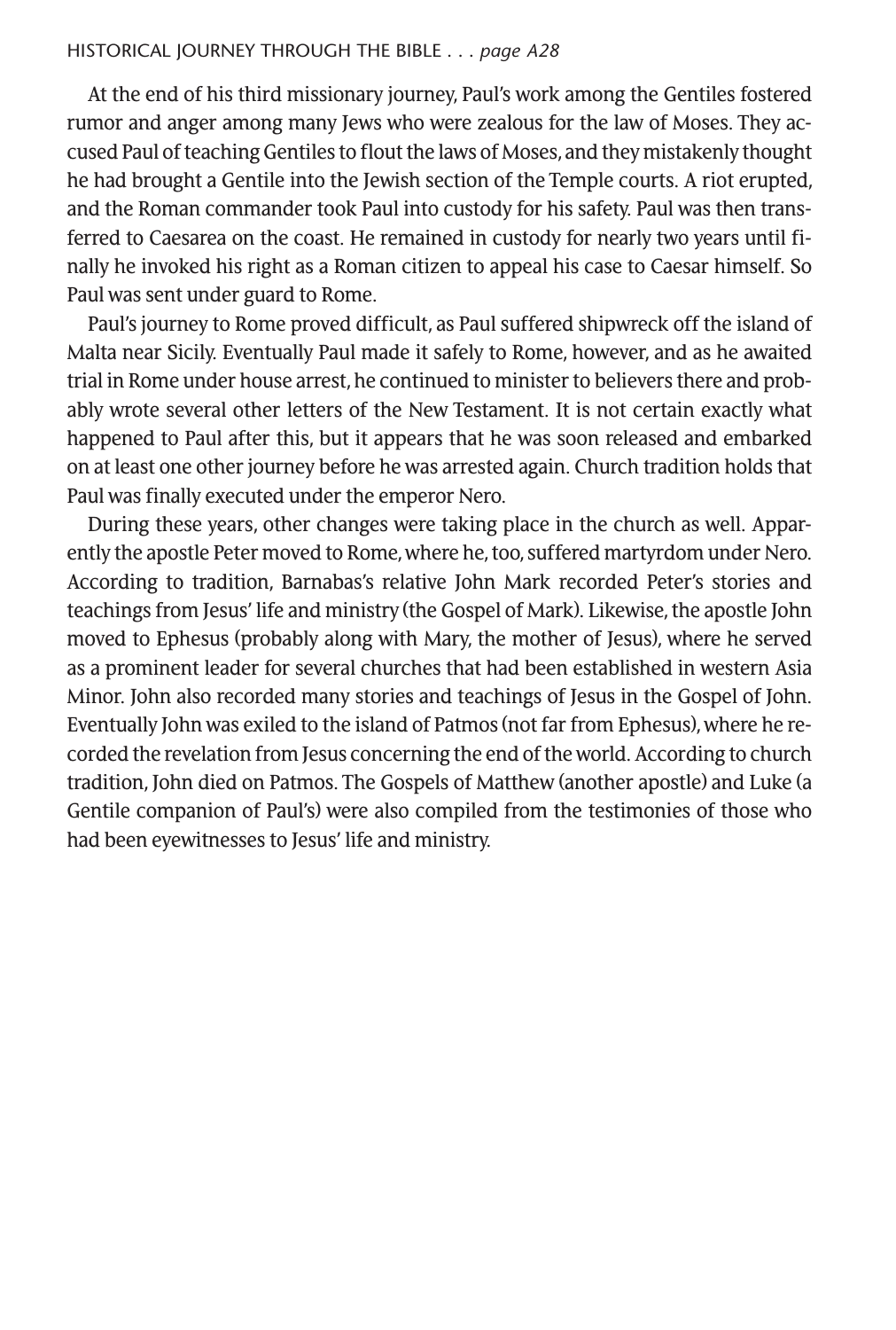At the end of his third missionary journey, Paul's work among the Gentiles fostered rumor and anger among many Jews who were zealous for the law of Moses. They accused Paul of teaching Gentiles to flout the laws of Moses, and they mistakenly thought he had brought a Gentile into the Jewish section of the Temple courts. A riot erupted, and the Roman commander took Paul into custody for his safety. Paul was then transferred to Caesarea on the coast. He remained in custody for nearly two years until finally he invoked his right as a Roman citizen to appeal his case to Caesar himself. So Paul was sent under guard to Rome.

Paul's journey to Rome proved difficult, as Paul suffered shipwreck off the island of Malta near Sicily. Eventually Paul made it safely to Rome, however, and as he awaited trial in Rome under house arrest, he continued to minister to believers there and probably wrote several other letters of the New Testament. It is not certain exactly what happened to Paul after this, but it appears that he was soon released and embarked on at least one other journey before he was arrested again. Church tradition holds that Paul was finally executed under the emperor Nero.

During these years, other changes were taking place in the church as well. Apparently the apostle Peter moved to Rome, where he, too, suffered martyrdom under Nero. According to tradition, Barnabas's relative John Mark recorded Peter's stories and teachings from Jesus' life and ministry (the Gospel of Mark). Likewise, the apostle John moved to Ephesus (probably along with Mary, the mother of Jesus), where he served as a prominent leader for several churches that had been established in western Asia Minor. John also recorded many stories and teachings of Jesus in the Gospel of John. Eventually John was exiled to the island of Patmos (not far from Ephesus), where he recorded the revelation from Jesus concerning the end of the world. According to church tradition, John died on Patmos. The Gospels of Matthew (another apostle) and Luke (a Gentile companion of Paul's) were also compiled from the testimonies of those who had been eyewitnesses to Jesus' life and ministry.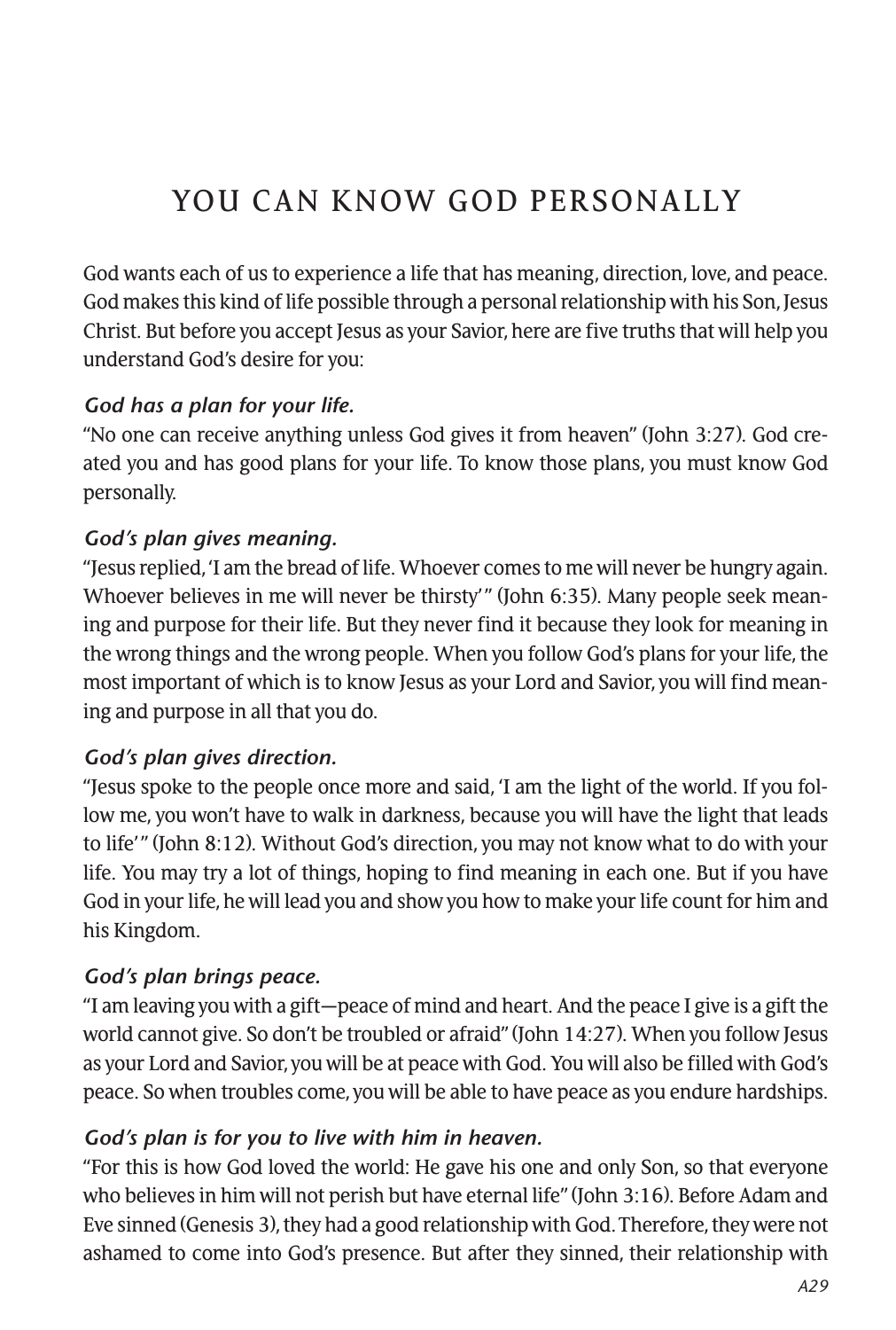# YOU CAN KNOW GOD PERSONALLY

God wants each of us to experience a life that has meaning, direction, love, and peace. God makes this kind of life possible through a personal relationship with his Son, Jesus Christ. But before you accept Jesus as your Savior, here are five truths that will help you understand God's desire for you:

## *God has a plan for your life.*

"No one can receive anything unless God gives it from heaven" (John 3:27). God created you and has good plans for your life. To know those plans, you must know God personally.

## *God's plan gives meaning.*

"Jesus replied, 'I am the bread of life. Whoever comes to me will never be hungry again. Whoever believes in me will never be thirsty" (John 6:35). Many people seek meaning and purpose for their life. But they never find it because they look for meaning in the wrong things and the wrong people. When you follow God's plans for your life, the most important of which is to know Jesus as your Lord and Savior, you will find meaning and purpose in all that you do.

## *God's plan gives direction.*

"Jesus spoke to the people once more and said, 'I am the light of the world. If you follow me, you won't have to walk in darkness, because you will have the light that leads to life'" (John 8:12). Without God's direction, you may not know what to do with your life. You may try a lot of things, hoping to find meaning in each one. But if you have God in your life, he will lead you and show you how to make your life count for him and his Kingdom.

## *God's plan brings peace.*

"I am leaving you with a gift—peace of mind and heart. And the peace I give is a gift the world cannot give. So don't be troubled or afraid" (John 14:27). When you follow Jesus as your Lord and Savior, you will be at peace with God. You will also be filled with God's peace. So when troubles come, you will be able to have peace as you endure hardships.

## *God's plan is for you to live with him in heaven.*

"For this is how God loved the world: He gave his one and only Son, so that everyone who believes in him will not perish but have eternal life" (John 3:16). Before Adam and Eve sinned (Genesis 3), they had a good relationship with God. Therefore, they were not ashamed to come into God's presence. But after they sinned, their relationship with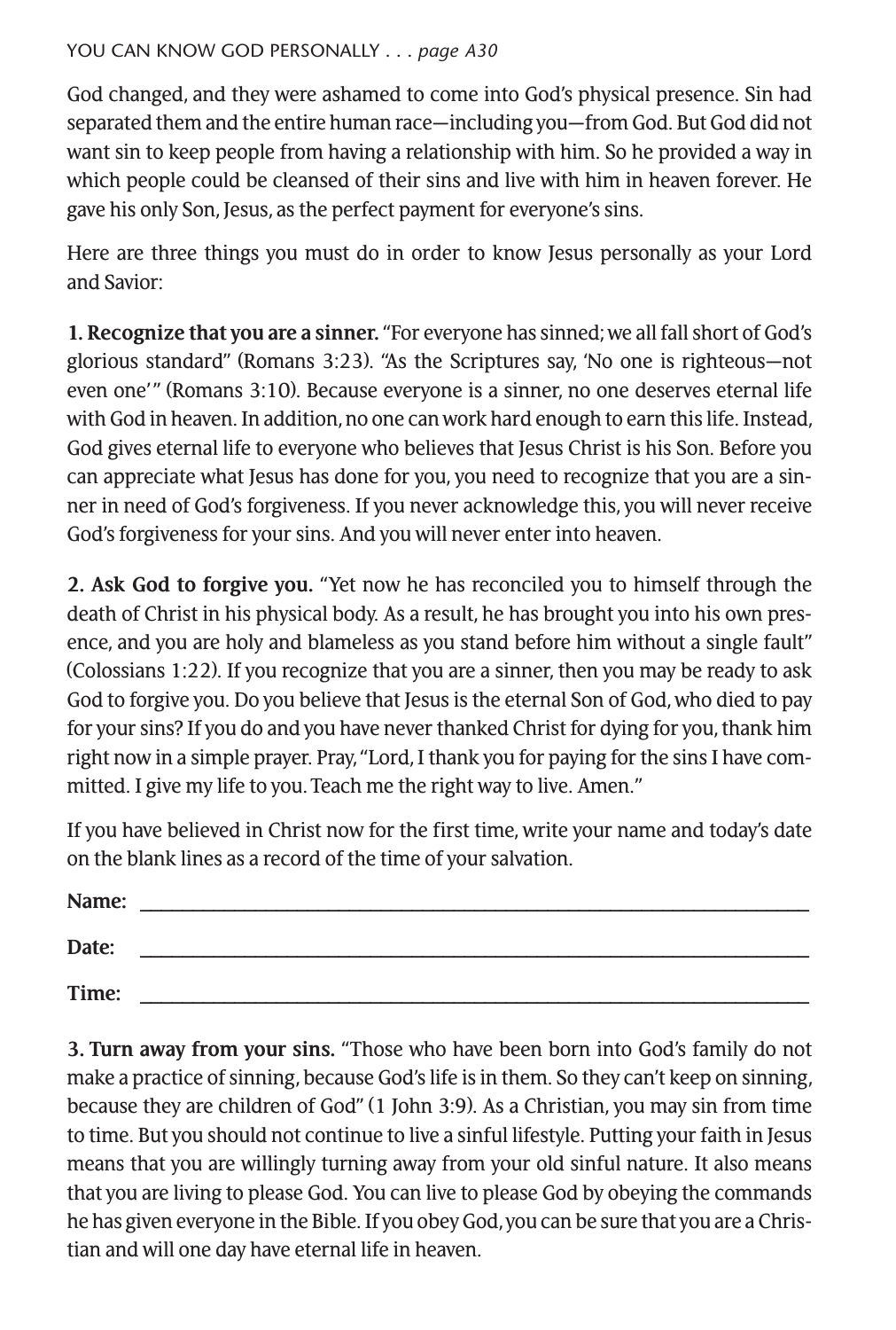God changed, and they were ashamed to come into God's physical presence. Sin had separated them and the entire human race—including you—from God. But God did not want sin to keep people from having a relationship with him. So he provided a way in which people could be cleansed of their sins and live with him in heaven forever. He gave his only Son, Jesus, as the perfect payment for everyone's sins.

Here are three things you must do in order to know Jesus personally as your Lord and Savior:

**1. Recognize that you are a sinner.** "For everyone has sinned; we all fall short of God's glorious standard" (Romans 3:23). "As the Scriptures say, 'No one is righteous—not even one'" (Romans 3:10). Because everyone is a sinner, no one deserves eternal life with God in heaven. In addition, no one can work hard enough to earn this life. Instead, God gives eternal life to everyone who believes that Jesus Christ is his Son. Before you can appreciate what Jesus has done for you, you need to recognize that you are a sinner in need of God's forgiveness. If you never acknowledge this, you will never receive God's forgiveness for your sins. And you will never enter into heaven.

**2. Ask God to forgive you.** "Yet now he has reconciled you to himself through the death of Christ in his physical body. As a result, he has brought you into his own presence, and you are holy and blameless as you stand before him without a single fault" (Colossians 1:22). If you recognize that you are a sinner, then you may be ready to ask God to forgive you. Do you believe that Jesus is the eternal Son of God, who died to pay for your sins? If you do and you have never thanked Christ for dying for you, thank him right now in a simple prayer. Pray, "Lord, I thank you for paying for the sins I have committed. I give my life to you. Teach me the right way to live. Amen."

If you have believed in Christ now for the first time, write your name and today's date on the blank lines as a record of the time of your salvation.

| Name: |  |
|-------|--|
| Date: |  |
| Time: |  |

**3. Turn away from your sins.** "Those who have been born into God's family do not make a practice of sinning, because God's life is in them. So they can't keep on sinning, because they are children of God" (1 John 3:9). As a Christian, you may sin from time to time. But you should not continue to live a sinful lifestyle. Putting your faith in Jesus means that you are willingly turning away from your old sinful nature. It also means that you are living to please God. You can live to please God by obeying the commands he has given everyone in the Bible. If you obey God, you can be sure that you are a Christian and will one day have eternal life in heaven.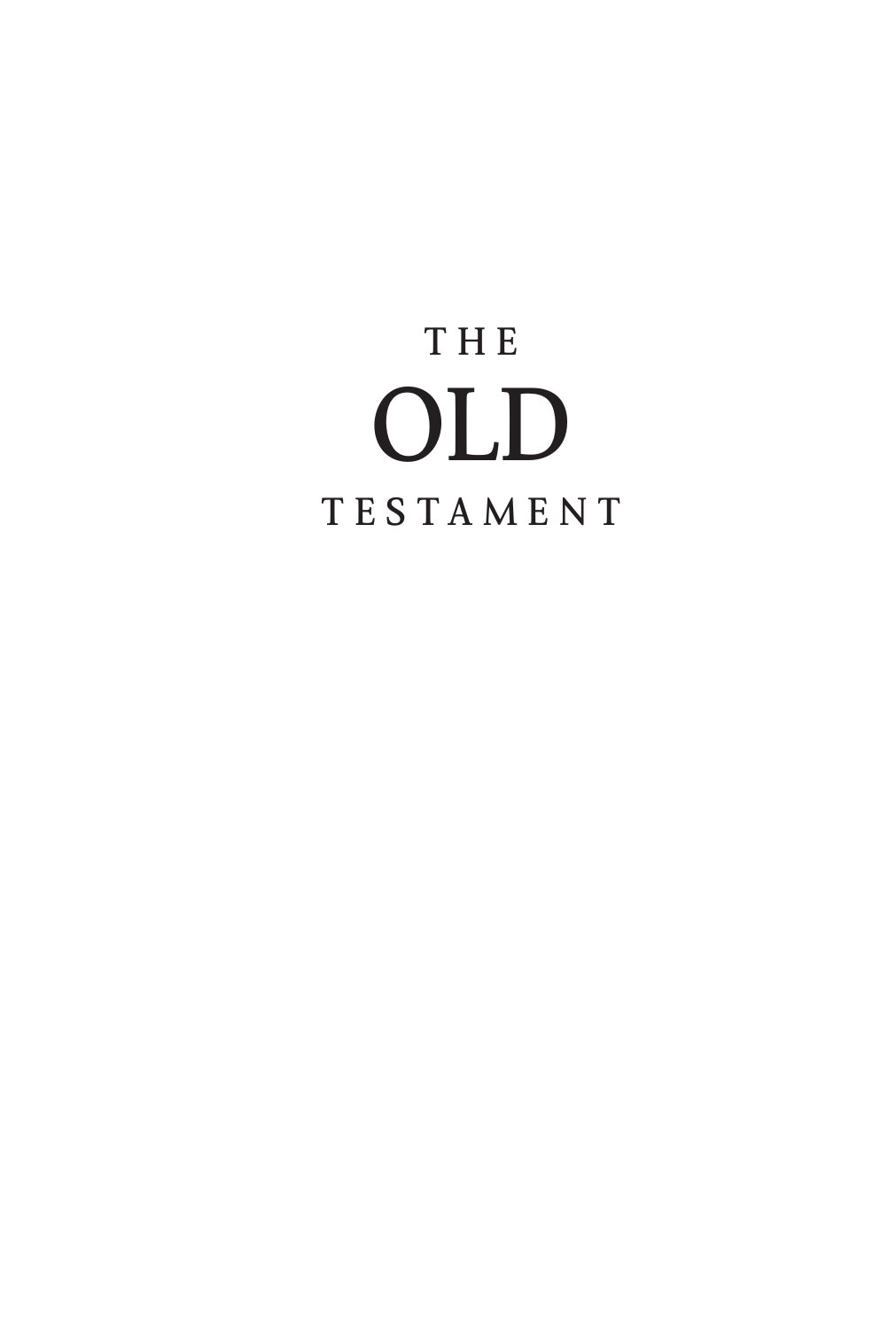# THE OLD TESTAMENT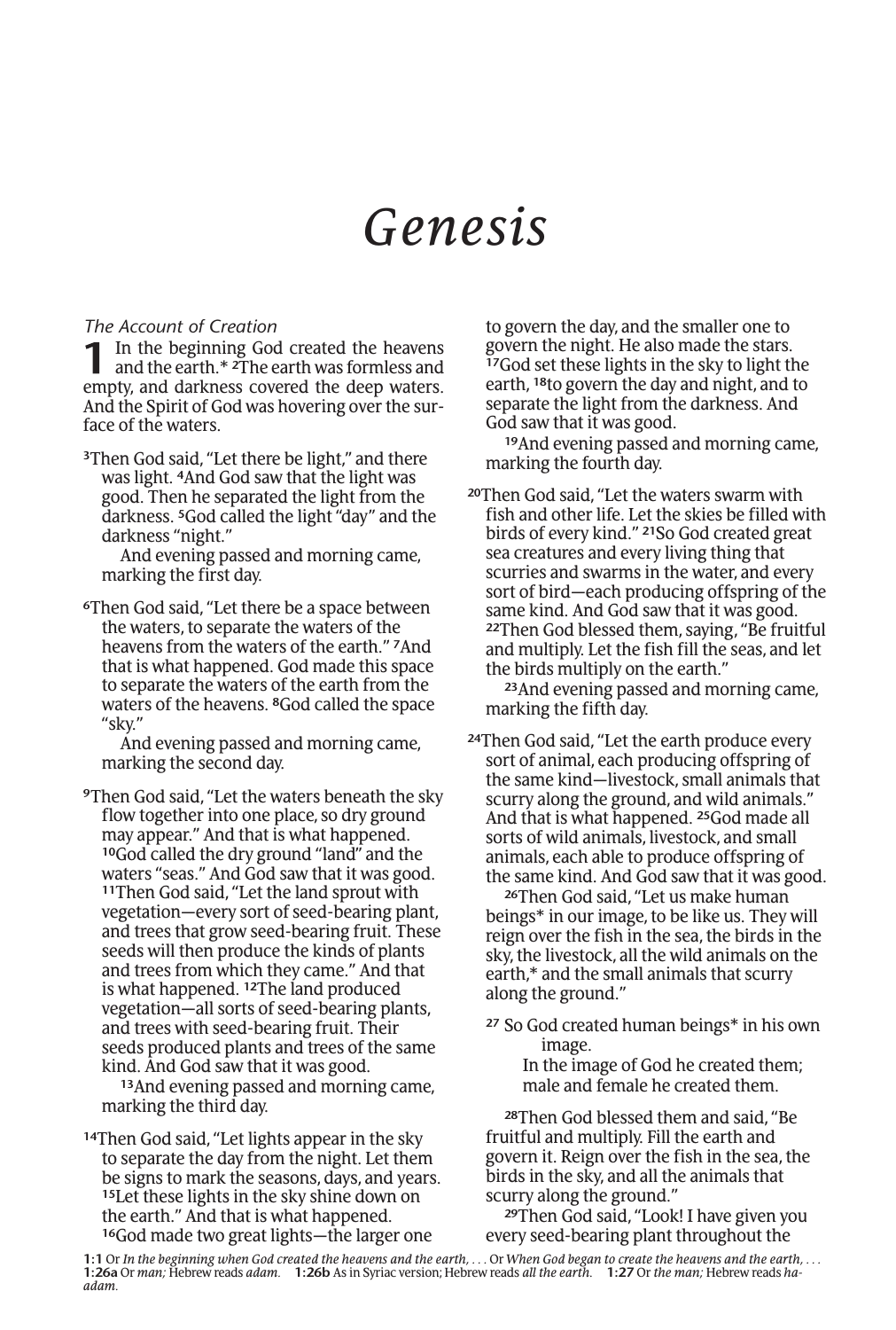# *Genesis*

#### *The Account of Creation* **<sup>1</sup>**

In the beginning God created the heavens and the earth.\* **<sup>2</sup>**The earth was formless and empty, and darkness covered the deep waters. And the Spirit of God was hovering over the surface of the waters.

**<sup>3</sup>**Then God said, "Let there be light," and there was light. **<sup>4</sup>**And God saw that the light was good. Then he separated the light from the darkness. **<sup>5</sup>**God called the light "day" and the darkness "night."

And evening passed and morning came, marking the first day.

**<sup>6</sup>**Then God said, "Let there be a space between the waters, to separate the waters of the heavens from the waters of the earth." **<sup>7</sup>**And that is what happened. God made this space to separate the waters of the earth from the waters of the heavens. **<sup>8</sup>**God called the space "sky."

And evening passed and morning came, marking the second day.

**<sup>9</sup>**Then God said, "Let the waters beneath the sky flow together into one place, so dry ground may appear." And that is what happened. **<sup>10</sup>**God called the dry ground "land" and the waters "seas." And God saw that it was good. **<sup>11</sup>**Then God said, "Let the land sprout with vegetation—every sort of seed-bearing plant, and trees that grow seed-bearing fruit. These seeds will then produce the kinds of plants and trees from which they came." And that is what happened. **<sup>12</sup>**The land produced vegetation—all sorts of seed-bearing plants, and trees with seed-bearing fruit. Their seeds produced plants and trees of the same kind. And God saw that it was good.

**<sup>13</sup>**And evening passed and morning came, marking the third day.

**<sup>14</sup>**Then God said, "Let lights appear in the sky to separate the day from the night. Let them be signs to mark the seasons, days, and years. **<sup>15</sup>**Let these lights in the sky shine down on the earth." And that is what happened. **<sup>16</sup>**God made two great lights—the larger one

to govern the day, and the smaller one to govern the night. He also made the stars. **<sup>17</sup>**God set these lights in the sky to light the earth, **<sup>18</sup>**to govern the day and night, and to separate the light from the darkness. And God saw that it was good.

**<sup>19</sup>**And evening passed and morning came, marking the fourth day.

**<sup>20</sup>**Then God said, "Let the waters swarm with fish and other life. Let the skies be filled with birds of every kind." **<sup>21</sup>**So God created great sea creatures and every living thing that scurries and swarms in the water, and every sort of bird—each producing offspring of the same kind. And God saw that it was good. **<sup>22</sup>**Then God blessed them, saying, "Be fruitful and multiply. Let the fish fill the seas, and let the birds multiply on the earth."

**<sup>23</sup>**And evening passed and morning came, marking the fifth day.

**<sup>24</sup>**Then God said, "Let the earth produce every sort of animal, each producing offspring of the same kind—livestock, small animals that scurry along the ground, and wild animals." And that is what happened. **<sup>25</sup>**God made all sorts of wild animals, livestock, and small animals, each able to produce offspring of the same kind. And God saw that it was good.

**<sup>26</sup>**Then God said, "Let us make human beings\* in our image, to be like us. They will reign over the fish in the sea, the birds in the sky, the livestock, all the wild animals on the earth,\* and the small animals that scurry along the ground."

**<sup>27</sup>** So God created human beings\* in his own image.

In the image of God he created them; male and female he created them.

**<sup>28</sup>**Then God blessed them and said, "Be fruitful and multiply. Fill the earth and govern it. Reign over the fish in the sea, the birds in the sky, and all the animals that scurry along the ground."

**<sup>29</sup>**Then God said, "Look! I have given you every seed-bearing plant throughout the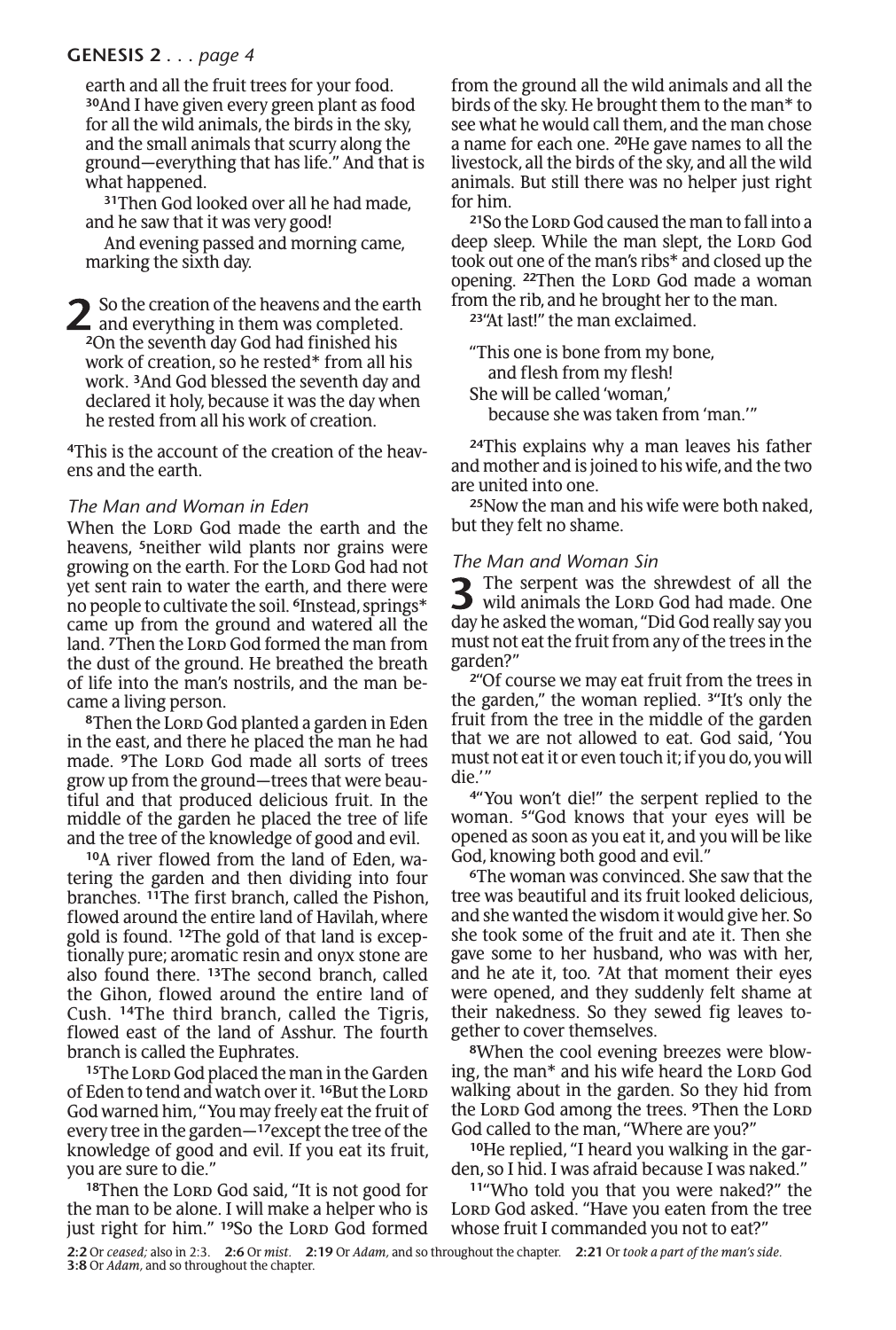#### **GENESIS 2** . . . *page 4*

earth and all the fruit trees for your food. **<sup>30</sup>**And I have given every green plant as food for all the wild animals, the birds in the sky, and the small animals that scurry along the ground—everything that has life." And that is what happened.

**<sup>31</sup>**Then God looked over all he had made, and he saw that it was very good!

And evening passed and morning came, marking the sixth day. **<sup>2</sup>**

So the creation of the heavens and the earth and everything in them was completed. **<sup>2</sup>**On the seventh day God had finished his work of creation, so he rested\* from all his work. **<sup>3</sup>**And God blessed the seventh day and declared it holy, because it was the day when he rested from all his work of creation.

**4**This is the account of the creation of the heavens and the earth.

#### *The Man and Woman in Eden*

When the Lorp God made the earth and the heavens, **<sup>5</sup>**neither wild plants nor grains were growing on the earth. For the Lorp God had not yet sent rain to water the earth, and there were no people to cultivate the soil. **<sup>6</sup>**Instead, springs\* came up from the ground and watered all the land. <sup>7</sup>Then the Lor<sub>D</sub> God formed the man from the dust of the ground. He breathed the breath of life into the man's nostrils, and the man became a living person.

**8Then the Lorp God planted a garden in Eden** in the east, and there he placed the man he had made. <sup>9</sup>The Lorp God made all sorts of trees grow up from the ground—trees that were beautiful and that produced delicious fruit. In the middle of the garden he placed the tree of life and the tree of the knowledge of good and evil.

**10**A river flowed from the land of Eden, watering the garden and then dividing into four branches. **<sup>11</sup>**The first branch, called the Pishon, flowed around the entire land of Havilah, where gold is found. **<sup>12</sup>**The gold of that land is exceptionally pure; aromatic resin and onyx stone are also found there. **<sup>13</sup>**The second branch, called the Gihon, flowed around the entire land of Cush. **<sup>14</sup>**The third branch, called the Tigris, flowed east of the land of Asshur. The fourth branch is called the Euphrates.

<sup>15</sup>The Lorp God placed the man in the Garden of Eden to tend and watch over it. **<sup>16</sup>**But the Lord God warned him, "You may freely eat the fruit of every tree in the garden—**17**except the tree of the knowledge of good and evil. If you eat its fruit, you are sure to die."

<sup>18</sup>Then the Lorp God said, "It is not good for the man to be alone. I will make a helper who is just right for him." <sup>19</sup>So the Lorp God formed from the ground all the wild animals and all the birds of the sky. He brought them to the man\* to see what he would call them, and the man chose a name for each one. **<sup>20</sup>**He gave names to all the livestock, all the birds of the sky, and all the wild animals. But still there was no helper just right for him.

**<sup>21</sup>**So the Lord God caused the man to fall into a deep sleep. While the man slept, the Lorp God took out one of the man's ribs\* and closed up the opening. <sup>22</sup>Then the Lorp God made a woman from the rib, and he brought her to the man.

**<sup>23</sup>**"At last!" the man exclaimed.

"This one is bone from my bone, and flesh from my flesh! She will be called 'woman,' because she was taken from 'man.'"

**<sup>24</sup>**This explains why a man leaves his father and mother and is joined to his wife, and the two are united into one.

**<sup>25</sup>**Now the man and his wife were both naked, but they felt no shame.

#### **The Man and Woman Sin**

**3** The serpent was the shrewdest of all the wild onimals the Lapp Cod had made. One wild animals the Lorp God had made. One day he asked the woman, "Did God really say you must not eat the fruit from any of the trees in the garden?"

**<sup>2</sup>**"Of course we may eat fruit from the trees in the garden," the woman replied. **<sup>3</sup>**"It's only the fruit from the tree in the middle of the garden that we are not allowed to eat. God said, 'You must not eat it or even touch it; if you do, you will die.'"

**<sup>4</sup>**"You won't die!" the serpent replied to the woman. **<sup>5</sup>**"God knows that your eyes will be opened as soon as you eat it, and you will be like God, knowing both good and evil."

**<sup>6</sup>**The woman was convinced. She saw that the tree was beautiful and its fruit looked delicious, and she wanted the wisdom it would give her. So she took some of the fruit and ate it. Then she gave some to her husband, who was with her, and he ate it, too. **<sup>7</sup>**At that moment their eyes were opened, and they suddenly felt shame at their nakedness. So they sewed fig leaves together to cover themselves.

**8**When the cool evening breezes were blowing, the man\* and his wife heard the Lorp God walking about in the garden. So they hid from the Lorp God among the trees. <sup>9</sup>Then the Lorp God called to the man, "Where are you?"

**10**He replied, "I heard you walking in the garden, so I hid. I was afraid because I was naked."

**<sup>11</sup>**"Who told you that you were naked?" the Lord God asked. "Have you eaten from the tree whose fruit I commanded you not to eat?"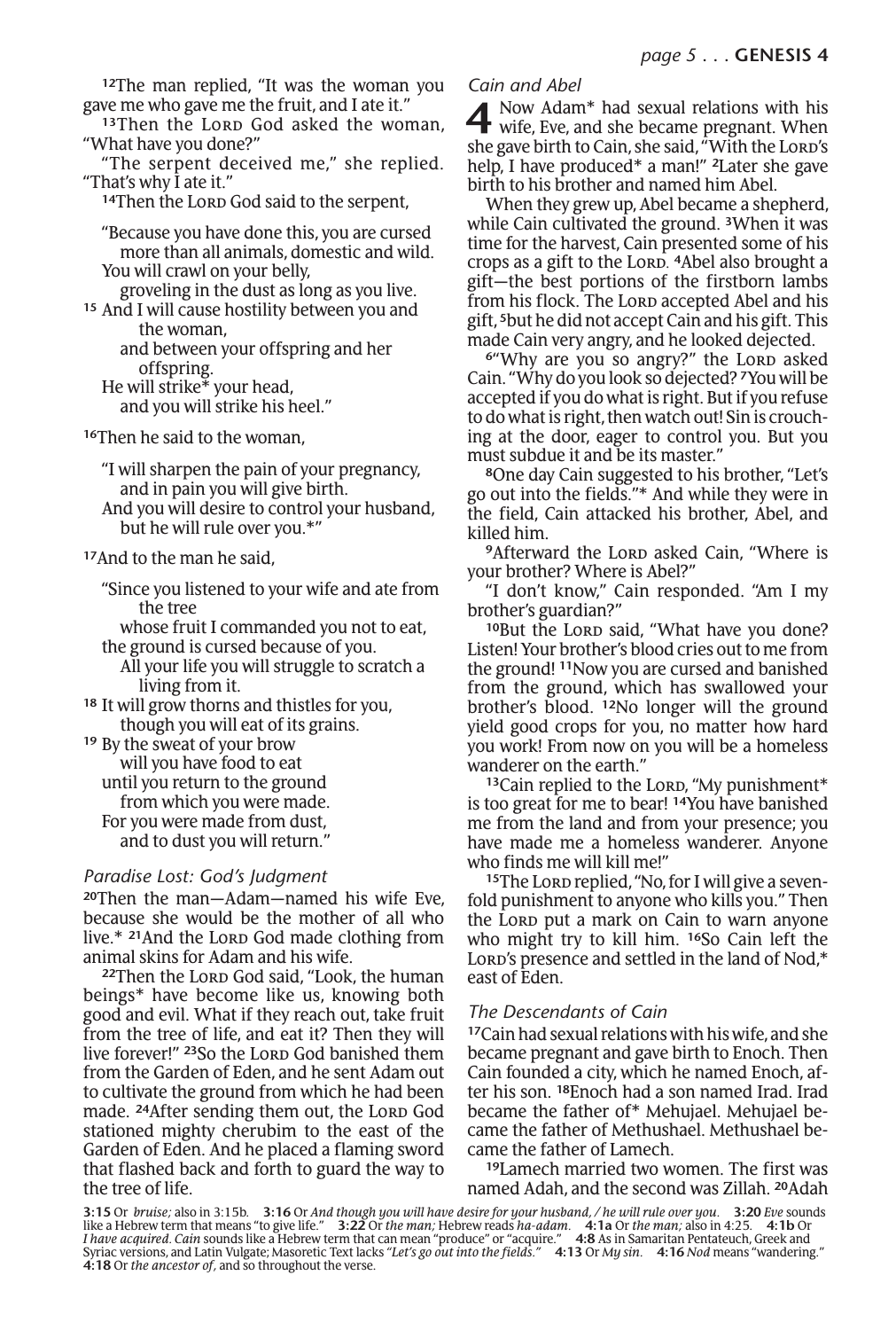**<sup>12</sup>**The man replied, "It was the woman you gave me who gave me the fruit, and I ate it."

<sup>13</sup>Then the Lorp God asked the woman, "What have you done?"

"The serpent deceived me," she replied. "That's why I ate it."

<sup>14</sup>Then the Lorp God said to the serpent,

"Because you have done this, you are cursed more than all animals, domestic and wild. You will crawl on your belly,

groveling in the dust as long as you live.

**<sup>15</sup>** And I will cause hostility between you and the woman,

> and between your offspring and her offspring.

He will strike\* your head, and you will strike his heel."

**<sup>16</sup>**Then he said to the woman,

"I will sharpen the pain of your pregnancy, and in pain you will give birth.

And you will desire to control your husband, but he will rule over you.\*'

**<sup>17</sup>**And to the man he said,

"Since you listened to your wife and ate from the tree

whose fruit I commanded you not to eat,

the ground is cursed because of you.

All your life you will struggle to scratch a living from it.

**<sup>18</sup>** It will grow thorns and thistles for you, though you will eat of its grains.

**<sup>19</sup>** By the sweat of your brow will you have food to eat until you return to the ground from which you were made. For you were made from dust,

and to dust you will return."

#### *Paradise Lost: God's Judgment*

**<sup>20</sup>**Then the man—Adam—named his wife Eve, because she would be the mother of all who live.\* <sup>21</sup>And the Lorp God made clothing from animal skins for Adam and his wife.

<sup>22</sup>Then the Lorp God said, "Look, the human beings\* have become like us, knowing both good and evil. What if they reach out, take fruit from the tree of life, and eat it? Then they will live forever!" <sup>23</sup>So the Lorp God banished them from the Garden of Eden, and he sent Adam out to cultivate the ground from which he had been made. <sup>24</sup>After sending them out, the Lorp God stationed mighty cherubim to the east of the Garden of Eden. And he placed a flaming sword that flashed back and forth to guard the way to the tree of life.

*Cain and Abel* **<sup>4</sup>**

Now Adam\* had sexual relations with his wife, Eve, and she became pregnant. When she gave birth to Cain, she said, "With the Lord's help, I have produced\* a man!" **<sup>2</sup>**Later she gave birth to his brother and named him Abel.

When they grew up, Abel became a shepherd, while Cain cultivated the ground. **<sup>3</sup>**When it was time for the harvest, Cain presented some of his crops as a gift to the Lorp. <sup>4</sup>Abel also brought a gift—the best portions of the firstborn lambs from his flock. The Lorp accepted Abel and his gift, **<sup>5</sup>**but he did not accept Cain and his gift. This made Cain very angry, and he looked dejected.

<sup>6"</sup>Why are you so angry?" the Lord asked Cain. "Why do you look so dejected? **<sup>7</sup>**You will be accepted if you do what is right. But if you refuse to do what is right, then watch out! Sin is crouching at the door, eager to control you. But you must subdue it and be its master."

**<sup>8</sup>**One day Cain suggested to his brother, "Let's go out into the fields."\* And while they were in the field, Cain attacked his brother, Abel, and killed him.

<sup>9</sup>Afterward the Lorp asked Cain, "Where is your brother? Where is Abel?"

"I don't know," Cain responded. "Am I my brother's guardian?"

<sup>10</sup>But the Lorp said, "What have you done? Listen! Your brother's blood cries out to me from the ground! **<sup>11</sup>**Now you are cursed and banished from the ground, which has swallowed your brother's blood. **<sup>12</sup>**No longer will the ground yield good crops for you, no matter how hard you work! From now on you will be a homeless wanderer on the earth."

<sup>13</sup>Cain replied to the Lord, "My punishment\* is too great for me to bear! **<sup>14</sup>**You have banished me from the land and from your presence; you have made me a homeless wanderer. Anyone who finds me will kill me!"

15The Lorp replied, "No, for I will give a sevenfold punishment to anyone who kills you." Then the Lorp put a mark on Cain to warn anyone who might try to kill him. **<sup>16</sup>**So Cain left the Lord's presence and settled in the land of Nod,\* east of Eden.

#### *The Descendants of Cain*

**<sup>17</sup>**Cain had sexual relations with his wife, and she became pregnant and gave birth to Enoch. Then Cain founded a city, which he named Enoch, after his son. **<sup>18</sup>**Enoch had a son named Irad. Irad became the father of\* Mehujael. Mehujael became the father of Methushael. Methushael became the father of Lamech.

**<sup>19</sup>**Lamech married two women. The first was named Adah, and the second was Zillah. **<sup>20</sup>**Adah

3:15 Or *bruise;* also in 3:15b. 3:16 Or *And though you will have desire for your husband, / he will rule over you.* 3:20 *Eve sounds* that means "to give life." 3:22 Or *it in mach that means* the developed in the *have*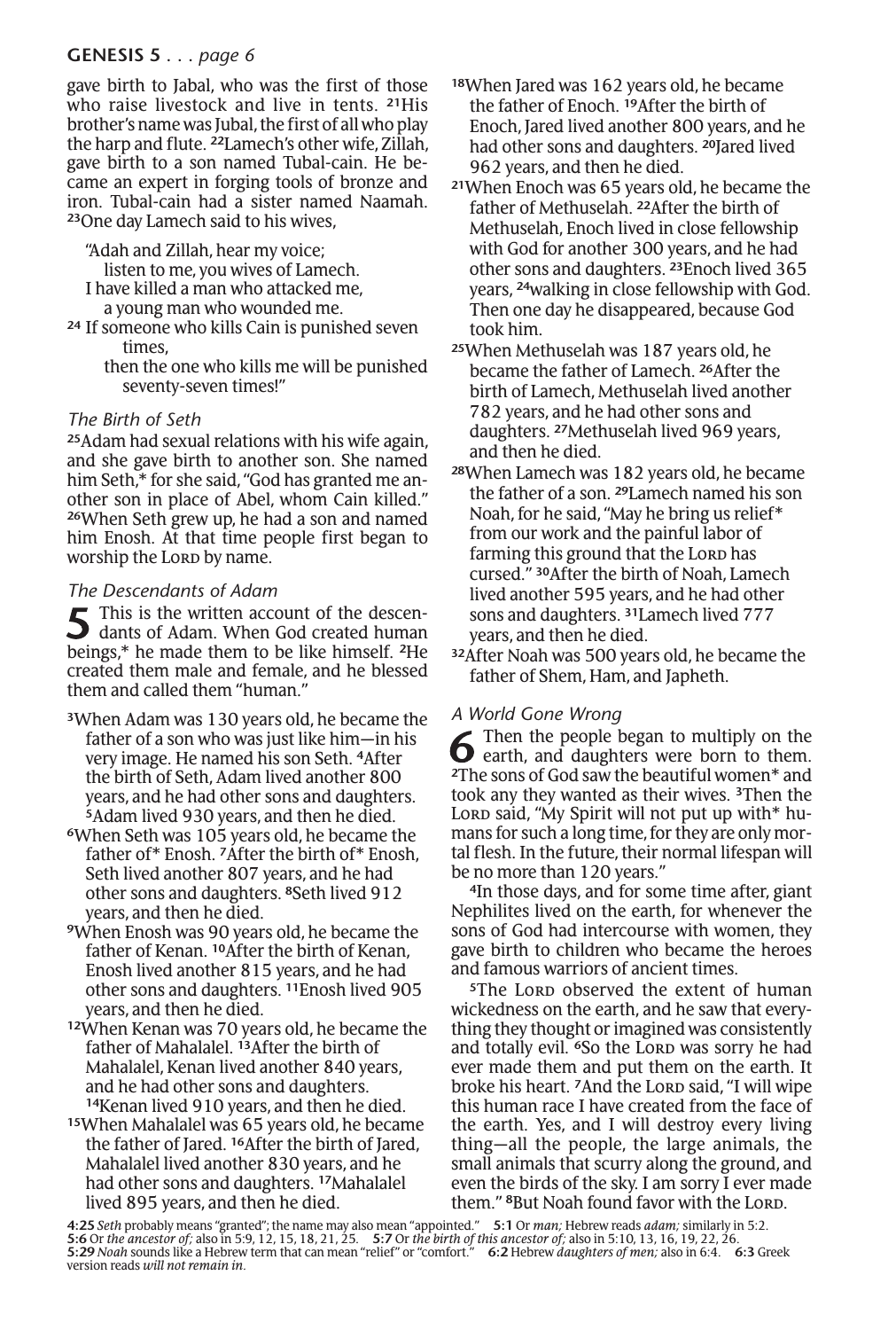#### **GENESIS 5** . . . *page 6*

gave birth to Jabal, who was the first of those who raise livestock and live in tents. **<sup>21</sup>**His brother's name was Jubal, the first of all who play the harp and flute. **<sup>22</sup>**Lamech's other wife, Zillah, gave birth to a son named Tubal-cain. He became an expert in forging tools of bronze and iron. Tubal-cain had a sister named Naamah. **<sup>23</sup>**One day Lamech said to his wives,

"Adah and Zillah, hear my voice;

listen to me, you wives of Lamech.

- I have killed a man who attacked me, a young man who wounded me.
- **<sup>24</sup>** If someone who kills Cain is punished seven times,
	- then the one who kills me will be punished seventy-seven times!"

#### *The Birth of Seth*

**<sup>25</sup>**Adam had sexual relations with his wife again, and she gave birth to another son. She named him Seth,\* for she said, "God has granted me another son in place of Abel, whom Cain killed." **<sup>26</sup>**When Seth grew up, he had a son and named him Enosh. At that time people first began to worship the Lorp by name.

#### *The Descendants of Adam* **<sup>5</sup>**

This is the written account of the descendants of Adam. When God created human beings,\* he made them to be like himself. **<sup>2</sup>**He created them male and female, and he blessed them and called them "human."

- **<sup>3</sup>**When Adam was 130 years old, he became the father of a son who was just like him—in his very image. He named his son Seth. **<sup>4</sup>**After the birth of Seth, Adam lived another 800 years, and he had other sons and daughters. **<sup>5</sup>**Adam lived 930 years, and then he died.
- **<sup>6</sup>**When Seth was 105 years old, he became the father of\* Enosh. **<sup>7</sup>**After the birth of\* Enosh, Seth lived another 807 years, and he had other sons and daughters. **<sup>8</sup>**Seth lived 912 years, and then he died.
- **<sup>9</sup>**When Enosh was 90 years old, he became the father of Kenan. **<sup>10</sup>**After the birth of Kenan, Enosh lived another 815 years, and he had other sons and daughters. **<sup>11</sup>**Enosh lived 905 years, and then he died.
- **<sup>12</sup>**When Kenan was 70 years old, he became the father of Mahalalel. **<sup>13</sup>**After the birth of Mahalalel, Kenan lived another 840 years, and he had other sons and daughters. **<sup>14</sup>**Kenan lived 910 years, and then he died.
- **<sup>15</sup>**When Mahalalel was 65 years old, he became the father of Jared. **<sup>16</sup>**After the birth of Jared, Mahalalel lived another 830 years, and he had other sons and daughters. **<sup>17</sup>**Mahalalel lived 895 years, and then he died.
- **<sup>18</sup>**When Jared was 162 years old, he became the father of Enoch. **<sup>19</sup>**After the birth of Enoch, Jared lived another 800 years, and he had other sons and daughters. **<sup>20</sup>**Jared lived 962 years, and then he died.
- **<sup>21</sup>**When Enoch was 65 years old, he became the father of Methuselah. **<sup>22</sup>**After the birth of Methuselah, Enoch lived in close fellowship with God for another 300 years, and he had other sons and daughters. **<sup>23</sup>**Enoch lived 365 years, **<sup>24</sup>**walking in close fellowship with God. Then one day he disappeared, because God took him.
- **<sup>25</sup>**When Methuselah was 187 years old, he became the father of Lamech. **<sup>26</sup>**After the birth of Lamech, Methuselah lived another 782 years, and he had other sons and daughters. **<sup>27</sup>**Methuselah lived 969 years, and then he died.
- **<sup>28</sup>**When Lamech was 182 years old, he became the father of a son. **<sup>29</sup>**Lamech named his son Noah, for he said, "May he bring us relief\* from our work and the painful labor of farming this ground that the Lorp has cursed." **<sup>30</sup>**After the birth of Noah, Lamech lived another 595 years, and he had other sons and daughters. **<sup>31</sup>**Lamech lived 777 years, and then he died.
- **<sup>32</sup>**After Noah was 500 years old, he became the father of Shem, Ham, and Japheth.

*A World Gone Wrong*<br>**6** Then the people began to multiply on the<br>**6** earth, and daughters were born to them. **2** earth, and daughters were born to them.<br><sup>2</sup>The sons of God saw the beautiful women\* and took any they wanted as their wives. **<sup>3</sup>**Then the Lord said, "My Spirit will not put up with\* humans for such a long time, for they are only mortal flesh. In the future, their normal lifespan will be no more than 120 years."

**<sup>4</sup>**In those days, and for some time after, giant Nephilites lived on the earth, for whenever the sons of God had intercourse with women, they gave birth to children who became the heroes and famous warriors of ancient times.

<sup>5</sup>The Lorp observed the extent of human wickedness on the earth, and he saw that everything they thought or imagined was consistently and totally evil. <sup>6</sup>So the Lorp was sorry he had ever made them and put them on the earth. It broke his heart. <sup>7</sup>And the Lorp said, "I will wipe this human race I have created from the face of the earth. Yes, and I will destroy every living thing—all the people, the large animals, the small animals that scurry along the ground, and even the birds of the sky. I am sorry I ever made them." **<sup>8</sup>**But Noah found favor with the Lord.

4:25 Seth probably means "granted"; the name may also mean "appointed." 5:1 Or man; Hebrew reads adam; similarly in 5:2.<br>5:6 Or the ancestor of; also in 5:9, 12, 15, 18, 21, 25. 5:7 Or the birth of this ancestor of; also i **5:29** *Noah* sounds like a Hebrew term that can mean "relief" or "comfort." **6:2** Hebrew *daughters of men;* also in 6:4. **6:3** Greek version reads *will not remain in.*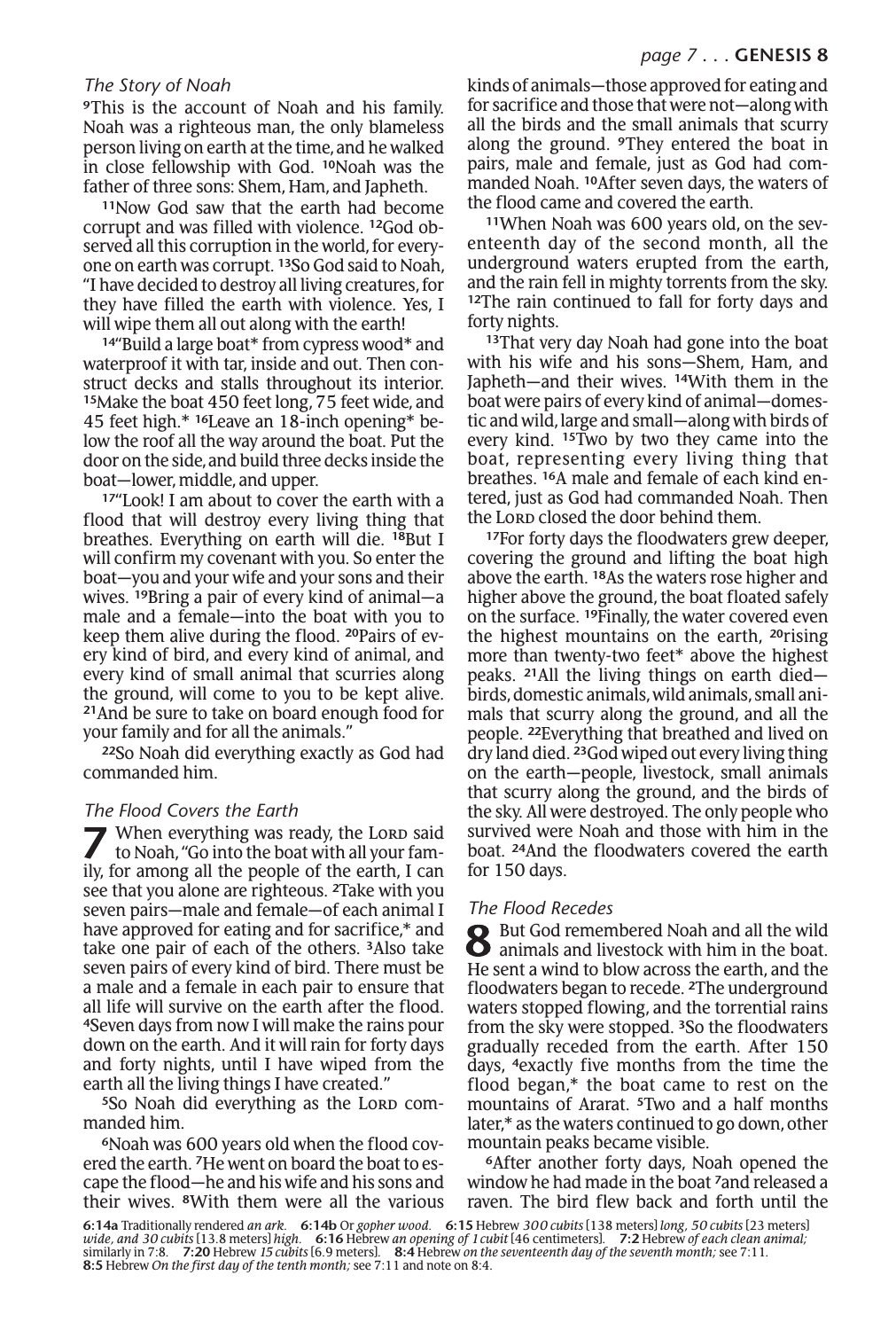#### *The Story of Noah*

**<sup>9</sup>**This is the account of Noah and his family. Noah was a righteous man, the only blameless person living on earth at the time, and he walked in close fellowship with God. **<sup>10</sup>**Noah was the father of three sons: Shem, Ham, and Japheth.

**<sup>11</sup>**Now God saw that the earth had become corrupt and was filled with violence. **<sup>12</sup>**God observed all this corruption in the world, for everyone on earth was corrupt. **<sup>13</sup>**So God said to Noah, "I have decided to destroy all living creatures, for they have filled the earth with violence. Yes, I will wipe them all out along with the earth!

**<sup>14</sup>**"Build a large boat\* from cypress wood\* and waterproof it with tar, inside and out. Then construct decks and stalls throughout its interior. **<sup>15</sup>**Make the boat 450 feet long, 75 feet wide, and 45 feet high.\* **<sup>16</sup>**Leave an 18-inch opening\* below the roof all the way around the boat. Put the door on the side, and build three decks inside the boat—lower, middle, and upper.

**<sup>17</sup>**"Look! I am about to cover the earth with a flood that will destroy every living thing that breathes. Everything on earth will die. **<sup>18</sup>**But I will confirm my covenant with you. So enter the boat—you and your wife and your sons and their wives. **<sup>19</sup>**Bring a pair of every kind of animal—a male and a female—into the boat with you to keep them alive during the flood. **<sup>20</sup>**Pairs of every kind of bird, and every kind of animal, and every kind of small animal that scurries along the ground, will come to you to be kept alive. **<sup>21</sup>**And be sure to take on board enough food for your family and for all the animals."

**<sup>22</sup>**So Noah did everything exactly as God had commanded him.

#### *The Flood Covers the Earth* **<sup>7</sup>**

When everything was ready, the Lorp said to Noah, "Go into the boat with all your family, for among all the people of the earth, I can see that you alone are righteous. **<sup>2</sup>**Take with you seven pairs—male and female—of each animal I have approved for eating and for sacrifice,\* and take one pair of each of the others. **<sup>3</sup>**Also take seven pairs of every kind of bird. There must be a male and a female in each pair to ensure that all life will survive on the earth after the flood. **<sup>4</sup>**Seven days from now I will make the rains pour down on the earth. And it will rain for forty days and forty nights, until I have wiped from the earth all the living things I have created."

<sup>5</sup>So Noah did everything as the Lord commanded him.

**6**Noah was 600 years old when the flood covered the earth. **<sup>7</sup>**He went on board the boat to escape the flood—he and his wife and his sons and their wives. **<sup>8</sup>**With them were all the various

kinds of animals—those approved for eating and for sacrifice and those that were not—along with all the birds and the small animals that scurry along the ground. **<sup>9</sup>**They entered the boat in pairs, male and female, just as God had commanded Noah. **<sup>10</sup>**After seven days, the waters of the flood came and covered the earth.

**11**When Noah was 600 years old, on the seventeenth day of the second month, all the underground waters erupted from the earth, and the rain fell in mighty torrents from the sky. **<sup>12</sup>**The rain continued to fall for forty days and forty nights.

**<sup>13</sup>**That very day Noah had gone into the boat with his wife and his sons—Shem, Ham, and Japheth—and their wives. **<sup>14</sup>**With them in the boat were pairs of every kind of animal—domestic and wild, large and small—along with birds of every kind. **<sup>15</sup>**Two by two they came into the boat, representing every living thing that breathes. **<sup>16</sup>**A male and female of each kind entered, just as God had commanded Noah. Then the Lorp closed the door behind them.

**<sup>17</sup>**For forty days the floodwaters grew deeper, covering the ground and lifting the boat high above the earth. **<sup>18</sup>**As the waters rose higher and higher above the ground, the boat floated safely on the surface. **<sup>19</sup>**Finally, the water covered even the highest mountains on the earth, **<sup>20</sup>**rising more than twenty-two feet\* above the highest peaks. **<sup>21</sup>**All the living things on earth died birds, domestic animals, wild animals, small animals that scurry along the ground, and all the people. **<sup>22</sup>**Everything that breathed and lived on dry land died. **<sup>23</sup>**God wiped out every living thing on the earth—people, livestock, small animals that scurry along the ground, and the birds of the sky. All were destroyed. The only people who survived were Noah and those with him in the boat. **<sup>24</sup>**And the floodwaters covered the earth for 150 days.

#### *The Flood Recedes* **<sup>8</sup>**

But God remembered Noah and all the wild<br>animals and livestock with him in the hard animals and livestock with him in the boat. He sent a wind to blow across the earth, and the floodwaters began to recede. **<sup>2</sup>**The underground waters stopped flowing, and the torrential rains from the sky were stopped. **<sup>3</sup>**So the floodwaters gradually receded from the earth. After 150 days, **<sup>4</sup>**exactly five months from the time the flood began,\* the boat came to rest on the mountains of Ararat. **<sup>5</sup>**Two and a half months later,\* as the waters continued to go down, other mountain peaks became visible.

**<sup>6</sup>**After another forty days, Noah opened the window he had made in the boat **<sup>7</sup>**and released a raven. The bird flew back and forth until the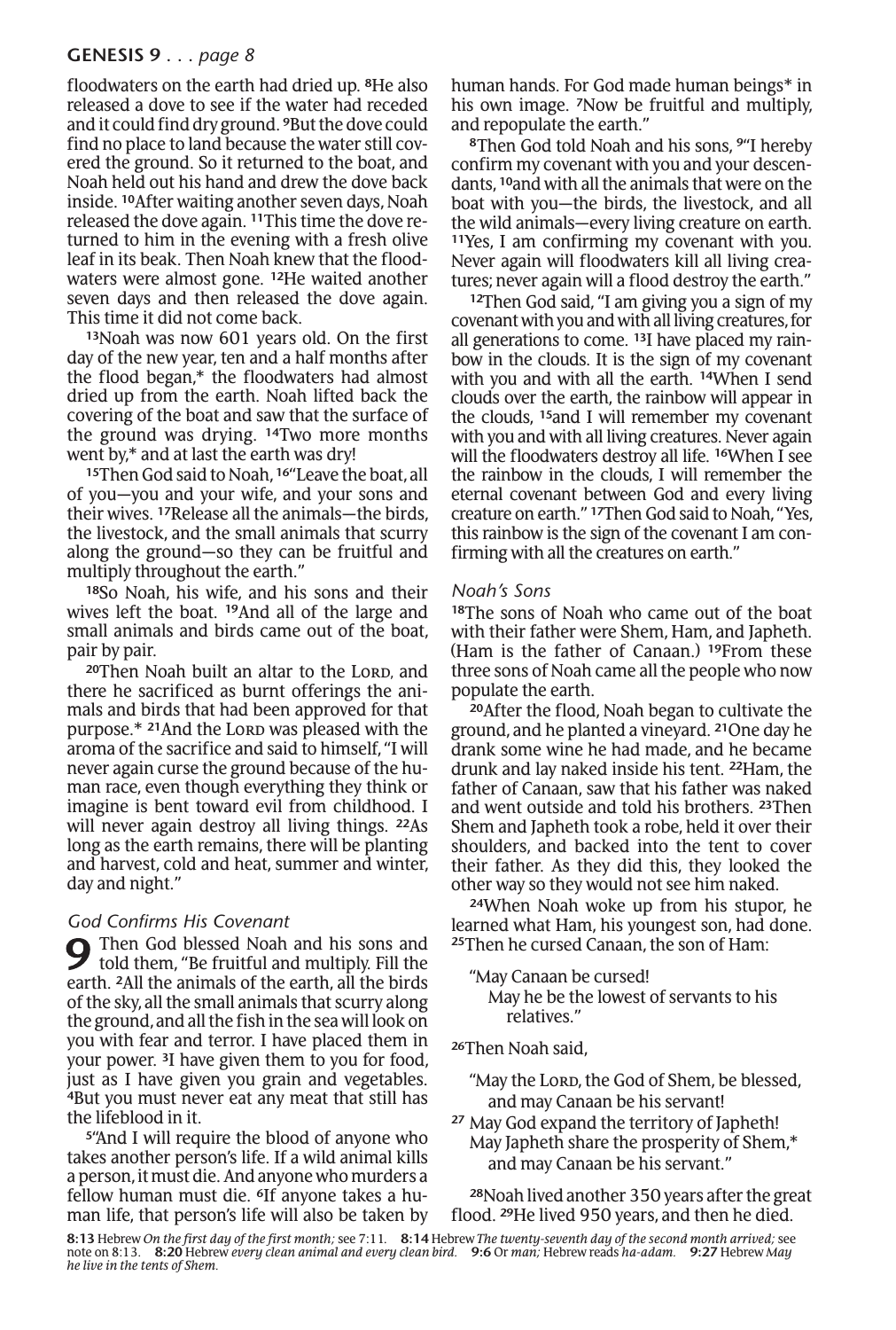#### **GENESIS 9** . . . *page 8*

floodwaters on the earth had dried up. **<sup>8</sup>**He also released a dove to see if the water had receded and it could find dry ground. **<sup>9</sup>**But the dove could find no place to land because the water still covered the ground. So it returned to the boat, and Noah held out his hand and drew the dove back inside. **<sup>10</sup>**After waiting another seven days, Noah released the dove again. **<sup>11</sup>**This time the dove returned to him in the evening with a fresh olive leaf in its beak. Then Noah knew that the floodwaters were almost gone. **<sup>12</sup>**He waited another seven days and then released the dove again. This time it did not come back.

**<sup>13</sup>**Noah was now 601 years old. On the first day of the new year, ten and a half months after the flood began,\* the floodwaters had almost dried up from the earth. Noah lifted back the covering of the boat and saw that the surface of the ground was drying. **<sup>14</sup>**Two more months went by,\* and at last the earth was dry!

**<sup>15</sup>**Then God said to Noah, **<sup>16</sup>**"Leave the boat, all of you—you and your wife, and your sons and their wives. **<sup>17</sup>**Release all the animals—the birds, the livestock, and the small animals that scurry along the ground—so they can be fruitful and multiply throughout the earth."

**<sup>18</sup>**So Noah, his wife, and his sons and their wives left the boat. **<sup>19</sup>**And all of the large and small animals and birds came out of the boat, pair by pair.

<sup>20</sup>Then Noah built an altar to the Lord, and there he sacrificed as burnt offerings the animals and birds that had been approved for that purpose.\* <sup>21</sup>And the Lorp was pleased with the aroma of the sacrifice and said to himself, "I will never again curse the ground because of the human race, even though everything they think or imagine is bent toward evil from childhood. I will never again destroy all living things. **<sup>22</sup>**As long as the earth remains, there will be planting and harvest, cold and heat, summer and winter, day and night."

#### *God Confirms His Covenant* **<sup>9</sup>**

Then God blessed Noah and his sons and told them, "Be fruitful and multiply. Fill the earth. **<sup>2</sup>**All the animals of the earth, all the birds of the sky, all the small animals that scurry along the ground, and all the fish in the sea will look on you with fear and terror. I have placed them in your power. **<sup>3</sup>**I have given them to you for food, just as I have given you grain and vegetables. **<sup>4</sup>**But you must never eat any meat that still has the lifeblood in it.

**<sup>5</sup>**"And I will require the blood of anyone who takes another person's life. If a wild animal kills a person, it must die. And anyone who murders a fellow human must die. **<sup>6</sup>**If anyone takes a human life, that person's life will also be taken by human hands. For God made human beings\* in his own image. **<sup>7</sup>**Now be fruitful and multiply, and repopulate the earth."

**<sup>8</sup>**Then God told Noah and his sons, **<sup>9</sup>**"I hereby confirm my covenant with you and your descendants, **<sup>10</sup>**and with all the animals that were on the boat with you—the birds, the livestock, and all the wild animals—every living creature on earth. **<sup>11</sup>**Yes, I am confirming my covenant with you. Never again will floodwaters kill all living creatures; never again will a flood destroy the earth."

**<sup>12</sup>**Then God said, "I am giving you a sign of my covenant with you and with all living creatures, for all generations to come. **<sup>13</sup>**I have placed my rainbow in the clouds. It is the sign of my covenant with you and with all the earth. **<sup>14</sup>**When I send clouds over the earth, the rainbow will appear in the clouds, **<sup>15</sup>**and I will remember my covenant with you and with all living creatures. Never again will the floodwaters destroy all life. **<sup>16</sup>**When I see the rainbow in the clouds, I will remember the eternal covenant between God and every living creature on earth." **<sup>17</sup>**Then God said to Noah, "Yes, this rainbow is the sign of the covenant I am confirming with all the creatures on earth."

#### *Noah's Sons*

**<sup>18</sup>**The sons of Noah who came out of the boat with their father were Shem, Ham, and Japheth. (Ham is the father of Canaan.) **<sup>19</sup>**From these three sons of Noah came all the people who now populate the earth.

**<sup>20</sup>**After the flood, Noah began to cultivate the ground, and he planted a vineyard. **<sup>21</sup>**One day he drank some wine he had made, and he became drunk and lay naked inside his tent. **<sup>22</sup>**Ham, the father of Canaan, saw that his father was naked and went outside and told his brothers. **<sup>23</sup>**Then Shem and Japheth took a robe, held it over their shoulders, and backed into the tent to cover their father. As they did this, they looked the other way so they would not see him naked.

**<sup>24</sup>**When Noah woke up from his stupor, he learned what Ham, his youngest son, had done. **<sup>25</sup>**Then he cursed Canaan, the son of Ham:

"May Canaan be cursed!

May he be the lowest of servants to his relatives."

**<sup>26</sup>**Then Noah said,

"May the Lorp, the God of Shem, be blessed, and may Canaan be his servant!

**<sup>27</sup>** May God expand the territory of Japheth! May Japheth share the prosperity of Shem,\* and may Canaan be his servant."

**<sup>28</sup>**Noah lived another 350 years after the great flood. **<sup>29</sup>**He lived 950 years, and then he died.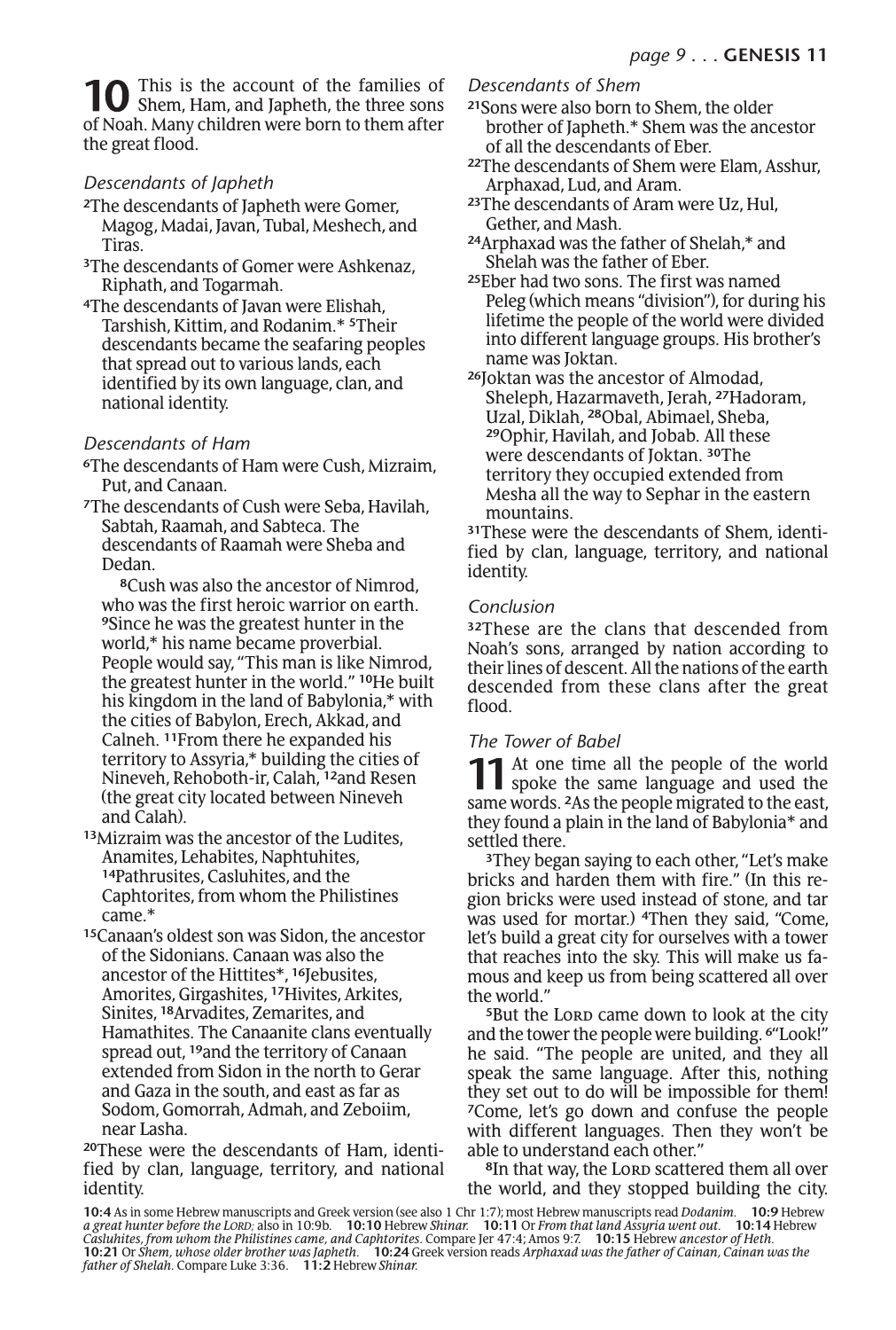This is the account of the families of Shem, Ham, and Japheth, the three sons of Noah. Many children were born to them after the great flood.

#### *Descendants of Japheth*

- **<sup>2</sup>**The descendants of Japheth were Gomer, Magog, Madai, Javan, Tubal, Meshech, and **Tiras**
- **<sup>3</sup>**The descendants of Gomer were Ashkenaz, Riphath, and Togarmah.
- **<sup>4</sup>**The descendants of Javan were Elishah, Tarshish, Kittim, and Rodanim.\* **<sup>5</sup>**Their descendants became the seafaring peoples that spread out to various lands, each identified by its own language, clan, and national identity.

#### *Descendants of Ham*

- **<sup>6</sup>**The descendants of Ham were Cush, Mizraim, Put, and Canaan.
- **<sup>7</sup>**The descendants of Cush were Seba, Havilah, Sabtah, Raamah, and Sabteca. The descendants of Raamah were Sheba and Dedan.

**<sup>8</sup>**Cush was also the ancestor of Nimrod, who was the first heroic warrior on earth. **<sup>9</sup>**Since he was the greatest hunter in the world,\* his name became proverbial. People would say, "This man is like Nimrod, the greatest hunter in the world." **<sup>10</sup>**He built his kingdom in the land of Babylonia,\* with the cities of Babylon, Erech, Akkad, and Calneh. **<sup>11</sup>**From there he expanded his territory to Assyria,\* building the cities of Nineveh, Rehoboth-ir, Calah, **<sup>12</sup>**and Resen (the great city located between Nineveh and Calah).

- **<sup>13</sup>**Mizraim was the ancestor of the Ludites, Anamites, Lehabites, Naphtuhites, **<sup>14</sup>**Pathrusites, Casluhites, and the Caphtorites, from whom the Philistines came.\*
- **<sup>15</sup>**Canaan's oldest son was Sidon, the ancestor of the Sidonians. Canaan was also the ancestor of the Hittites\*, **<sup>16</sup>**Jebusites, Amorites, Girgashites, **<sup>17</sup>**Hivites, Arkites, Sinites, **<sup>18</sup>**Arvadites, Zemarites, and Hamathites. The Canaanite clans eventually spread out, **<sup>19</sup>**and the territory of Canaan extended from Sidon in the north to Gerar and Gaza in the south, and east as far as Sodom, Gomorrah, Admah, and Zeboiim, near Lasha.

**20**These were the descendants of Ham, identified by clan, language, territory, and national identity.

*Descendants of Shem*

**<sup>21</sup>**Sons were also born to Shem, the older brother of Japheth.\* Shem was the ancestor of all the descendants of Eber.

- **<sup>22</sup>**The descendants of Shem were Elam, Asshur, Arphaxad, Lud, and Aram.
- **<sup>23</sup>**The descendants of Aram were Uz, Hul, Gether, and Mash.
- **<sup>24</sup>**Arphaxad was the father of Shelah,\* and Shelah was the father of Eber.

**<sup>25</sup>**Eber had two sons. The first was named Peleg (which means "division"), for during his lifetime the people of the world were divided into different language groups. His brother's name was Joktan.

**<sup>26</sup>**Joktan was the ancestor of Almodad, Sheleph, Hazarmaveth, Jerah, **<sup>27</sup>**Hadoram, Uzal, Diklah, **<sup>28</sup>**Obal, Abimael, Sheba, **<sup>29</sup>**Ophir, Havilah, and Jobab. All these were descendants of Joktan. **<sup>30</sup>**The territory they occupied extended from Mesha all the way to Sephar in the eastern mountains.

**31**These were the descendants of Shem, identified by clan, language, territory, and national identity.

#### *Conclusion*

**<sup>32</sup>**These are the clans that descended from Noah's sons, arranged by nation according to their lines of descent. All the nations of the earth descended from these clans after the great flood.

#### *The Tower of Babel* **<sup>11</sup>**

At one time all the people of the world spoke the same language and used the same words. **<sup>2</sup>**As the people migrated to the east, they found a plain in the land of Babylonia\* and settled there.

**<sup>3</sup>**They began saying to each other, "Let's make bricks and harden them with fire." (In this region bricks were used instead of stone, and tar was used for mortar.) **<sup>4</sup>**Then they said, "Come, let's build a great city for ourselves with a tower that reaches into the sky. This will make us famous and keep us from being scattered all over the world."

<sup>5</sup>But the Lorp came down to look at the city and the tower the people were building. **<sup>6</sup>**"Look!" he said. "The people are united, and they all speak the same language. After this, nothing they set out to do will be impossible for them! **<sup>7</sup>**Come, let's go down and confuse the people with different languages. Then they won't be able to understand each other."

<sup>8</sup>In that way, the Lorp scattered them all over the world, and they stopped building the city.

<sup>10:4</sup> As in some Hebrew manuscripts and Greek version (see also 1 Chr 1:7); most Hebrew manuscripts read *Dodanim.* 10:9 Hebrew and Dodanim. 10:9 Hebrew and the metal of the state and the control and the control of the cont